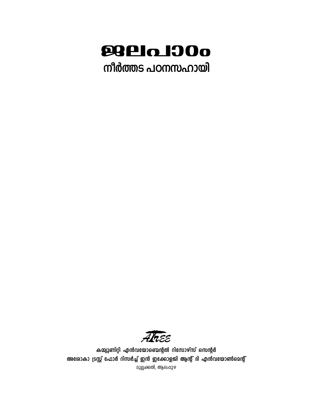

നീർത്തട പഠനസഹായി

Anee

കമ്പുണിറ്റി എൻവയോണ്മെന്റൽ റിസോഴ്സ് സെന്റർ അശോകാ ട്രസ്റ്റ് ഫോർ റിസർച്ച് ഇൻ ഇക്കോളജി ആന്റ് ദി എൻവയോൺമെന്റ് മുല്ലക്കൽ, ആലപ്പുഴ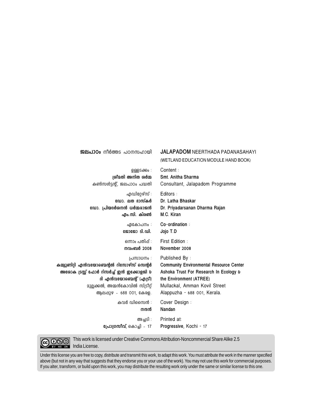| ജലപാഠം നീർത്തട പഠനസഹായി                     | <b>JALAPADOM</b> NEERTHADA PADANASAHAYI<br>(WETLAND EDUCATION MODULE HAND BOOK) |
|---------------------------------------------|---------------------------------------------------------------------------------|
| ഉള്ളടക്കം :                                 | Content:                                                                        |
| ശ്രീമതി അനിത ശർമ്മ                          | Smt. Anitha Sharma                                                              |
| കൺസൾട്ടന്റ്, ജലപാഠം പദ്ധതി                  | Consultant, Jalapadom Programme                                                 |
| എഡിറ്റേഴ്സ് :                               | Editors:                                                                        |
| ഡോ. ലത ഭാസ്കർ                               | Dr. Latha Bhaskar                                                               |
| ഡോ. പ്രിയദർശനൻ ധർമ്മരാജൻ                    | Dr. Priyadarsanan Dharma Rajan                                                  |
| എം.സി. കിരൺ                                 | M.C. Kiran                                                                      |
| ഏകോപനം :                                    | Co-ordination:                                                                  |
| ജോജോ ടി. <i>ഡി.</i>                         | Jojo T.D                                                                        |
| ഒന്നാം പതിപ്പ് :                            | First Edition:                                                                  |
| നവംബർ 2008                                  | November 2008                                                                   |
| പ്രസാധനം :                                  | Published By:                                                                   |
| കമ്മ്യൂണിറ്റി എൻവയോണ്മെന്റൽ റിസോഴ്സ് സെന്റർ | <b>Community Environmental Resource Center</b>                                  |
| അശോക ട്രസ്സ് ഫോർ റിസർച്ച് ഇൻ ഇക്കോളജി &     | Ashoka Trust For Research In Ecology &                                          |
| ദി എൻവയോണ്മെന്റ് (എട്രി)                    | the Environment (ATREE)                                                         |
| മുല്ലക്കൽ, അമ്മൻകോവിൽ സ്ട്രീറ്റ്            | Mullackal, Amman Kovil Street                                                   |
| ആലപ്പുഴ - 688 001, കേരള.                    | Alappuzha - 688 001, Kerala.                                                    |
| കവർ ഡിസൈൻ :                                 | Cover Design:                                                                   |
| നന്ദൻ                                       | Nandan                                                                          |
| അച്ചടി :                                    | Printed at:                                                                     |
| പ്രോ <mark>ഗ്രസീവ്,</mark> കൊച്ചി – 17      | Progressive, Kochi - 17                                                         |
|                                             |                                                                                 |

**CO OS O** This work is license.

This work is licensed under Creative Commons Attribution-Noncommercial Share Alike 2.5

Under this license you are free to copy, distribute and transmit this work, to adapt this work. You must attribute the work in the manner specified above (but not in any way that suggests that they endorse you or your use of the work). You may not use this work for commercial purposes. If you alter, transform, or build upon this work, you may distribute the resulting work only under the same or similar license to this one.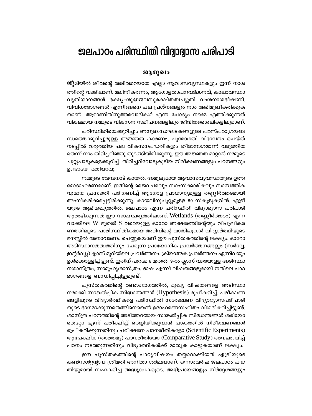### ജലപാഠം പരിസ്ഥിതി വിദ്വാഭ്വാസ പരിപാടി

#### ആമുഖം

 $\mathbf G$ )മിയിൽ ജീവന്റെ അടിത്തറയായ എല്ലാ ആവാസവ്യസ്ഥകളും ഇന്ന് നാശ ത്തിന്റെ വക്കിലാണ്. മലിനീകരണം, ആഗോളതാപനവർദ്ധനവ്, കാലാവസ്ഥാ വ്യതിയാനങ്ങൾ, ഭക്ഷ്യ-ശുദ്ധജലസുരക്ഷിതത്വച്യുതി, വംശനാശഭീഷണി, വിവിധരോഗങ്ങൾ എന്നിങ്ങനെ പല പ്രശ്നങ്ങളും നാം അഭിമുഖീകരിക്കുക യാണ്. ആരാണിതിനുത്തരവാദികൾ എന്ന ചോദ്യം നമ്മെ എത്തിക്കുന്നത് വികലമായ നമ്മുടെ വികസന സമീപനങ്ങളിലും ജീവിതശൈലികളിലുമാണ്.

പരിസ്ഥിതിയെക്കുറിച്ചും അനുബന്ധഘടകങ്ങളുടെ പരസ്പരാശ്രയബ ന്ധത്തെക്കുറിച്ചുമുള്ള അജ്ഞത കാരണം, പുരോഗതി വിഭാവനം ചെയ്ത് നടപ്പിൽ വരുത്തിയ പല വികസനപദ്ധതികളും തീരാനാശമാണ് വരുത്തിയ തെന്ന് നാം തിരിച്ചറിഞ്ഞു തുടങ്ങിയിരിക്കുന്നു. ഈ അജ്ഞത മാറ്റാൻ നമ്മുടെ ചുറ്റുപാടുകളെക്കുറിച്ച്, തിരിച്ചറിവോടുകൂടിയ നിരീക്ഷണങ്ങളും പഠനങ്ങളും ഉണ്ടായേ മതിയാവു

നമ്മുടെ വേമ്പനാട് കായൽ, അമൂല്യമായ ആവാസവ്യവസ്ഥയുടെ ഉത്ത മോദാഹരണമാണ്. ഇതിന്റെ ജൈവപരവും സാംസ്ക്കാരികവും സാമ്പത്തിക വുമായ പ്രസക്തി പരിഗണിച്ച് ആഗോള പ്രാധാന്യമുള്ള തണ്ണീർത്തടമായി അംഗീകരിക്കപ്പെട്ടിരിക്കുന്നു. കായലിനുചുറ്റുമുള്ള 50 സ്കൂളുകളിൽ, ഏട്രീ യുടെ ആഭിമുഖ്യത്തിൽ, ജലപാഠം എന്ന പരിസ്ഥിതി വിദ്യാഭ്യാസ പരിപാടി ആരംഭിക്കുന്നത് ഈ സാഹചര്യത്തിലാണ്. Wetlands (തണ്ണീർത്തടം) എന്ന വാക്കിലെ W മുതൽ S വരെയുള്ള ഓരോ അക്ഷരത്തിന്റെയും വിപുലീകര ണത്തിലൂടെ പാരിസ്ഥിതികമായ അറിവിന്റെ വാതിലുകൾ വിദ്യാർത്ഥിയുടെ മനസ്സിൽ അനാവരണം ചെയ്യുകയാണ് ഈ പുസ്തകത്തിന്റെ ലക്ഷ്യം. ഓരോ അടിസ്ഥാനതത്വത്തിനും ചേരുന്ന പ്രായോഗിക പ്രവർത്തനങ്ങളും (സർവ്വേ, ഇന്റർവ്യൂ) ക്ലാസ് മുറിയിലെ പ്രവർത്തനം, ക്രിയാത്മക പ്രവർത്തനം ഏന്നിവയും ഉൾക്കൊള്ളിച്ചിട്ടുണ്ട്. ഇതിന് പുറമേ 6 മുതൽ 9–ാം ക്ലാസ് വരെയുള്ള അടിസ്ഥാ നശാസ്ത്രം, സാമുഹൃശാസ്ത്രം, ഭാഷ എന്നീ വിഷയങ്ങളുമായി ഇതിലെ പാഠ ഭാഗങ്ങളെ ബന്ധിപ്പിച്ചിട്ടുമുണ്ട്.

പുസ്തകത്തിന്റെ രണ്ടാംഭാഗത്തിൽ, മുഖ്യ വിഷയങ്ങളെ അടിസ്ഥാ നമാക്കി സാങ്കൽപ്പിക സിദ്ധാന്തങ്ങൾ (Hypothesis) രൂപീകരിച്ച്, പരീക്ഷണ ങ്ങളിലൂടെ വിദ്യാർത്ഥികളെ പരിസ്ഥിതി സംരക്ഷണ വിദ്യാഭ്യാസപരിപാടി യുടെ ഭാഗമാക്കുന്നതെങ്ങിനെയെന്ന് ഉദാഹരണസഹിതം വിശദീകരിച്ചിട്ടുണ്ട്. ശാസ്ത്ര പഠനത്തിന്റെ അടിത്തറയായ സാങ്കൽപ്പിക സിദ്ധാന്തങ്ങൾ ശരിയോ തെറ്റോ എന്ന് പരീക്ഷിച്ച് തെളിയിക്കുവാൻ പാകത്തിൽ നിരീക്ഷണങ്ങൾ രൂപീകരിക്കുന്നതിനും പരീക്ഷണ പഠനരീതികളോ (Scientific Experiments) ആപേക്ഷിക (താരതമൃ) പഠനരീതിയോ (Comparative Study) അവലംബിച്ച് പഠനം നടത്തുന്നതിനും വിദ്യാത്ഥികൾക്ക് മാതൃക കാട്ടുകയാണ് ലക്ഷ്യം.

ഈ പുസ്തകത്തിന്റെ പാഠ്യവിഷയം തയ്യാറാക്കിയത് ഏട്രീയുടെ കൺസൾറ്റന്റായ ശ്രീമതി അനിതാ ശർമ്മയാണ്. ഒന്നാംവർഷ ജലപാഠം പദ്ധ തിയുമായി സഹകരിച്ച അദ്ധ്യാപകരുടെ, അഭിപ്രായങ്ങളും നിർദ്ദേശങ്ങളും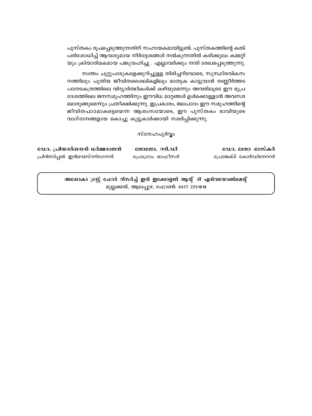പുസ്തകം രൂപപ്പെടുത്തുന്നതിന് സഹായകമായിട്ടുണ്ട്. പുസ്തകത്തിന്റെ കരട് പരിശോധിച്ച് ആവശ്യമായ നിർദ്ദേശങ്ങൾ നൽകുന്നതിൽ കരിക്കുലം കമ്മറ്റി യും ക്രിയാത്മകമായ പങ്കുവഹിച്ചു . എല്ലാവർക്കും നന്ദി രേഖപ്പെടുത്തുന്നു.

സ്ഥതം ചുറ്റുപാടുകളെക്കുറിച്ചുള്ള തിരിച്ചറിവോടെ, സുസ്ഥിരവികസ നത്തിലും പുതിയ ജീവിതശൈലികളിലും മാതൃക കാട്ടുവാൻ തണ്ണീർത്തട പഠനകേന്ദ്രത്തിലെ വിദ്യാർത്ഥികൾക്ക് കഴിയുമെന്നും അവരിലൂടെ ഈ ഭൂപ്ര ദേശത്തിലെ ജനസമൂഹത്തിനും ഈവിധ മാറ്റങ്ങൾ ഉൾക്കൊള്ളാൻ അവസര മൊരുങ്ങുമെന്നും പ്രതീക്ഷിക്കുന്നു. ഇപ്രകാരം, ജലപാഠം ഈ സമൂഹത്തിന്റെ ജീവിതപാഠമാകട്ടെയെന്ന ആശംസയോടെ, ഈ പുസ്തകം ഭാവിയുടെ വാഗ്ദാനങ്ങളായ കൊച്ചു കൂട്ടുകാർക്കായി സമർപ്പിക്കുന്നു.

### സ്നേഹപൂർവ്വം

ഡോ. ലതാ ഭാസ്കർ പ്രോജക്ട് കോർഡിനേററർ

 $c\approx 0.00$ പ്രോഗ്രാം ഓഫീസർ

ഡോ. പ്രിയദർശനൻ ധർമ്മരാജൻ പ്രിൻസിപ്പൽ ഇൻവെസ്ററിഗേററർ

> അശോകാ ട്രസ്റ്റ് ഫോർ റിസർച്ച് ഇൻ ഇക്കോളജി ആന്റ് ദി എൻവയോൺമെന്റ് മുല്ലക്കൽ, ആലപ്പുഴ, ഫോൺ: 0477 2251818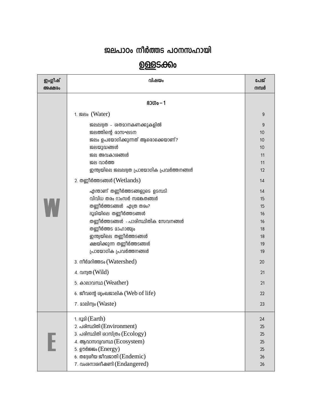## ജലപാഠം നീർത്തട പഠനസഹായി

## <u>ഉള്</u>ക്ക്കം

| ഇംഗ്ലീഷ്<br>അക്ഷരം | വിഷയം                                                                                                                                                                                                                                                                                                                                                                                                                                                                                                                                                                                                                | പേജ്<br>നമ്പർ                                                                                                            |
|--------------------|----------------------------------------------------------------------------------------------------------------------------------------------------------------------------------------------------------------------------------------------------------------------------------------------------------------------------------------------------------------------------------------------------------------------------------------------------------------------------------------------------------------------------------------------------------------------------------------------------------------------|--------------------------------------------------------------------------------------------------------------------------|
|                    | $B300 - 1$<br>1. ஜப <sub>்</sub> (Water)<br>ജലലഭ്വത - ശതമാനകണക്കുകളിൽ<br>ജലത്തിന്റെ രാസഘടന<br>ജലം ഉപയോഗിക്കുന്നത് ആരൊക്കെയാണ്?<br>ജലയുദ്ധങ്ങൾ<br>ജല അവകാശങ്ങൾ<br>ജല വാർത്ത<br>ഇന്ത്വയിലെ ജലലഭ്വത പ്രായോഗിക പ്രവർത്തനങ്ങൾ<br>2. തണ്ണീർത്തടങ്ങൾ (Wetlands)<br>എന്താണ് തണ്ണീർത്തടങ്ങളുടെ ഉടമ്പടി<br>വിവിധ തരം റാംസർ സങ്കേതങ്ങൾ<br>തണ്ണീർത്തടങ്ങൾ എത്ര തരം?<br>ഭൂമിയിലെ തണ്ണീർത്തടങ്ങൾ<br>തണ്ണീർത്തടങ്ങൾ - പാരിസ്ഥിതിക സേവനങ്ങൾ<br>തണ്ണീർത്തട മാഹാത്മ്യം<br>ഇന്ത്വയിലെ തണ്ണീർത്തടങ്ങൾ<br>ക്ഷയിക്കുന്ന തണ്ണീർത്തടങ്ങൾ<br>പ്രായോഗിക പ്രവർത്തനങ്ങൾ<br>3. midanimos. (Watershed)<br>4. വന്വത (Wild)<br>5. க். அவர் (Weather) | 9<br>9<br>10<br>10<br>10<br>11<br>11<br>12<br>14<br>14<br>15<br>15<br>16<br>16<br>18<br>18<br>19<br>19<br>20<br>21<br>21 |
|                    | 6. ജീവന്റെ രുംഖജാലിക (Web of life)<br>7. 20 eilmjo (Waste)                                                                                                                                                                                                                                                                                                                                                                                                                                                                                                                                                           | 22<br>23                                                                                                                 |
|                    | $1.$ $829$ $(Barth)$<br>2. പരിസ്ഥിതി (Environment)<br>3. പരിസ്ഥിതി രാസ്ത്രം (Ecology)<br>4. ആവാസവ്വവസ്ഥ (Ecosystem)<br>5. ഊർജ്ജം (Energy)<br>6. തദ്ദേശീയ ജീവജാതി (Endemic)<br>7. വംശനാശദീഷണി (Endangered)                                                                                                                                                                                                                                                                                                                                                                                                            | 24<br>25<br>25<br>25<br>25<br>26<br>26                                                                                   |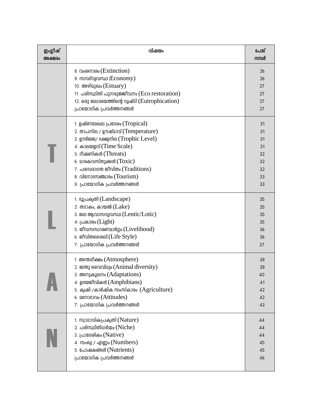| ഇംഗ്ലീഷ്<br>അക്ഷരം | വിഷയം                                         | പേജ്<br>നമ്പർ |
|--------------------|-----------------------------------------------|---------------|
|                    | 8. വംശനാശം (Extinction)                       | 26            |
|                    | 9. mmni njumna (Economy)                      | 26            |
|                    | 10. അഴിമുഖം (Estuary)                         | 27            |
|                    | 11. പരിസ്ഥിതി പുനരുജ്ജീവനം (Eco restoration)  | 27            |
|                    | 12. ഒരു ജലാശയത്തിന്റെ വൃഷ്ടി (Eutrophication) | 27            |
|                    | പ്രായോഗിക പ്രവർത്തനങ്ങൾ                       | 27            |
|                    | 1. ഉഷ്ണമേഖല പ്രദേശം (Tropical)                | 31            |
|                    | 2. താപനില / ഊഷ്മാവ് (Temperature)             | 31            |
|                    | 3. ഊർജജ/ ഭക്ഷ്യനില (Trophic Level)            | 31            |
|                    | 4. கാലയളവ് (Time Scale)                       | 31            |
|                    | 5. ദീഷണികൾ (Threats)                          | 32            |
|                    | 6. മാരകവസ്തുക്കൾ (Toxic)                      | 32            |
|                    | 7. പരമ്പരാഗത ജീവിതം (Traditions)              | 32            |
|                    | 8. വിനോദസഞ്ചാരം (Tourism)                     | 33            |
|                    | 9. പ്രായോഗിക പ്രവർത്തനങ്ങൾ                    | 33            |
|                    | 1. ഭൂപ്രകൃതി (Landscape)                      | 35            |
|                    | 2. തടാകം, കായൽ (Lake)                         | 35            |
|                    | 3. ജല ആവാസവ്വവസ്ഥ (Lentic/Lotic)              | 35            |
|                    | 4. പ്രകാരം (Light)                            | 35            |
|                    | 5. ജീവസന്ധാരണമാർഗ്ഗം (Livelihood)             | 36            |
|                    | 6. ജീവിതരൈലി (Life Style)                     | 36            |
|                    | 7. പ്രായോഗിക പ്രവർത്തനങ്ങൾ                    | 37            |
|                    | 1. അന്തരീക്ഷം (Atmosphere)                    | 39            |
|                    | 2. ജന്തു വൈവിധ്വം (Animal diversity)          | 39            |
|                    | 3. അനുകൂലനം (Adaptations)                     | 40            |
|                    | 4. ഉദയജീവികൾ (Amphibians)                     | 41            |
|                    | 5. കൃഷി /കാർഷിക സംസ്കാരം (Agriculture)        | 42            |
|                    | 6. 26m363010 (Attitudes)                      | 42            |
|                    | 7. പ്രായോഗിക പ്രവർത്തനങ്ങൾ                    | 43            |
|                    | 1. സ്വാദാവികപ്രകൃതി (Nature)                  | 44            |
|                    | 2. പരിസ്ഥിതിധർമ്മം (Niche)                    | 44            |
|                    | 3. (പാദേശികം (Native)                         | 44            |
|                    | 4. ஸ்வு / എണ്ണം (Numbers)                     | 45            |
|                    | 5. പോഷകങ്ങൾ (Nutrients)                       | 45            |
|                    | പ്രായോഗിക പ്രവർത്തനങ്ങൾ                       | 46            |
|                    |                                               |               |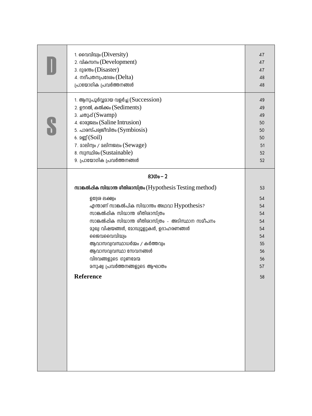| 1. ดดดบดาตม <sub>ง</sub> (Diversity)                           | 47 |
|----------------------------------------------------------------|----|
| 2. allemmo (Development)                                       | 47 |
| 3. BJ@COO (Disaster)                                           | 47 |
| 4. നദീപതനപ്രദേശം (Delta)                                       | 48 |
| പ്രായോഗിക പ്രവർത്തനങ്ങൾ                                        | 48 |
| 1. ആനുപൂർവ്വമായ വളർച്ച (Succession)                            | 49 |
| 2. ഊറൽ, കൽക്കം (Sediments)                                     | 49 |
| 3. ചതുപ്പ് (Swamp)                                             | 49 |
| 4. லைஜ் (Saline Intrusion)                                     | 50 |
| 5. പാരസ്പര്വജീവിതം (Symbiosis)                                 | 50 |
| 6. $\operatorname{sgn}(\mathrm{Soil})$                         | 50 |
| 7. 20 elmjo / 2 elme elo (Sewage)                              | 51 |
| 8. mamaloo (Sustainable)                                       | 52 |
| 9. പ്രായോഗിക പ്രവർത്തനങ്ങൾ                                     | 52 |
| $B$ 300 $-2$                                                   |    |
| സാങ്കൽപ്പിക സിദ്ധാന്ത രീതിരാസ്ത്രം (Hypothesis Testing method) | 53 |
| <b>ഉദ്ദേശ ലക്ഷ്യം</b>                                          | 54 |
| എന്താണ് സാങ്കൽപിക സിദ്ധാന്തം അഥവാ Hypothesis?                  | 54 |
| സാങ്കൽപ്പിക സിദ്ധാന്ത രീതിശാസ്ത്രം                             | 54 |
| സാങ്കൽപ്പിക സിദ്ധാന്ത രീതിരാസ്ത്രം - അടിസ്ഥാന സമീപനം           | 54 |
| മുഖ്വ വിഷയങ്ങൾ, മോഡ്വൂളുകൾ, ഉദാഹരണങ്ങൾ                         | 54 |
| ജൈവവൈവിദ്ധ്വം                                                  | 54 |
| ആവാസവ്വവസ്ഥാധർമ്മം / കർത്തവ്യം                                 | 55 |
| ആവാസവ്വവസ്ഥാ സേവനങ്ങൾ                                          | 56 |
| വിഭവങ്ങളുടെ ഗുണമേന്മ                                           | 56 |
| മനുഷ്വ പ്രവർത്തനങ്ങളുടെ ആഘാതം                                  | 57 |
| <b>Reference</b>                                               | 58 |
|                                                                |    |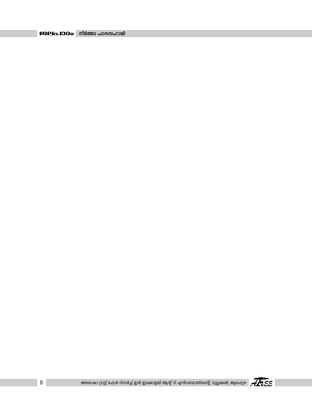### **ഉദലപാഠം** നീർത്തട പഠനസഹായി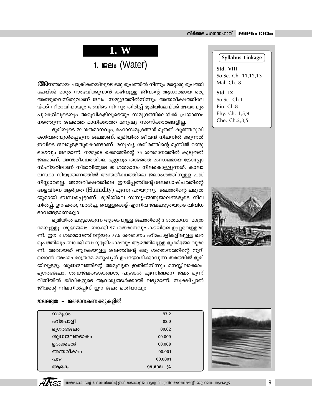## $\overline{\mathbf{1. W}}$ 1. gelo (Water)

(610നന്തമായ ചാക്രികതയിലൂടെ ഒരു രുപത്തിൽ നിന്നും മറ്റൊരു രുപത്തി ലേയ്ക്ക് മാറ്റം സംഭവിക്കുവാൻ കഴിവുള്ള ജീവന്റെ ആധാരമായ ഒരു അത്ഭുതവസ്തുവാണ് ജലം. സമുദ്രത്തിൽനിന്നും അന്തരീക്ഷത്തിലേ യ്ക്ക് നീരാവിയായും അവിടെ നിന്നും തിരിച്ച് ഭൂമിയിലേയ്ക്ക് മഴയായും പുഴകളിലുടെയും അരുവികളിലുടെയും സമുദ്രത്തിലേയ്ക്ക് പ്രയാണം നടത്തുന്ന ജലത്തെ മാനിക്കാത്ത മനുഷ്യ സംസ്ക്കാരങ്ങളില്ല.

ഭൂമിയുടെ 70 ശതമാനവും, മഹാസമുദ്രങ്ങൾ മുതൽ കുഞ്ഞരുവി കൾവരെയുൾപെടുന്ന ജലമാണ്. ഭൂമിയിൽ ജീവൻ നിലനിൽ ക്കുന്നത് ഇവിടെ ജലമുള്ളതുകൊണ്ടാണ്. മനുഷ്യ ശരീരത്തിന്റെ മൂന്നിൽ രണ്ടു ഭാഗവും ജലമാണ്. നമ്മുടെ രക്തത്തിന്റെ 75 ശതമാനത്തിൽ കുടുതൽ ജലമാണ്. അന്തരീക്ഷത്തിലെ ഏറ്റവും താഴത്തെ മണ്ഡലമായ ട്രോപ്പോ സ്ഫിയറിലാണ് നീരാവിയുടെ 90 ശതമാനം നിലകൊള്ളുന്നത്. കാലാ വസ്ഥാ നിയന്ത്രണത്തിൽ അന്തരീക്ഷത്തിലെ ജലാംശത്തിനുള്ള പങ്ക് നിസ്സാരമല്ല. അന്തരീക്ഷത്തിലെ ഈർപ്പത്തിന്റെ/ജലബാഷ്പത്തിന്റെ അളവിനെ ആർദ്രത (Humidity) എന്നു പറയുന്നു. ജലത്തിന്റെ ലഭ്യത യുമായി ബന്ധപ്പെട്ടാണ്, ഭൂമിയിലെ സസ്യ–ജന്തുജാലങ്ങളുടെ നില നിൽപ്പ്. ഊഷരത, വരൾച്ച, വെള്ളക്കെട്ട് എന്നിവ ജലലഭ്യതയുടെ വിവിധ ഭാവങ്ങളാണല്ലോ.

ഭൂമിയിൽ ലഭ്യമാകുന്ന ആകെയുള്ള ജലത്തിന്റെ 3 ശതമാനം മാത്ര മേയുള്ളു ശുദ്ധജലം. ബാക്കി 97 ശതമാനവും കടലിലെ ഉപ്പുവെള്ളമാ ണ്. ഈ 3 ശതമാനത്തിന്റെയും 77.5 ശതമാനം ഹിമപാളികളിലുള്ള ഖര രൂപത്തിലും ബാക്കി ബഹുഭൂരിപക്ഷവും ആഴത്തിലുള്ള ഭൂഗർഭജലവുമാ ണ്. അതായത് ആകെയുള്ള ജലത്തിന്റെ ഒരു ശതമാനത്തിന്റെ നൂറി ലൊന്ന് അംശം മാത്രമേ മനുഷ്യന് ഉപയോഗിക്കാവുന്ന തരത്തിൽ ഭുമി യിലുള്ളൂ. ശുദ്ധജലത്തിന്റെ അമൂല്യത ഇതിൽനിന്നും മനസ്സിലാക്കാം. ഭൂഗർഭജലം, ശുദ്ധജലതടാകങ്ങൾ, പുഴകൾ എന്നിങ്ങനെ ജലം മൂന്ന് രീതിയിൽ ജീവികളുടെ ആവശ്യങ്ങൾക്കായി ലഭ്യമാണ്. സൂക്ഷിച്ചാൽ ജീവന്റെ നിലനിൽപ്പിന് ഈ ജലം മതിയാവും.

#### സമുദ്രം 97.2 ഹിമപാളി  $02.0$ ഭൂഗർഭജലം 00.62 ശുദ്ധജലതടാകം 00.009 ഉൾക്കടൽ 00.008 അന്തരീക്ഷം 00.001 പൂഴ 00.0001 ആകെ 99.8381 %



ജലലഭ്വത – ശതമാനകണക്കുകളിൽ:

 $\widetilde{\mathscr{A}}\hspace{-0.1cm}\mathscr{A}$  . അശോകാ ട്രസ്റ്റ് ഫോർ റിസർച്ച് ഇൻ ഇക്കോളജി ആന്റ് ദി എൻവയോൺമെന്റ്, മുല്ലക്കൽ, ആലപ്പുഴ

#### Syllabus Linkage

Std. VIII So.Sc. Ch. 11,12,13 Mal. Ch. 8

Std. IX So.Sc. Ch.1 Bio. Ch.8 Phy. Ch. 1,5,9 Che. Ch.2,3,5



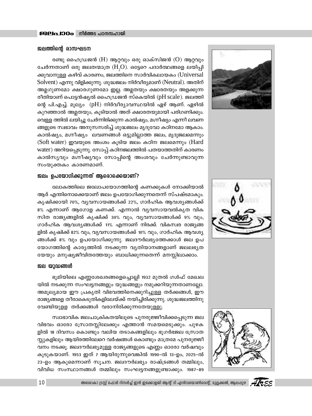### ജലത്തിന്റെ രാസഘടന

രണ്ടു ഹൈഡ്രജൻ (H) ആറ്റവും ഒരു ഓക്സിജൻ (O) ആറ്റവും ചേർന്നതാണ് ഒരു ജലതന്മാത്ര ( $\rm H_2O$ ). ഒട്ടേറെ പദാർത്ഥങ്ങളെ ലയിപ്പി ക്കുവാനുള്ള കഴിവ് കാരണം, ജലത്തിനെ സാർവികലായകം (Universal Solvent) എന്നു വിളിക്കുന്നു. ശുദ്ധജലം നിർവീര്യമാണ് (Neutral). അതിന് അമ്ലഗുണമോ ക്ഷാരഗുണമോ ഇല്ല. അമ്ലതയും ക്ഷാരതയും അളക്കുന്ന രീതിയാണ് പൊട്ടൻഷ്യൽ ഹൈഡ്രജൻ സ്കെയിൽ (pH scale). ജലത്തി ന്റെ പി.എച്ച്. മുല്യം (pH) നിർവീര്യാവസ്ഥയിൽ ഏഴ് ആണ്. ഏഴിൽ കുറഞ്ഞാൽ അമ്ലതയും, കുടിയാൽ അത് ക്ഷാരതയുമായി പരിഗണിക്കും. വെള്ള ത്തിൽ ലയിച്ചു ചേർന്നിരിക്കുന്ന കാൽഷ്യം, മഗ്നീഷ്യം എന്നീ ലവണ ങ്ങളുടെ സ്വഭാവം അനുസസരിച്ച് ശുദ്ധജലം മൃദൂവോ കഠിനമോ ആകാം. കാൽഷ്യം, മഗ്നീഷ്യം ലവണങ്ങൾ ഒട്ടുമില്ലാത്ത ജലം, മൃദുജലമെന്നും (Soft water) ഇവയുടെ അംശം കുടിയ ജലം കഠിന ജലമെന്നും (Hard water) അറിയപ്പെടുന്നു. സോപ്പ് കഠിനജലത്തിൽ പതയാത്തതിന് കാരണം കാൽസ്യവും മഗ്നീഷ്യവും സോപ്പിന്റെ അംശവും ചേർന്നുണ്ടാവുന്ന സംയുക്തകം കാരണമാണ്.

#### ജലം ഉപയോഗിക്കുന്നത് ആരൊക്കെയാണ്?

ലോകത്തിലെ ജലോപയോഗത്തിന്റെ കണക്കുകൾ നോക്കിയാൽ ആര് എന്തിനൊക്കെയാണ് ജലം ഉപയോഗിക്കുന്നതെന്ന് സ്പഷ്ടമാകും. കൃഷിക്കായി 70%, വൃവസായങ്ങൾക്ക് 22%, ഗാർഹിക ആവശ്യങ്ങൾക്ക് 8% എന്നാണ് ആഗോള കണക്ക്. എന്നാൽ വ്യവസായവൽകൃത വിക സിത രാജ്യങ്ങളിൽ കൃഷിക്ക് 30% വും, വ്യവസായങ്ങൾക്ക് 9% വും, ഗാർഹിക ആവശ്യങ്ങൾക്ക് 11% എന്നാണ് നിരക്ക്. വികസ്വര രാജ്യങ്ങ ളിൽ കൃഷിക്ക് 82% വും, വ്യവസായങ്ങൾക്ക് 10% വും, ഗാർഹിക ആവശ്യ ങ്ങൾക്ക് 8% വും ഉപയോഗിക്കുന്നു. ജലദൗർലഭ്യത്തേക്കാൾ ജല ഉപ യോഗത്തിന്റെ കാര്യത്തിൽ നടക്കുന്ന വ്യതിയാനങ്ങളാണ് ജലലഭ്യത യേയും മനുഷ്യജീവിതത്തേയും ബാധിക്കുന്നതെന്ന് മനസ്സിലാക്കാം.

#### ജല യുദ്ധങ്ങൾ

ഭൂമിയിലെ എണ്ണശേഖരങ്ങളെച്ചൊല്ലി 1932 മുതൽ ഗൾഫ് മേഖല യിൽ നടക്കുന്ന സംഘട്ടനങ്ങളും യുദ്ധങ്ങളും നമുക്കറിയുന്നതാണല്ലോ. അമൂല്യമായ ഈ പ്രകൃതി വിഭവത്തിനെക്കുറിച്ചുള്ള തർക്കങ്ങൾ, ഈ രാജ്യങ്ങളെ തീരാകെടുതികളിലേയ്ക്ക് നയിച്ചിരിക്കുന്നു. ശുദ്ധജലത്തിനു വേണ്ടിയുളള തർക്കങ്ങൾ വരാനിരിക്കുന്നതേയുള്ളു.

സ്വാഭാവിക ജലചാക്രികതയിലൂടെ പുനരുജ്ജീവിക്കപ്പെടുന്ന ജല വിഭവം ഓരോ സ്രോതസ്സിലേക്കും എത്താൻ സമയമെടുക്കും. പുഴക ളിൽ 18 ദിവസം കൊണ്ടും വലിയ തടാകങ്ങളിലും ഭൂഗർഭജല സ്രോത സ്ക്കുകളിലും ആയിരത്തിലേറെ വർഷങ്ങൾ കൊണ്ടും മാത്രമേ പുനരുജ്ജീ വനം നടക്കൂ. ജലദൗർലഭ്യമുള്ള രാജ്യങ്ങളുടെ എണ്ണം ഓരോ വർഷവും കൂടുകയാണ്. 1953 ഇത് 7 ആയിരുന്നുവെങ്കിൽ 1990–ൽ 13–ഉം, 2025–ൽ 23-ഉം ആകുമെന്നാണ് സൂചന. ജലദൗർലഭ്യം രാഷ്ട്രങ്ങൾ തമ്മിലും, വിവിധ സംസ്ഥാനങ്ങൾ തമ്മിലും സംഘട്ടനങ്ങളുണ്ടാക്കും. 1987-89





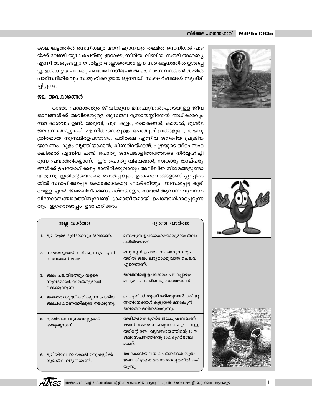കാലഘട്ടത്തിൽ സെനിഗലും മൗറീഷ്യാനയും തമ്മിൽ സെനിഗൽ പുഴ യ്ക്ക് വേണ്ടി യുദ്ധംചെയ്തു. ഇറാക്ക്, സിറിയ, ലിബിയ, സൗദി അറേബ്യ എന്നീ രാജ്യങ്ങളും നേരിട്ടും അല്ലാതെയും ഈ സംഘട്ടനത്തിൽ ഉൾപ്പെ ട്ടു. ഇൻഡ്യയിലാകട്ടെ കാവേരി നദീജലതർക്കം, സംസ്ഥാനങ്ങൾ തമ്മിൽ പാരിസ്ഥിതികവും സാമൂഹികവുമായ ഒട്ടനവധി സംഘർഷങ്ങൾ സൃഷ്ടി ച്ചിട്ടുണ്ട്.

### ജല അവകാരങ്ങൾ

ഓരോ പ്രദേശത്തും ജീവിക്കുന്ന മനുഷ്യനുൾപ്പെടെയുള്ള ജീവ ജാലങ്ങൾക്ക് അവിടെയുള്ള ശുദ്ധജല സ്രോതസ്സിന്മേൽ അധികാരവും അവകാശവും ഉണ്ട്. അരുവി, പുഴ, കുളം, തടാകങ്ങൾ, കായൽ, ഭൂഗർഭ ജലസോത്രസ്സുകൾ എന്നിങ്ങനെയുള്ള പൊതുവിഭവങ്ങളുടെ, ആസൂ ത്രിതമായ സുസ്ഥിരഉപഭോഗം, പരിരക്ഷ എന്നിവ ജനകീയ പ്രക്രിയ യാവണം. കുളം വൃത്തിയാക്കൽ, കിണറിറയ്ക്കൽ, പുഴയുടെ തീരം സംര ക്ഷിക്കൽ എന്നിവ പണ്ട് പൊതു ജനപങ്കാളിത്തത്തോടെ നിർവ്വഹിച്ചി രുന്ന പ്രവർത്തികളാണ്. ഈ പൊതു വിഭവങ്ങൾ, സ്വകാര്യ താല്പര്യ ങ്ങൾക്ക് ഉപയോഗിക്കപ്പെടാതിരിക്കുവാനും അലിഖിത നിയമങ്ങളുണ്ടാ യിരുന്നു. ഇതിന്റെയൊക്കെ തകർച്ചയുടെ ഉദാഹരണങ്ങളാണ് പ്ലാച്ചിമട യിൽ സ്ഥാപിക്കപ്പെട്ട കൊക്കോകോള ഫാക്ടറിയും ബന്ധപ്പെട്ട കുടി വെള്ള-ഭൂഗർ ജലമലിനീകരണ പ്രശ്നങ്ങളും. കായൽ ആവാസ വ്യവസ്ഥ വിനോദസഞ്ചാരത്തിനുവേണ്ടി ക്രമാതീതമായി ഉപയോഗിക്കപ്പെടുന്ന തും ഇതോടൊപ്പം ഉദാഹരിക്കാം.

| നല്ല വാർത്ത                                                           | ദുരന്ത വാർത്ത                                                                                                                               |
|-----------------------------------------------------------------------|---------------------------------------------------------------------------------------------------------------------------------------------|
| 1. ഭൂമിയുടെ ഭൂരിഭാഗവും ജലമാണ്.                                        | മനുഷ്യന് ഉപയോഗയോഗൃമായ ജലം<br>പരിമിതമാണ്.                                                                                                    |
| 2. സൗജന്യമായി ലഭിക്കുന്ന പ്രകൃതി<br>വിഭവമാണ് ജലം.                     | മനുഷ്യന് ഉപയോഗിക്കാവുന്ന രൂപ<br>ത്തിൽ ജലം ലഭ്യമാക്കുവാൻ ചെലവ്<br>ഏറെയാണ്.                                                                   |
| 3. ജലം പലയിടത്തും വളരെ<br>സുലഭമായി, സൗജന്യമായി<br>ലഭിക്കുന്നുണ്ട്.    | ജലത്തിന്റെ ഉപഭോഗം പലപ്പോഴും<br>മൂല്യം കണക്കിലെടുക്കാതെയാണ്.                                                                                 |
| 4.  ജലത്തെ ശുദ്ധീകരിക്കുന്ന പ്രക്രിയ<br>ജലചംക്രമണത്തിലൂടെ നടക്കുന്നു. | പ്രകൃതിക്ക് ശുദ്ധീകരിക്കുവാൻ കഴിയു<br>ന്നതിനേക്കാൾ കൂടുതൽ മനുഷ്യൻ<br>ജലത്തെ മലിനമാക്കുന്നു.                                                 |
| 5. ഭൂഗർഭ ജല സ്രോതസ്സുകൾ<br>അമുല്യമാണ്.                                | അമിതമായ ഭൂഗർഭ ജലചൂഷണമാണ്<br>1950ന് ശേഷം നടക്കുന്നത്. കുടിവെള്ള<br>ത്തിന്റെ 50%, വ്യവസായത്തിന്റെ 40 %<br>ജലസേചനത്തിന്റെ 20% ഭൂഗർഭജല<br>മാണ്. |
| 6. ഭൂമിയിലെ 100 കോടി മനുഷ്യർക്ക്<br>ശുദ്ധജല ലഭ്യതയുണ്ട്.              | 100 കോടിയിലധികം ജനങ്ങൾ ശുദ്ധ<br>ജലം കിട്ടാതെ അനാരോഗ്യത്തിൽ കഴി<br>യുന്നു.                                                                   |





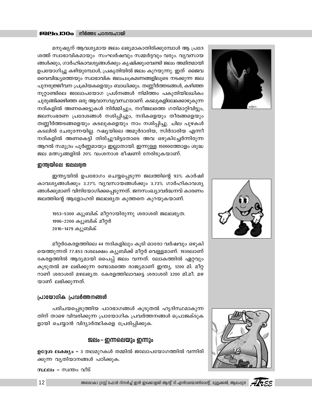#### **@@@LaloOo** midows alommanoul

മനുഷ്യന് ആവശ്യമായ ജലം ലഭ്യമാകാതിരിക്കുമ്പോൾ ആ പ്രദേ ശത്ത് സ്വാഭാവികമായും സംഘർഷവും സമ്മർദ്ദവും വരും. വ്യവസായ ങ്ങൾക്കും, ഗാർഹികാവശ്യങ്ങൾക്കും കൃഷിക്കുംവേണ്ടി ജലം അമിതമായി ഉപയോഗിച്ചു കഴിയുമ്പോൾ, പ്രകൃതിയിൽ ജലം കുറയുന്നു. ഇത് ജൈവ വൈവിദ്ധ്യത്തെയും സ്വാഭാവിക ജലചംക്രമണങ്ങളിലൂടെ നടക്കുന്ന ജല പുനരുജ്ജീവന പ്രക്രിയകളെയും ബാധിക്കും. തണ്ണീർത്തടങ്ങൾ, കഴിഞ്ഞ നുറ്റാണ്ടിലെ ജലോപയോഗ പ്രശ്നങ്ങൾ നിമിത്തം പകുതിയിലധികം ചുരുങ്ങിക്കഴിഞ്ഞ ഒരു ആവാസവ്യവസ്ഥയാണ്. കടലുകളിലേക്കൊഴുകുന്ന നദികളിൽ അണക്കെട്ടുകൾ നിർമ്മിച്ചും, നദീജലത്തെ ഗതിമാറ്റിവിട്ടും, ജലസംഭരണ പ്രദേശങ്ങൾ നശിപ്പിച്ചും, നദികളെയും തീരങ്ങളെയും തണ്ണീർത്തടങ്ങളെയും കടലുകളെയും നാം നശിപ്പിച്ചു. ചില പുഴകൾ കടലിൽ ചേരുന്നേയില്ല. റഷ്യയിലെ അമുർദാരിയ, സിർദാരിയ എന്നീ നദികളിൽ അണകെട്ടി തിരിച്ചുവിട്ടതോടെ അവ ഒഴുകിച്ചേർന്നിരുന്ന ആറൽ സമുദ്രം പൂർണ്ണമായും ഇല്ലാതായി. ഇന്നുള്ള 15000ത്തോളം ശുദ്ധ ജല മത്സ്യങ്ങളിൽ 20% വംശനാശ ഭീഷണി നേരിടുകയാണ്.

### ഇന്ത്വയിലെ ജലലഭ്വത

ഇന്ത്യയിൽ ഉപഭോഗം ചെയ്യപ്പെടുന്ന ജലത്തിന്റെ 93% കാർഷി കാവശ്യങ്ങൾക്കും 3.27% വ്യവസായങ്ങൾക്കും 3.73% ഗാർഹികാവശ്യ ങ്ങൾക്കുമാണ് വിനിയോഗിക്കപ്പെടുന്നത്. ജനസംഖ്യാവർദ്ധനവ് കാരണം ജലത്തിന്റെ ആളോഹരി ജലലഭ്യത കുത്തനെ കുറയുകയാണ്.

```
1953–5300 ക്യൂബിക് മീറ്ററായിരുന്നു ശരാശരി ജലലഭ്യത.
1996-2200 ക്യൂബിക് മീറ്റർ
2016–1479 ക്യൂബിക്
```
മീറ്റർകേരളത്തിലെ 44 നദികളിലും കൂടി ഓരോ വർഷവും ഒഴുകി യെത്തുന്നത് 77.853 ദശലക്ഷം ക്യൂബിക്ക് മീറ്റർ വെള്ളമാണ്. 1930ലാണ് കേരളത്തിൽ ആദ്യമായി പൈപ്പ് ജലം വന്നത്. ലോകത്തിൽ ഏറ്റവും കൂടുതൽ മഴ ലഭിക്കുന്ന രണ്ടാമത്തെ രാജ്യമാണ് ഇന്ത്യ. 1200 മി. മീറ്റ റാണ് ശരാശരി മഴലഭ്യത. കേരളത്തിലാവട്ടെ ശരാശരി 3200 മി.മീ. മഴ യാണ് ലഭിക്കുന്നത്.

### പ്രായോഗിക പ്രവർത്തനങ്ങൾ

പരിചയപ്പെടുത്തിയ പാഠഭാഗങ്ങൾ കൂടുതൽ ഹൃദിസ്ഥമാകുന്ന തിന് താഴെ വിവരിക്കുന്ന പ്രായോഗിക പ്രവർത്തനങ്ങൾ പ്രൊജക്ടുക ളായി ചെയ്യാൻ വിദ്യാർത്ഥികളെ പ്രേരിപ്പിക്കുക.

### ജലം – ഇന്നലെയും ഇന്നും

ഉദേശ ലക്ഷ്യം - 3 തലമുറകൾ തമ്മിൽ ജലോപയോഗത്തിൽ വന്നിരി ക്കുന്ന വ്യതിയാനങ്ങൾ പഠിക്കുക.

സ്ഥലം – സ്വന്തം വീട്





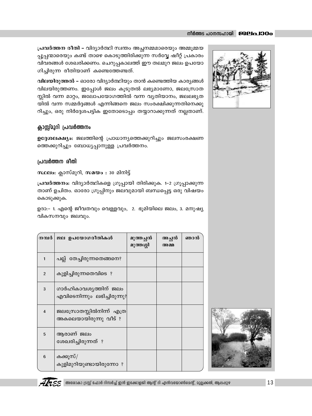പ്രവർത്തന രീതി – വിദ്യാർത്ഥി സ്വന്തം അച്ഛനമ്മമാരെയും അമ്മൂമ്മയ പ്പൂപ്പന്മാരെയും കണ്ട് താഴെ കൊടുത്തിരിക്കുന്ന സർവ്വേ ഷീറ്റ് പ്രകാരം വിവരങ്ങൾ ശേഖരിക്കണം. ചെറുപ്പകാലത്ത് ഈ തലമുറ ജലം ഉപയോ ഗിച്ചിരുന്ന രീതിയാണ് കണ്ടെത്തേണ്ടത്.

വിലയിരുത്തൽ – ഓരോ വിദ്യാർത്ഥിയും താൻ കണ്ടെത്തിയ കാര്യങ്ങൾ വിലയിരുത്തണം. ഇപ്പോൾ ജലം കൂടുതൽ ലഭ്യമാണോ, ജലസ്രോത സ്സിൽ വന്ന മാറ്റം, ജലോപയോഗത്തിൽ വന്ന വ്യതിയാനം, ജലലഭ്യത യിൽ വന്ന സമ്മർദ്ദങ്ങൾ എന്നിങ്ങനെ ജലം സംരക്ഷിക്കുന്നതിനെക്കു റിച്ചും, ഒരു നിർദ്ദേശപട്ടിക ഇതോടൊപ്പം തയ്യാറാക്കുന്നത് നല്ലതാണ്.

### ക്ലാസ്മുറി പ്രവർത്തനം

ഉദ്ദേശലക്ഷ്യം: ജലത്തിന്റെ പ്രാധാന്യത്തെക്കുറിച്ചും ജലസംരക്ഷണ ത്തെക്കുറിച്ചും ബോധ്യപ്പാനുള്ള പ്രവർത്തനം.

### പ്രവർത്തന രിതി

സ്ഥലം: ക്ലാസ്മുറി, സമയം : 30 മിനിട്ട്

പ്രവർത്തനം: വിദ്യാർത്ഥികളെ ഗ്രൂപ്പായി തിരിക്കുക. 1-2 ഗ്രൂപ്പാക്കുന്ന താണ് ഉചിതം. ഓരോ ഗ്രൂപ്പിനും ജലവുമായി ബന്ധപ്പെട്ട ഒരു വിഷയം കൊടുക്കുക.

ഉദാ:– 1. എന്റെ ജീവതവും വെള്ളവും, 2. ഭൂമിയിലെ ജലം, 3. മനുഷ്യ വികസനവും ജലവും.

| നമ്പർ                   | ജല ഉപയോഗരീതികൾ                                       | മുത്തച്ഛൻ<br>മുത്തശ്ശി | അച്ഛൻ<br>അമ്മ | ഞാൻ |
|-------------------------|------------------------------------------------------|------------------------|---------------|-----|
| 1                       | പല്ല് തേച്ചിരുന്നതെങ്ങനെ?                            |                        |               |     |
| 2                       | കുളിച്ചിരുന്നതെവിടെ ?                                |                        |               |     |
| 3                       | ഗാർഹികാവശ്യത്തിന് ജലം<br>എവിടെനിന്നും ലഭിച്ചിരുന്നു? |                        |               |     |
| $\overline{\mathbf{4}}$ | ജലസ്രോതസ്സിൽനിന്ന് എത്ര<br>അകലെയായിരുന്നു വീട് ?     |                        |               |     |
| 5                       | ആരാണ് ജലം<br>ശേഖരിച്ചിരുന്നത് ?                      |                        |               |     |
| 6                       | കക്കൂസ്/<br>കുളിമുറിയുണ്ടായിരുന്നോ ?                 |                        |               |     |





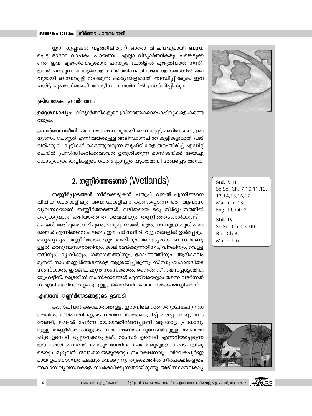### **@@@La\_loOo** midows aommano

ഈ ഗ്രൂപ്പുകൾ വട്ടത്തിലിരുന്ന് ഓരോ വിഷയവുമായി ബന്ധ പ്പെട്ട ഓരോ വാചകം പറയണം. എല്ലാ വിദ്യാർത്ഥികളും പങ്കെടുക്ക ണം. ഇവ എഴുതിയെടുക്കാൻ പറയുക (ചാർട്ടിൽ എഴുതിയാൽ നന്ന്). ഇവർ പറയുന്ന കാര്യങ്ങളെ കോർത്തിണക്കി ആഗോളതലത്തിൽ ജല വുമായി ബന്ധപ്പെട്ട് നടക്കുന്ന കാര്യങ്ങളുമായി ബന്ധിപ്പിക്കുക. ഇവ ചാർട്ട് രൂപത്തിലാക്കി നോട്ടീസ് ബോർഡിൽ പ്രദർശിപ്പിക്കുക.

### ക്രിയാത്മക പ്രവർത്തനം

ഉദ്ദേശലക്ഷ്യം: വിദ്യാർത്ഥികളുടെ ക്രിയാത്മകമായ കഴിവുകളെ കണ്ടെ ത്തുക.

പ്രവർത്തനരീതി: ജലസംരക്ഷണവുമായി ബന്ധപ്പെട്ട് കവിത, കഥ, ഉപ ന്യാസം പോസ്റ്റർ എന്നിവയ്ക്കുള്ള അടിസ്ഥാനചിന്ത കുട്ടികളുമായി പങ്ക് വയ്ക്കുക. കുട്ടികൾ കൊണ്ടുവരുന്ന സൃഷ്ടികളെ തരംതിരിച്ച് എഡിറ്റ് ചെയ്ത് പ്രസിദ്ധീകരിക്കുവാവൻ ഉദ്ദേശിക്കുന്ന മാസികയ്ക്ക് അയച്ചു കൊടുക്കുക. കുട്ടികളുടെ പേരും ക്ലാസ്സും വ്യക്തമായി രേഖപ്പെടുത്തുക.

### 2. തണ്ണീർത്തടങ്ങൾ (Wetlands)

തണ്ണീർപ്പാടങ്ങൾ, നീർക്കെട്ടുകൾ, ചതുപ്പ്, വയൽ എന്നിങ്ങനെ വിവിധ പേരുകളിലും അവസ്ഥകളിലും കാണപ്പെടുന്ന ഒരു ആവാസ വ്യവസ്ഥയാണ് തണ്ണീർത്തടങ്ങൾ. ലളിതമായ ഒരു നിർവ്വചനത്തിൽ ഒതുക്കുവാൻ കഴിയാത്തത്ര വൈവിധ്യം തണ്ണീർത്തടങ്ങൾക്കുണ്ട് -കായൽ, അഴിമുഖം, നദീമുഖം, ചതുപ്പ്, വയൽ, കുളം, നനവുള്ള പുൽപ്രദേ ശങ്ങൾ എന്നിങ്ങനെ പലതും ഈ പരിസ്ഥിതി വ്യൂഹങ്ങളിൽ ഉൾപ്പെടും. മനുഷ്യനും തണ്ണീർത്തടങ്ങളും തമ്മിലും അഭേദ്യമായ ബന്ധമാണു ള്ളത്. മത്സ്യബന്ധനത്തിനും, കാലിമേയ്ക്കുന്നതിനും, വിറകിനും, വെള്ള ത്തിനും, കൃഷിക്കും, ഗതാഗതത്തിനും, ഭക്ഷണത്തിനും, ആദികാലം മുതൽ നാം തണ്ണീർത്തടങ്ങളെ ആശ്രയിച്ചിരുന്നു. സിന്ധു ഗംഗാനദീതട സംസ്കാരം, ഈജിപ്ഷ്യൻ സംസ്ക്കാരം, നൈൽനദീ, മെസപ്പട്ടോമിയ, യൂഫ്രട്ടീസ്, ട്രൈഗീസ് സംസ്ക്കാരങ്ങൾ എന്നിവയെല്ലാം തന്നെ വളർന്നത് സമൃദ്ധിയേറിയ, വളക്കൂറുള്ള, ജലനിബിഡമായ സമതലങ്ങളിലാണ്.

### എന്താണ് തണ്ണീർത്തടങ്ങളുടെ ഉടമ്പടി

കാസ്പിയൻ കടലോരത്തുള്ള, ഇറാനിലെ റാംസർ (Ramsar) നഗ രത്തിൽ, നീർപക്ഷികളുടെ വംശനാശത്തെക്കുറിച്ച് ചർച്ച ചെയ്യുവാൻ വേണ്ടി, 1971-ൽ ചേർന്ന യോഗത്തിൽവെച്ചാണ് ആഗോള പ്രാധാന്യ മുള്ള തണ്ണീർത്തടങ്ങളുടെ സംരക്ഷണത്തിനുവേണ്ടിയുള്ള അന്താരാ ഷ്ട്ര ഉടമ്പടി ഒപ്പുവെക്കപ്പെട്ടത്. റാംസർ ഉടമ്പടി എന്നറിയപ്പെടുന്ന ഈ കരാർ പ്രാദേശീകമായും ദേശീയ തലത്തിലുമുള്ള നടപടികളിലൂ ടെയും മുഴുവൻ ജലാശയങ്ങളുടേയും സംരക്ഷണവും വിവേകപൂർണ്ണ മായ ഉപയോഗവും ലക്ഷ്യം വെക്കുന്നു. തുടക്കത്തിൽ നീർപക്ഷികളുടെ ആവാസവ്യവസ്ഥകളെ സംരക്ഷിക്കുന്നതായിരുന്നു അടിസ്ഥാനലക്ഷ്യ



Std. VIII So.Sc. Ch. 7,10,11,12, 13.14.15.16.17 Mal. Ch. 13 Eng. I Unit: 7

Std. IX So.Sc. Ch.1,5 (II) Bio. Ch.8 Mal. Ch.6

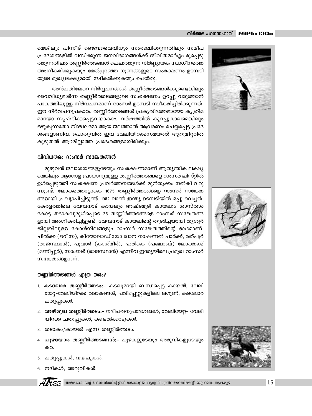മെങ്കിലും പിന്നീട് ജൈവവൈവിധ്യം സംരക്ഷിക്കുന്നതിലും സമീപ പ്രദേശങ്ങളിൽ വസിക്കുന്ന ജനവിഭാഗങ്ങൾക്ക് ജീവിതമാർഗ്ഗം രൂപ്പെടു ത്തുന്നതിലും തണ്ണീർത്തടങ്ങൾ ചെലുത്തുന്ന നിർണ്ണായക സ്വാധീനത്തെ അംഗീകരിക്കുകയും മേൽപ്പറഞ്ഞ ഗുണങ്ങളുടെ സംരക്ഷണം ഉടമ്പടി യുടെ മുഖ്യലക്ഷ്യമായി സ്വീകരിക്കുകയും ചെയ്തു.

അൻപതിലേറെ നിർവ്വചനങ്ങൾ തണ്ണീർത്തടങ്ങൾക്കുണ്ടെങ്കിലും വൈവിധ്യമാർന്ന തണ്ണീർത്തടങ്ങളുടെ സംരക്ഷണം ഉറപ്പു വരുത്താൻ പാകത്തിലുള്ള നിർവചനമാണ് റാംസർ ഉടമ്പടി സ്വീകരിച്ചിരിക്കുന്നത്. ഈ നിർവചനപ്രകാരം തണ്ണീർത്തടങ്ങൾ പ്രകൃതിദത്തമായോ കൃത്രിമ മായോ സൃഷ്ടിക്കപ്പെട്ടവയാകാം. വർഷത്തിൽ കുറച്ചുകാലമെങ്കിലും ഒഴുകുന്നതോ നിശ്ചലമോ ആയ ജലത്താൽ ആവരണം ചെയ്യപ്പെട്ട പ്രദേ ശങ്ങളാണിവ. പൊതുവിൽ ഇവ വേലിയിറക്കസമയത്ത് ആറുമീറ്ററിൽ കൂടുതൽ ആഴമില്ലാത്ത പ്രദേശങ്ങളായിരിക്കും.

### വിവിധതരം റാംസർ സങ്കേതങ്ങൾ

മുഴുവൻ ജലാശയങ്ങളുടേയും സംരക്ഷണമാണ് ആതൃന്തിക ലക്ഷ്യ മെങ്കിലും ആഗോള പ്രാധാന്യമുള്ള തണ്ണീർത്തടങ്ങളെ റാംസർ ലിസ്റ്റിൽ ഉൾപെടുത്തി സംരക്ഷണ പ്രവർത്തനങ്ങൾക്ക് മുൻതുക്കം നൽകി വരു ന്നുണ്ട്. ലോകത്തൊട്ടാകെ 1675 തണ്ണീർത്തടങ്ങളെ റാംസർ സങ്കേത ങ്ങളായി പ്രഖ്യാപിച്ചിട്ടുണ്ട്. 1982 ലാണ് ഇന്ത്യ ഉടമ്പടിയിൽ ഒപ്പു വെച്ചത്. കേരളത്തിലെ വേമ്പനാട് കായലും അഷ്ടമുടി കായലും ശാസ്താം കോട്ട തടാകവുമുൾപ്പെടെ 25 തണ്ണീർത്തടങ്ങളെ റാംസർ സങ്കേതങ്ങ ളായി അംഗീകരിച്ചിട്ടുണ്ട്. വേമ്പനാട് കായലിന്റെ തുടർച്ചയായി തൃശൂർ ജില്ലയിലുള്ള കോൾനിലങ്ങളും റാംസർ സങ്കേതത്തിന്റെ ഭാഗമാണ്. ചിൽക്ക (ഒറീസ), കിയോലാഡിയോ ഖാന നാഷണൽ പാർക്ക്, രത്പൂർ (രാജസ്ഥാൻ), പുവാർ (കാശ്മീർ), ഹരികെ (പഞ്ചാബ്) ലോക്തക്ക് (മണിപൂർ), സാംബർ (രാജസ്ഥാൻ) എന്നിവ ഇന്ത്യയിലെ പ്രമുഖ റാംസർ സങ്കേതങ്ങളാണ്.

### തണ്ണീർത്തടങ്ങൾ എത്ര തരം?

- 1. കടലോര തണ്ണീർത്തടം:- കടലുമായി ബന്ധപ്പെട്ട കായൽ, വേലി യേറ്റ-വേലിയിറക്ക തടാകങ്ങൾ, പവിഴപ്പുറ്റുകളിലെ ലഗൂൺ, കടലോര ചതുപ്പുകൾ.
- 2. അഴിമുഖ തണ്ണീർത്തടം:– നദീപതനപ്രദേശങ്ങൾ, വേലിയേറ്റ– വേലി യിറക്ക ചതുപ്പുകൾ, കണ്ടൽക്കാടുകൾ.
- 3. തടാകം/കായൽ എന്ന തണ്ണീർത്തടം.
- 4. പുഴയോര തണ്ണീർത്തടങ്ങൾ:- പുഴകളുടേയും അരുവികളുടേയും കര.
- 5. ചതുപ്പുകൾ, വയലുകൾ.
- 6. നദികൾ, അരുവികൾ.



 $\mathscr{U}\vphantom{U} z\mathcal{E}$  അശോകാ ട്രസ്റ്റ് ഫോർ റിസർച്ച് ഇൻ ഇക്കോളജി ആന്റ് ദി എൻവയോൺമെന്റ്, മുല്ലക്കൽ, ആലപ്പുഴ





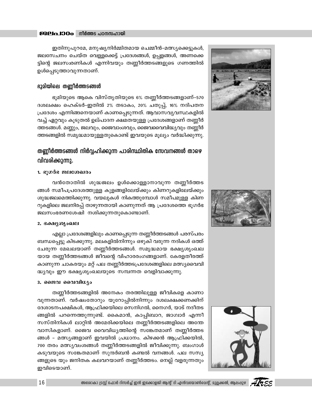ഇതിനുപുറമേ, മനുഷ്യനിർമ്മിതമായ ചെമ്മീൻ-മത്സ്യക്കെട്ടുകൾ, ജലസേചനം ചെയ്ത വെള്ളക്കെട്ട് പ്രദേശങ്ങൾ, ഉപ്പളങ്ങൾ, അണക്കെ ട്ടിന്റെ ജലസരണികൾ എന്നിവയും തണ്ണീർത്തടങ്ങളുടെ ഗണത്തിൽ ഉൾപ്പെടുത്താവുന്നതാണ്.

### ഭൂമിയിലെ തണ്ണീർത്തടങ്ങൾ

ഭൂമിയുടെ ആകെ വിസ്തൃതിയുടെ 6% തണ്ണീർത്തടങ്ങളാണ്–570 ദശലക്ഷം ഹെക്ടർ–ഇതിൽ 2% തടാകം, 20% ചതുപ്പ്, 16% നദിപതന പ്രദേശം എന്നിങ്ങനെയാണ് കാണപ്പെടുന്നത്. ആവാസവ്യവസ്ഥകളിൽ വച്ച് ഏറ്റവും കൂടുതൽ ഉല്പാദന ക്ഷമതയുള്ള പ്രദേശങ്ങളാണ് തണ്ണീർ ത്തടങ്ങൾ. മണ്ണും, ജലവും, ജൈവാംശവും, ജൈവവൈവിദ്ധ്യവും തണ്ണീർ ത്തടങ്ങളിൽ സമൃദ്ധമായുള്ളതുകൊണ്ട് ഇവയുടെ മൂല്യം വർദ്ധിക്കുന്നു.

### തണ്ണീർത്തടങ്ങൾ നിർവ്വഹിക്കുന്ന പാരിസ്ഥിതിക സേവനങ്ങൾ താഴെ വിവരിക്കുന്നു.

### 1. ഭൂഗർഭ ജലശേഖരം

വൻതോതിൽ ശുദ്ധജലം ഉൾക്കൊള്ളാനാവുന്ന തണ്ണീർത്തട ങ്ങൾ സമീപപ്രദേശത്തുള്ള കുളങ്ങളിലേയ്ക്കും കിണറുകളിലേയ്ക്കും ശുദ്ധജലമെത്തിക്കുന്നു. വയലുകൾ നികത്തുമ്പോൾ സമീപമുള്ള കിണ റുകളിലെ ജലനിരപ്പ് താഴുന്നതായി കാണുന്നത് ആ പ്രദേശത്തെ ഭൂഗർഭ ജലസംഭരണശേഷി നശിക്കുന്നതുകൊണ്ടാണ്.

### 2. ഭക്ഷൃശൃംഖല

എല്ലാ പ്രദേശങ്ങളിലും കാണപ്പെടുന്ന തണ്ണീർത്തടങ്ങൾ പരസ്പരം ബന്ധപ്പെട്ടു കിടക്കുന്നു. മലകളിൽനിന്നും ഒഴുകി വരുന്ന നദികൾ ഒത്ത് ചേരുന്ന മേഖലയാണ് തണ്ണീർത്തടങ്ങൾ. സമൃദ്ധമായ ഭക്ഷ്യശൃംഖല യായ തണ്ണീർത്തടങ്ങൾ ജീവന്റെ വിഹാരരംഗങ്ങളാണ്. കേരളതീരത്ത് കാണുന്ന ചാകരയും മറ്റ് പല തണ്ണീർത്തടപ്രദേശങ്ങളിലെ മത്സ്യവൈവി ദ്ധ്യവും ഈ ഭക്ഷ്യശൃംഖലയുടെ സമ്പന്നത വെളിവാക്കുന്നു.

### 3. ജൈവ വൈവിധ്യം

തണ്ണീർത്തടങ്ങളിൽ അനേകം തരത്തിലുള്ള ജീവികളെ കാണാ വുന്നതാണ്. വർഷംതോറും യൂറോപ്പിൽനിന്നും ദശലക്ഷക്കണക്കിന് ദേശാടനപക്ഷികൾ, ആഫ്രിക്കയിലെ സെനിഗൽ, നൈഗർ, യാട് നദീതട ങ്ങളിൽ പറന്നെത്തുന്നുണ്ട്. കൈമാൻ, കാപ്പിബാറ, ജാഗ്വാർ എന്നീ സസ്തിനികൾ ലാറ്റിൻ അമേരിക്കയിലെ തണ്ണീർത്തടങ്ങളിലെ അന്തേ വാസികളാണ്. ജൈവ വൈവിധ്യത്തിന്റെ സങ്കേതമാണ് തണ്ണീർത്തട ങ്ങൾ - മത്സ്യങ്ങളാണ് ഇവയിൽ പ്രധാനം. കിഴക്കൻ ആഫ്രിക്കയിൽ, 700 തരം മത്സ്യവംശങ്ങൾ തണ്ണീർത്തടങ്ങളിൽ ജീവിക്കുന്നു. ബംഗാൾ കടുവയുടെ സങ്കേതമാണ് സുന്ദർബൻ കണ്ടൽ വനങ്ങൾ. പല സസ്യ ങ്ങളുടെ യും ജനിതക കലവറയാണ് തണ്ണീർത്തടം. നെല്ല് വളരുന്നതും ഇവിടെയാണ്.





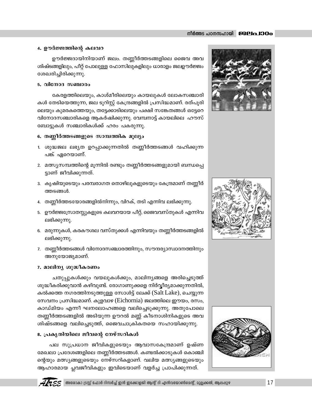### 4. ഊർജ്ജത്തിന്റെ കലവറ

ഊർജ്ജദായിനിയാണ് ജലം. തണ്ണീർത്തടങ്ങളിലെ ജൈവ അവ ശിഷ്ടങ്ങളിലും, പീറ്റ് പോലുള്ള ഫോസിലുകളിലും ധാരാളം ജലഊർജ്ജം ശേഖരിച്ചിരിക്കുന്നു.

### 5. വിനോദ സഞ്ചാരം

കേരളത്തിലെയും, കാശ്മീരിലെയും കായലുകൾ ലോകസഞ്ചാരി കൾ തേടിയെത്തുന്ന, ജല ടൂറിസ്റ്റ് കേന്ദ്രങ്ങളിൽ പ്രസിദ്ധമാണ്. രത്പൂരി ലെയും കുമരകത്തെയും, തട്ടേക്കാടിലെയും പക്ഷി സങ്കേതങ്ങൾ ഒട്ടേറെ വിനോദസഞ്ചാരികളെ ആകർഷിക്കുന്നു. വേമ്പനാട്ട് കായലിലെ ഹൗസ് ബോട്ടുകൾ സഞ്ചാരികൾക്ക് ഹരം പകരുന്നു.

### 6. തണ്ണീർത്തടങ്ങളുടെ സാമ്പത്തിക മൂല്യം

- 1. ശുദ്ധജല ലഭ്യത ഉറപ്പാക്കുന്നതിൽ തണ്ണീർത്തടങ്ങൾ വഹിക്കുന്ന പങ്ക് ഏറെയാണ്.
- 2. മത്സ്യസമ്പത്തിന്റെ മൂന്നിൽ രണ്ടും തണ്ണീർത്തടങ്ങളുമായി ബന്ധപ്പെ ട്ടാണ് ജീവിക്കുന്നത്.
- 3. കൃഷിയുടെയും പരമ്പരാഗത തൊഴിലുകളുടെയും കേന്ദ്രമാണ് തണ്ണീർ ത്തടങ്ങൾ.
- 4. തണ്ണീർത്തടയോരങ്ങളിൽനിന്നും, വിറക്, തടി എന്നിവ ലഭിക്കുന്നു.
- 5. ഊർജ്ജസ്രോതസ്സുകളുടെ കലവറയായ പീറ്റ്, ജൈവവസ്തുകൾ എന്നിവ ലഭിക്കുന്നു.
- 6. മരുന്നുകൾ, കരകൗശല വസ്തുക്കൾ എന്നിവയും തണ്ണീർത്തടങ്ങളിൽ ലഭിക്കുന്നു.
- 7. തണ്ണീർത്തടങ്ങൾ വിനോദസഞ്ചാരത്തിനും, സൗന്ദര്യാസ്ഥദനത്തിനും അനുയോജ്യമാണ്.

### 7. മാലിന്യ ശുദ്ധീകരണം

ചതുപൂകൾക്കും വയലുകൾക്കും, മാലിന്യങ്ങളെ അരിച്ചെടുത്ത് ശുദ്ധീകരിക്കുവാൻ കഴിവുണ്ട്. രോഗാണുക്കളെ നിർവ്വീര്യമാക്കുന്നതിൽ, കൽക്കത്ത നഗരത്തിനടുത്തുള്ള സോൾട്ട് ലേക്ക് (Salt Lake), ചെയ്യുന്ന സേവനം പ്രസിദ്ധമാണ്. കുളവാഴ (Eichornia) ജലത്തിലെ ഈയം, രസം, കാഡ്മിയം എന്നീ ഘനലോഹങ്ങളെ വലിച്ചെടുക്കുന്നു. അതുപോലെ തണ്ണീർത്തടങ്ങളിൽ അടിയുന്ന ഊറൽ മണ്ണ് കീടനാശിനികളുടെ അവ ശിഷ്ടങ്ങളെ വലിച്ചെടുത്ത്, ജൈവചാക്രികതയെ സഹായിക്കുന്നു.

### 8. പ്രകൃതിയിലെ ജീവന്റെ നേഴ്സറികൾ

പല സുപ്രധാന ജീവികളുടെയും ആവാസകേന്ദ്രമാണ് ഉഷ്ണ മേഖലാ പ്രദേശങ്ങളിലെ തണ്ണീർത്തടങ്ങൾ. കണ്ടൽക്കാടുകൾ കൊഞ്ചി ന്റെയും മത്സ്യങ്ങളുടെയും നേഴ്സറികളാണ്. വലിയ മത്സ്യങ്ങളുടെയും ആഹാരമായ പ്ലവജീവികളും ഇവിടെയാണ് വളർച്ച പ്രാപിക്കുന്നത്.







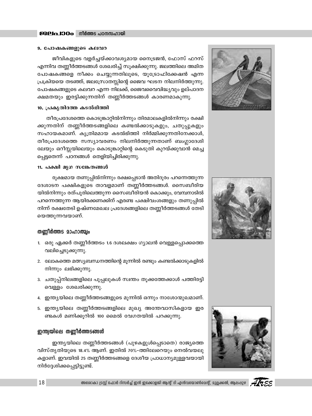#### **@@@Lo\_IOOo** midows alommaniwa

#### 9. പോഷകങ്ങളുടെ കലവറ

ജീവികളുടെ വളർച്ചയ്ക്കാവശ്യമായ നൈട്രജൻ, ഫോസ് ഫറസ് എന്നിവ തണ്ണീർത്തടങ്ങൾ ശേഖരിച്ച് സൂക്ഷിക്കുന്നു. ജലത്തിലെ അമിത പോഷകങ്ങളെ നീക്കം ചെയ്യുന്നതിലുടെ, യുട്രോഫിക്കേഷൻ എന്ന പ്രക്രിയയെ തടഞ്ഞ്, ജലസ്രോതസ്സിന്റെ ജൈവ ഘടന നിലനിർത്തുന്നു. പോഷകങ്ങളുടെ കലവറ എന്ന നിലക്ക്, ജൈവവൈവിദ്ധ്യവും ഉല്പാദന ക്ഷമതയും ഇരട്ടിക്കുന്നതിന് തണ്ണീർത്തടങ്ങൾ കാരണമാകുന്നു.

#### 10. പ്രകൃതിദത്ത കടൽഭിത്തി

തീരപ്രദേശത്തെ കൊടുങ്കാറ്റിൽനിന്നും തിരമാലകളിൽനിന്നും രക്ഷി ക്കുന്നതിന് തണ്ണീർത്തടങ്ങളിലെ കണ്ടൽക്കാടുകളും, ചതുപ്പുകളും സഹായകമാണ്. കൃത്രിമമായ കടൽഭിത്തി നിർമ്മിക്കുന്നതിനേക്കാൾ, തീരപ്രദേശത്തെ സസ്യാവരണം നിലനിർത്തുന്നതാണ് ബംഗ്ലാദേശി ലേയും ഒറീസ്സയിലെയും കൊടുങ്കാറ്റിന്റെ കെടുതി കുറയ്ക്കുവാൻ മെച്ച പ്പെട്ടതെന്ന് പഠനങ്ങൾ തെളിയിച്ചിരിക്കുന്നു.

#### 11. പക്ഷി മൃഗ സങ്കേതങ്ങൾ

രൂക്ഷമായ തണുപ്പിൽനിന്നും രക്ഷപ്പെടാൻ അതിദൂരം പറന്നെത്തുന്ന ദേശാടന പക്ഷികളുടെ താവളമാണ് തണ്ണീർത്തടങ്ങൾ. സൈബീരിയ യിൽനിന്നും രത്പൂരിലെത്തുന്ന സൈബീരിയൻ കൊക്കും, വേമ്പനാടിൽ പറന്നെത്തുന്ന ആയിരക്കണക്കിന് എരണ്ട പക്ഷിവംശങ്ങളും തണുപ്പിൽ നിന്ന് രക്ഷതേടി ഉഷ്ണമേഖല പ്രദേശങ്ങളിലെ തണ്ണീർത്തടങ്ങൾ തേടി യെത്തുന്നവയാണ്.

### തണ്ണീർത്തട മാഹാത്മ്യം

- 1. ഒരു ഏക്കർ തണ്ണീർത്തടം 1.6 ദശലക്ഷം ഗ്യാലൻ വെള്ളപ്പൊക്കത്തെ വലിച്ചെടുക്കുന്നു.
- 2. ലോകത്തെ മത്സ്യബന്ധനത്തിന്റെ മൂന്നിൽ രണ്ടും കണ്ടൽക്കാടുകളിൽ നിന്നും ലഭിക്കുന്നു.
- 3. ചതുപ്പ്നിലങ്ങളിലെ പൂപ്പലുകൾ സ്വന്തം തൂക്കത്തേക്കാൾ പത്തിരട്ടി വെള്ളം ശേഖരിക്കുന്നു.
- 4. ഇന്ത്യയിലെ തണ്ണീർത്തടങ്ങളുടെ മൂന്നിൽ ഒന്നും നാശോന്മുഖമാണ്.
- 5. ഇന്ത്യയിലെ തണ്ണീർത്തടങ്ങളിലെ മുഖ്യ അന്തേവാസികളായ ഇര ണ്ടകൾ മണിക്കൂറിൽ 100 മൈൽ വേഗതയിൽ പറക്കുന്നു.

### ഇന്ത്വയിലെ തണ്ണീർത്തടങ്ങൾ

ഇന്ത്യയിലെ തണ്ണീർത്തടങ്ങൾ (പുഴകളുൾപ്പെടാതെ) രാജ്യത്തെ വിസ്തൃതിയുടെ 18.4% ആണ്. ഇതിൽ 70%–ത്തിലേറെയും നെൽവയലു കളാണ്. ഇവയിൽ 25 തണ്ണീർത്തടങ്ങളെ ദേശീയ പ്രാധാന്യമുള്ളവയായി നിർദ്ദേശിക്കപ്പെട്ടിട്ടുണ്ട്.





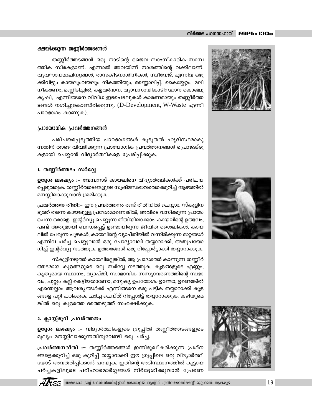### ക്ഷയിക്കുന്ന തണ്ണീർത്തടങ്ങൾ

തണ്ണീർത്തടങ്ങൾ ഒരു നാടിന്റെ ജൈവ–സാംസ്കാരിക–സാമ്പ ത്തിക സിരകളാണ്. എന്നാൽ അവയിന്ന് നാശത്തിന്റെ വക്കിലാണ്. വ്യവസായമാലിനൃങ്ങൾ, രാസകീടനാശിനികൾ, സ്വീവേജ്, എന്നിവ ഒഴു ക്കിവിട്ടും കായലുംവയലും നികത്തിയും, മണ്ണൊലിപ്പ്, കൈയ്യേറ്റം, മലി നീകരണം, മണ്ണിടിച്ചിൽ, കളവർദ്ധന, വ്യാവസായികാടിസ്ഥാന കൊഞ്ചു കൃഷി, എന്നിങ്ങനെ വിവിധ ഇടപെടലുകൾ കാരണമായും തണ്ണീർത്ത ടങ്ങൾ നശിച്ചുകൊണ്ടിരിക്കുന്നു. (D-Development, W-Waste എന്നീ പാഠഭാഗം കാണുക).

### പ്രായോഗിക പ്രവർത്തനങ്ങൾ

പരിചയപ്പെടുത്തിയ പാഠഭാഗങ്ങൾ കൂടുതൽ ഹൃദിസ്ഥമാകു ന്നതിന് താഴെ വിവരിക്കുന്ന പ്രായോഗിക പ്രവർത്തനങ്ങൾ പ്രൊജക്ടു കളായി ചെയ്യാൻ വിദ്യാർത്ഥികളെ പ്രേരിപ്പിക്കുക.

### 1. തണ്ണീർത്തടം സർവ്വേ

ഉദ്ദേശ ലക്ഷ്യം :– വേമ്പനാട് കായലിനെ വിദ്യാർത്ഥികൾക്ക് പരിചയ പ്പെടുത്തുക. തണ്ണീർത്തടങ്ങളുടെ സൂഷ്മസ്വഭാവത്തെക്കുറിച്ച് ആഴത്തിൽ മനസ്സിലാക്കുവാൻ ശ്രമിക്കുക.

പ്രവർത്തന രീതി:– ഈ പ്രവർത്തനം രണ്ട് രീതിയിൽ ചെയ്യാം. സ്കൂളിന ടുത്ത് തന്നെ കായലുള്ള പ്രദേശമാണെങ്കിൽ, അവിടെ വസിക്കുന്ന പ്രായം ചെന്ന ഒരാളെ ഇന്റർവ്യൂ ചെയ്യുന്ന രീതിയിലാക്കാം. കായലിന്റെ ഉത്ഭവം, പണ്ട് അതുമായി ബന്ധപ്പെട്ട് ഉണ്ടായിരുന്ന ജീവിത ശൈലികൾ, കായ ലിൽ ചേരുന്ന പുഴകൾ, കായലിന്റെ വ്യാപ്തിയിൽ വന്നിരിക്കുന്ന മാറ്റങ്ങൾ എന്നിവ ചർച്ച ചെയ്യുവാൻ ഒരു ചോദ്യാവലി തയ്യാറാക്കി, അതുപയോ ഗിച്ച് ഇന്റർവ്യൂ നടത്തുക. ഉത്തരങ്ങൾ ഒരു റിപ്പോർട്ടാക്കി തയ്യാറാക്കുക.

സ്കൂളിനടുത്ത് കായലില്ലെങ്കിൽ, ആ പ്രദേശത്ത് കാണുന്ന തണ്ണീർ ത്തടമായ കുളങ്ങളുടെ ഒരു സർവ്വേ നടത്തുക. കുളങ്ങളുടെ എണ്ണം, കൃത്യമായ സ്ഥാനം, വ്യാപ്തി, സ്വാഭാവിക സസ്യാവരണത്തിന്റെ സ്വഭാ വം, ചുറ്റും കല്ല് കെട്ടിയതാണോ, മനുഷ്യ ഉപയോഗം ഉണ്ടോ, ഉണ്ടെങ്കിൽ എന്തെല്ലാം ആവശ്യങ്ങൾക്ക് എന്നിങ്ങനെ ഒരു പട്ടിക തയ്യാറാക്കി കുള ങ്ങളെ പറ്റി പഠിക്കുക. ചർച്ച ചെയ്ത് റിപ്പോർട്ട് തയ്യാറാക്കുക. കഴിയുമെ ങ്കിൽ ഒരു കുളത്തെ ദത്തെടുത്ത് സംരക്ഷിക്കുക.

### 2. ക്ലാസ്സ്മുറി പ്രവർത്തനം

ഉദ്ദേശ ലക്ഷ്യം :- വിദ്യാർത്ഥികളുടെ ഗ്രൂപ്പിൽ തണ്ണീർത്തടങ്ങളുടെ മൂല്യം മനസ്സിലാക്കുന്നതിനുവേണ്ടി ഒരു ചർച്ച.

പ്രവർത്തനരീതി :- തണ്ണീർത്തടങ്ങൾ ഇന്നിമുഖീകരിക്കുന്ന പ്രശ്ന ങ്ങളെക്കുറിച്ച് ഒരു കുറിപ്പ് തയ്യാറാക്കി ഈ ഗ്രൂപ്പിലെ ഒരു വിദ്യാർത്ഥി യോട് അവതരിപ്പിക്കാൻ പറയുക. ഇതിന്റെ അടിസ്ഥാനത്തിൽ കൂട്ടായ ചർച്ചകളിലൂടെ പരിഹാരമാർഗ്ഗങ്ങൾ നിർദ്ദേശിക്കുവാൻ പ്രേരണ







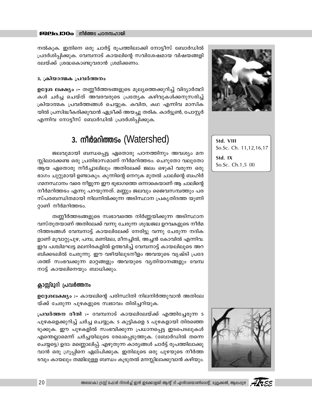നൽകുക. ഇതിനെ ഒരു ചാർട്ട് രൂപത്തിലാക്കി നോട്ടീസ് ബോർഡിൽ പ്രദർശിപ്പിക്കുക. വേമ്പനാട് കായലിന്റെ സവിശേഷമായ വിഷയങ്ങളി ലേയ്ക്ക് ശ്രദ്ധകൊണ്ടുവരാൻ ശ്രമിക്കണം.

### 3. ക്രിയാത്മക പ്രവർത്തനം

ഉദേശ ലക്ഷ്യം :- തണ്ണീർത്തടങ്ങളുടെ മുല്യത്തെക്കുറിച്ച് വിദ്യാർത്ഥി കൾ ചർച്ച ചെയ്ത് അവരവരുടെ പ്രത്യേക കഴിവുകൾക്കനുസരിച്ച് ക്രിയാത്മക പ്രവർത്തങ്ങൾ ചെയ്യുക. കവിത, കഥ എന്നിവ മാസിക യിൽ പ്രസിദ്ധീകരിക്കുവാൻ ഏട്രീക്ക് അയച്ചു തരിക. കാർട്ടൂൺ, പോസ്റ്റർ എന്നിവ നോട്ടീസ് ബോർഡിൽ പ്രദർശിപ്പിക്കുക.

## 3. midanimos. (Watershed)

ജലവുമായി ബന്ധപ്പെട്ട ഏതൊരു പഠനത്തിനും അവശ്യം മന സ്ലിലാക്കേണ്ട ഒരു പ്രതിഭാസമാണ് നീർമറിത്തടം. ചെറുതോ വലുതോ ആയ ഏതൊരു നീർച്ചാലിലും അതിലേക്ക് ജലം ഒഴുകി വരുന്ന ഒരു ഭാഗം ചുറ്റുമായി ഉണ്ടാകും. കുന്നിന്റെ നെറുക മുതൽ ചാലിന്റെ ബഹിർ ഗമനസ്ഥാനം വരെ നീളുന്ന ഈ ഭുഭാഗത്തെ ഒന്നാകെയാണ് ആ ചാലിന്റെ നീർമറിത്തടം എന്നു പറയുന്നത്. മണ്ണും ജലവും ജൈവസമ്പത്തും പര സ്പരബന്ധിതമായി നിലനിൽക്കുന്ന അടിസ്ഥാന പ്രകൃതിദത്ത യൂണി റ്റാണ് നീർമറിത്തടം.

തണ്ണീർത്തടങ്ങളുടെ സ്വഭാവത്തെ നിർണ്ണയിക്കുന്ന അടിസ്ഥാന വസ്തുതയാണ് അതിലേക്ക് വന്നു ചേരുന്ന ശുദ്ധജല ഉറവകളുടെ നീർമ റിത്തടങ്ങൾ വേമ്പനാട്ട് കായലിലേക്ക് നേരിട്ടു വന്നു ചേരുന്ന നദിക ളാണ് മുവാറ്റുപുഴ, പമ്പ, മണിമല, മീനച്ചിൽ, അച്ചൻ കോവിൽ എന്നിവ. ഇവ പശ്ചിമഘട്ട മലനിരകളിൽ ഉത്ഭവിച്ച് വേമ്പനാട്ട് കായലിലൂടെ അറ ബിക്കടലിൽ ചേരുന്നു. ഈ വഴിയിലുടനീളം അവയുടെ വൃഷ്ടി പ്രദേ ശത്ത് സംഭവക്കുന്ന മാറ്റങ്ങളും അവയുടെ വൃതിയാനങ്ങളും വേമ്പ നാട്ട് കായലിനെയും ബാധിക്കും.

### ക്ലാസ്റ്റാറി പ്രവർത്തനം

ഉദേശലക്ഷ്യം :– കായലിന്റെ പരിസ്ഥിതി നിലനിർത്തുവാൻ അതിലേ യ്ക്ക് ചേരുന്ന പുഴകളുടെ സ്വഭാവം തിരിച്ചറിയുക.

പ്രവർത്തന രീതി :- വേമ്പനാട് കായലിലേയ്ക്ക് എത്തിച്ചേരുന്ന 5 പുഴകളെക്കുറിച്ച് ചർച്ച ചെയ്യുക. 5 കുട്ടികളെ 5 പുഴകളായി തിരഞ്ഞെ ടുക്കുക. ഈ പുഴകളിൽ സംഭവിക്കുന്ന പ്രധാനപ്പെട്ട ഇടപെടലുകൾ എന്തെല്ലാമെന്ന് ചർച്ചയിലൂടെ രേഖപ്പെടുത്തുക. (ബോർഡിൽ തന്നെ ചെയ്യട്ടെ) ഉദാ: മണ്ണൊലിപ്പ്. എഴുതുന്ന കാര്യങ്ങൾ ചാർട്ട് രൂപത്തിലാക്കു വാൻ ഒരു ഗ്രൂപ്പിനെ ഏല്പിക്കുക. ഇതിലൂടെ ഒരു പുഴയുടെ നീർത്ത ടവും കായലും തമ്മിലുള്ള ബന്ധം കൂടുതൽ മനസ്സിലാക്കുവാൻ കഴിയും.



Std. VIII So.Sc. Ch. 11,12,16,17 Std. IX So.Sc. Ch.1,5 (II)

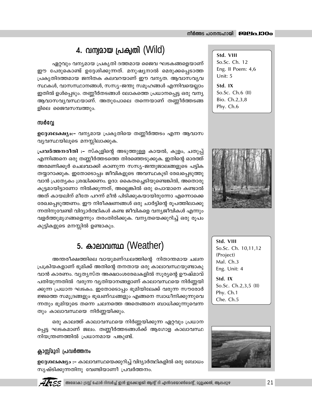Std. VIII So.Sc. Ch. 12

Unit: 5

Std. IX

Eng. II Poem: 4,6

So.Sc. Ch.6 (II)

Bio. Ch.2.3.8

Phy. Ch.6

## 4. വന്വമായ പ്രക്വതി (Wild)

ഏറ്റവും വന്യമായ പ്രകൃതി ദത്തമായ ജൈവ ഘടകങ്ങളെയാണ് ഈ പേരുകൊണ്ട് ഉദ്ദേശിക്കുന്നത്. മനുഷ്യനാൽ മെരുക്കപ്പെടാത്ത പ്രകൃതിദത്തമായ ജനിതക കലവറയാണ് ഈ വന്യത. ആവാസവ്യവ സ്ഥകൾ, വാസസ്ഥാനങ്ങൾ, സസ്യ–ജന്തു സമുഹങ്ങൾ എന്നിവയെല്ലാം ഇതിൽ ഉൾപ്പെടും. തണ്ണീർതടങ്ങൾ ലോകത്തെ പ്രധാനപ്പെട്ട ഒരു വന്യ ആവാസവ്യവസ്ഥയാണ്. അതുപോലെ തന്നെയാണ് തണ്ണീർത്തടങ്ങ ളിലെ ജൈവസമ്പത്തും.

### സർവേ

ഉദേശലക്ഷ്യം:– വന്യമായ പ്രകൃതിയെ തണ്ണീർത്തടം എന്ന ആവാസ വ്യവസ്ഥയിലൂടെ മനസ്സിലാക്കുക.

പ്രവർത്തനരീതി :– സ്കൂളിന്റെ അടുത്തുള്ള കായൽ, കൂളം, ചതുപ് എന്നിങ്ങനെ ഒരു തണ്ണീർത്തടത്തെ തിരഞ്ഞെടുക്കുക. ഇതിന്റെ ഓരത്ത് അരമണിക്കൂർ ചെലവാക്കി കാണുന്ന സസ്യ-ജന്തുജാലങ്ങളുടെ പട്ടിക തയ്യാറാക്കുക. ഇതോടൊപ്പം ജീവികളുടെ അവസ്ഥകൂടി രേഖപ്പെടുത്തു വാൻ പ്രത്യേകം ശ്രദ്ധിക്കണം. ഉദാ: കൈതച്ചെടിയുണ്ടെങ്കിൽ, അതൊരു കൂട്ടമായിട്ടാണോ നിൽക്കുന്നത്, അല്ലെങ്കിൽ ഒരു പൊന്മാനെ കണ്ടാൽ അത് കായലിന് മീതേ പറന്ന് മീൻ പിടിക്കുകയായിരുന്നോ എന്നൊക്കെ രേഖപ്പെടുത്തണം. ഈ നിരീക്ഷണങ്ങൾ ഒരു ചാർട്ടിന്റെ രുപത്തിലാക്കു ന്നതിനുവേണ്ടി വിദ്യാർത്ഥികൾ കണ്ട ജീവികളെ വന്യജീവികൾ എന്നും വളർത്തുമൃഗങ്ങളെന്നും തരംതിരിക്കുക. വനൃതയെക്കുറിച്ച് ഒരു രൂപം കുട്ടികളുടെ മനസ്സിൽ ഉണ്ടാകും.

Std. VIII

(Project)

Std. IX

Phy. Ch.1

Che. Ch.5

Mal. Ch.3

Eng. Unit: 4

So.Sc. Ch. 10,11,12

So.Sc. Ch.2,3,5 (II)

## 5. കാലാവസ്ഥ (Weather)

അന്തരീക്ഷത്തിലെ വായുമണ്ഡലത്തിന്റെ നിതാന്തമായ ചലന പ്രക്രിയകളാണ് ഭുമിക്ക് അതിന്റെ തനതായ ഒരു കാലാവസ്ഥയുണ്ടാകു വാൻ കാരണം. വൃതൃസ്ത അക്ഷാംശരേഖകളിൽ സുര്യന്റെ ഊഷ്മാവ് പതിയുന്നതിൽ വരുന്ന വൃതിയാനങ്ങളാണ് കാലാവസ്ഥയെ നിർണ്ണയി ക്കുന്ന പ്രധാന ഘടകം. ഇതോടൊപ്പം ഭൂമിയിലേക്ക് വരുന്ന സൗരോർ ജ്ജത്തെ സമുദ്രങ്ങളും ഭുഖണ്ഡങ്ങളും എങ്ങനെ സ്വാധീനിക്കുന്നുവെ ന്നതും ഭൂമിയുടെ തന്നെ ചലനത്തെ അതെങ്ങനെ ബാധിക്കുന്നുവെന്ന തും കാലാവസ്ഥയെ നിർണ്ണയിക്കും.

ഒരു കാലത്ത് കാലാവസ്ഥയെ നിർണ്ണയിക്കുന്ന ഏറ്റവും പ്രധാന പ്പെട്ട ഘടകമാണ് ജലം. തണ്ണീർത്തടങ്ങൾക്ക് ആഗോള കാലാവസ്ഥ നിയന്ത്രണത്തിൽ പ്രധാനമായ പങ്കുണ്ട്.

### ക്ലാസ്സ്മുറി പ്രവർത്തനം

ഉദ്ദേശലക്ഷ്യം :– കാലാവസ്ഥയെക്കുറിച്ച് വിദ്യാർത്ഥികളിൽ ഒരു ബോധം സൃഷ്ടിക്കുന്നതിനു വേണ്ടിയാണീ പ്രവർത്തനം.



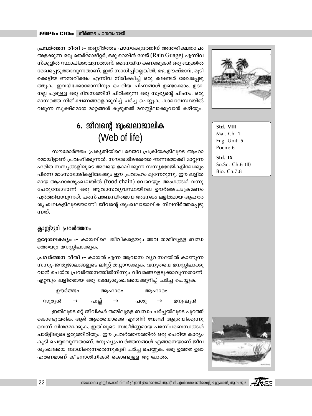

Std. VIII Mal. Ch. 1 Eng. Unit: 5 Poem: 6 Std. IX So.Sc. Ch.6 (II) Bio. Ch.7,8

പ്രവർത്തന രീതി :- തണ്ണീർത്തട പഠനകേന്ദ്രത്തിന് അന്തരീക്ഷതാപം അളക്കുന്ന ഒരു തെർമോമീറ്റർ, ഒരു റെയിൻ ഗേജ് (Rain Guage) എന്നിവ സ്കുളിൽ സ്ഥാപിക്കാവുന്നതാണ്. ദൈനംദിന കണക്കുകൾ ഒരു ബുക്കിൽ രേഖപ്പെടുത്താവുന്നതാണ്. ഇത് സാധിച്ചില്ലെങ്കിൽ, മഴ, ഊഷ്മാവ്, മൂടി ക്കെട്ടിയ അന്തരീക്ഷം എന്നിവ നിരീക്ഷിച്ച് ഒരു കലണ്ടർ രേഖപ്പെടു ത്തുക. ഇവയ്ക്കോരോന്നിനും ചെറിയ ചിഹ്നങ്ങൾ ഉണ്ടാക്കാം. ഉദാ: നല്ല ചൂടുള്ള ഒരു ദിവസത്തിന് ചിരിക്കുന്ന ഒരു സൂര്യന്റെ ചിഹ്നം. ഒരു മാസത്തെ നിരീക്ഷണങ്ങളെക്കുറിച്ച് ചർച്ച ചെയ്യുക. കാലാവസ്ഥയിൽ വരുന്ന സൂക്ഷ്മമായ മാറ്റങ്ങൾ കൂടുതൽ മനസ്സിലാക്കുവാൻ കഴിയും.

## 6. ജീവന്റെ രുംഖലാജാലിക (Web of life)

സൗരോർജ്ജം പ്രകൃതിയിലെ ജൈവ പ്രക്രിയകളിലൂടെ ആഹാ രമായിട്ടാണ് പ്രവഹിക്കുന്നത്. സൗരോർജ്ജത്തെ അന്നജമാക്കി മാറ്റുന്ന ഹരിത സസ്യങ്ങളിലൂടെ അവയെ ഭക്ഷിക്കുന്ന സസ്യഭോജികളിലേക്കും പിന്നെ മാംസഭോജികളിലേക്കും ഈ പ്രവാഹം മുന്നേറുന്നു. ഈ ലളിത മായ ആഹാരശൃംഖലയിൽ (food chain) വേറെയും അംഗങ്ങൾ വന്നു ചേരുമ്പോഴാണ് ഒരു ആവാസവൃവസ്ഥയിലെ ഊർജ്ജചംക്രമണം പൂർത്തിയാവുന്നത്. പരസ്പരബന്ധിതമായ അനേകം ലളിതമായ ആഹാര ശൃംഖലകളിലൂടെയാണീ ജീവന്റെ ശൃംഖലാജാലിക നിലനിർത്തപ്പെടു ന്നത്.

### ക്ലാസ്റ്റാറി പ്രവർത്തനം

ഉദേശലക്ഷ്യം :- കായലിലെ ജീവികളെയും അവ തമ്മിലുള്ള ബന്ധ ത്തെയും മനസ്സിലാക്കുക.

പ്രവർത്തന രീതി :– കായൽ എന്ന ആവാസ വ്യവസ്ഥയിൽ കാണുന്ന സസ്യ–ജന്തുജാലങ്ങളുടെ ലിസ്റ്റ് തയ്യാറാക്കുക. വന്യതയെ മനസ്സിലാക്കു വാൻ ചെയ്ത പ്രവർത്തനത്തിൽനിന്നും വിവരങ്ങളെടുക്കാവുന്നതാണ്. ഏറ്റവും ലളിതമായ ഒരു ഭക്ഷ്യശൃംഖലയെക്കുറിച്ച് ചർച്ച ചെയ്യുക.

|         | അഹാരം         |     | അഹാരം             |        | ഊർജ്ജം        |        |
|---------|---------------|-----|-------------------|--------|---------------|--------|
| മനുഷ്യൻ | $\rightarrow$ | പശു | $\longrightarrow$ | പുല്ല് | $\rightarrow$ | സൂര്യൻ |

ഇതിലൂടെ മറ്റ് ജീവികൾ തമ്മിലുള്ള ബന്ധം ചർച്ചയിലൂടെ പുറത്ത് കൊണ്ടുവരിക. ആര് ആരെയൊക്കെ എന്തിന് വേണ്ടി ആശ്രയിക്കുന്നു വെന്ന് വിശദമാക്കുക. ഇതിലൂടെ സങ്കീർണ്ണമായ പരസ്പരബന്ധങ്ങൾ ചാർട്ടിലൂടെ ഉരുത്തിരിയും. ഈ പ്രവർത്തനത്തിൽ ഒരു ചെറിയ കാര്യം കൂടി ചെയ്യാവുന്നതാണ്. മനുഷ്യപ്രവർത്തനങ്ങൾ എങ്ങനെയാണ് ജീവ ശ്യംഖലയെ ബാധിക്കുന്നതെന്നുകൂടി ചർച്ച ചെയ്യുക. ഒരു ഉത്തമ ഉദാ ഹരണമാണ് കീടനാശിനികൾ കൊണ്ടുള്ള ആഘാതം.

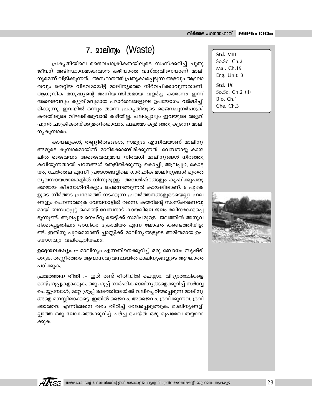## 7. 20eilmjo (Waste)

പ്രകൃതിയിലെ ജൈവചാക്രികതയിലൂടെ സംസ്ക്കരിച്ച് പുതു ജീവന് അടിസ്ഥാനമാകുവാൻ കഴിയാത്ത വസ്തുവിനെയാണ് മാലി ന്യുമെന്ന് വിളിക്കുന്നത്. അസ്ഥാനത്ത് പ്രത്യക്ഷപ്പെടുന്ന അളവും ആഘാ തവും തെറ്റിയ വിഭവമായിട്ട് മാലിന്യത്തെ നിർവചിക്കാവുന്നതാണ്. ആധുനിക മനുഷ്യന്റെ അനിയന്ത്രിതമായ വളർച്ച കാരണം ഇന്ന് അജൈവവും കൃത്രിമവുമായ പദാർത്ഥങ്ങളുടെ ഉപയോഗം വർദ്ധിച്ചി രിക്കുന്നു. ഇവയിൽ ഒന്നും തന്നെ പ്രകൃതിയുടെ ജൈവപുനർചാക്രി കതയിലൂടെ വിഘടിക്കുവാൻ കഴിയില്ല. പലപ്പോഴും ഇവയുടെ അളവ് പുനർ ചാക്രികതയ്ക്കുമതീതമാവാം. ഫലമോ കുമിഞ്ഞു കൂടുന്ന മാലി നൃകുമ്പാരം.

കായലുകൾ, തണ്ണീർതടങ്ങൾ, സമുദ്രം എന്നിവയാണ് മാലിന്യ ങ്ങളുടെ കുമ്പാരമായിന്ന് മാറിക്കൊണ്ടിരിക്കുന്നത്. വേമ്പനാട്ടു കായ ലിൽ ജൈവവും അജൈവവുമായ നിരവധി മാലിന്യങ്ങൾ നിറഞ്ഞു കവിയുന്നതായി പഠനങ്ങൾ തെളിയിക്കുന്നു. കൊച്ചി, ആലപ്പുഴ, കോട്ട യം, ചേർത്തല എന്നീ പ്രദേശങ്ങളിലെ ഗാർഹിക മാലിന്യങ്ങൾ മുതൽ വ്യവസായശാലകളിൽ നിന്നുമുള്ള അവശിഷ്ടങ്ങളും കൃഷിക്കുപയു ക്തമായ കീടനാശിനികളും ചെന്നെത്തുന്നത് കായലിലാണ്. 5 പുഴക ളുടെ നീർത്തട പ്രദേശത്ത് നടക്കുന്ന പ്രവർത്തനങ്ങളുടെയെല്ലാ ഫല ങ്ങളും ചെന്നെത്തുക വേമ്പനാട്ടിൽ തന്നെ. കയറിന്റെ സംസ്ക്കരണവു മായി ബന്ധപ്പെട്ട് കൊണ്ട് വേമ്പനാട് കായലിലെ ജലം മലിനമാക്കപ്പെ ടുന്നുണ്ട്. ആലപ്പുഴ നെഹ്റു ജെട്ടിക്ക് സമീപമുള്ള ജലത്തിൽ അനുവ ദിക്കപ്പെട്ടതിലും അധികം ക്രോമിയം എന്ന ലോഹം കണ്ടെത്തിയിട്ടു ണ്ട്. ഇതിനു പുറമെയാണ് പ്ലാസ്റ്റിക്ക് മാലിന്യങ്ങളുടെ അമിതമായ ഉപ യോഗവും വലിച്ചെറിയലും!

ഉദ്ദേശലക്ഷ്യം :– മാലിന്യം എന്നതിനെക്കുറിച്ച് ഒരു ബോധം സൃഷ്ടി ക്കുക; തണ്ണീർത്തട ആവാസവ്യവസ്ഥയിൽ മാലിന്യങ്ങളുടെ ആഘാതം പഠിക്കുക.

പ്രവർത്തന രീതി :- ഇത് രണ്ട് രീതിയിൽ ചെയ്യാം. വിദ്യാർത്ഥികളെ രണ്ട് ഗ്രൂപ്പുകളാക്കുക. ഒരു ഗ്രൂപ്പ് ഗാർഹിക മാലിന്യങ്ങളെക്കുറിച്ച് സർവ്വേ ചെയ്യുമ്പോൾ, മറ്റേ ഗ്രൂപ്പ് ജലത്തിലേയ്ക്ക് വലിച്ചെറിയപ്പെടുന്ന മാലിന്യ ങ്ങളെ മനസ്സിലാക്കട്ടെ. ഇതിൽ ജൈവം, അജൈവം, ദ്രവിക്കുന്നവ, ദ്രവി ക്കാത്തവ എന്നിങ്ങനെ തരം തിരിച്ച് രേഖപ്പെടുത്തുക. മാലിന്യങ്ങളി ല്ലാത്ത ഒരു ലോകത്തെക്കുറിച്ച് ചർച്ച ചെയ്ത് ഒരു രൂപരേഖ തയ്യാറാ ക്കുക.

Std. VIII So.Sc.  $Ch.2$ Mal. Ch.19 Eng. Unit: 3 Std. IX

So.Sc. Ch.2 (II) Bio. Ch.1 Che. Ch.3



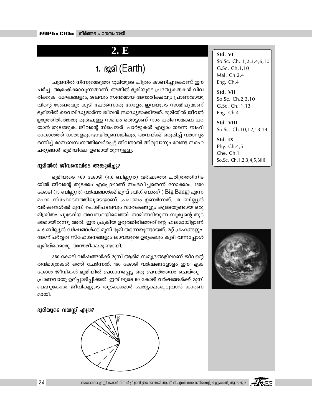### 2. E

## $1.$   $829$  (Earth)

ചന്ദ്രനിൽ നിന്നുമെടുത്ത ഭൂമിയുടെ ചിത്രം കാണിച്ചുകൊണ്ട് ഈ ചർച്ച ആരംഭിക്കാവുന്നതാണ്. അതിൽ ഭുമിയുടെ പ്രത്യേകതകൾ വിവ രിക്കുക. മേഘങ്ങളും, ജലവും സ്വന്തമായ അന്തരീക്ഷവും പ്രാണവായു വിന്റെ ശേഖരവും കൂടി ചേർന്നൊരു ഗോളം. ഇവയുടെ സാമിപ്യമാണ് ഭൂമിയിൽ വൈവിദ്ധ്യമാർന്ന ജീവൻ സാദ്ധ്യമാക്കിയത്. ഭൂമിയിൽ ജീവൻ ഉരുത്തിരിഞ്ഞതു മുതലുള്ള സമയം തൊട്ടാണ് നാം പരിണാമകഥ പറ യാൻ തുടങ്ങുക. ജീവന്റെ സ്പെയർ പാർട്ടുകൾ എല്ലാം തന്നെ ബഹി രാകാശത്ത് ധാരാളമുണ്ടായിരുന്നെങ്കിലും, അവയ്ക്ക് ഒരുമിച്ച് വരാനും ഒന്നിച്ച് രാസബന്ധനത്തിലേർപ്പെട്ട് ജീവനായി തീരുവാനും വേണ്ട സാഹ ചര്യങ്ങൾ ഭൂമിയിലേ ഉണ്ടായിരുന്നുള്ളൂ.

### ഭൂമിയിൽ ജീവനെവിടെ അങ്കുരിച്ചു?

ഭൂമിയുടെ 460 കോടി (4.6 ബില്ല്യൻ) വർഷത്തെ ചരിത്രത്തിനിട യിൽ ജീവന്റെ തുടക്കം എപ്പോഴാണ് സംഭവിച്ചതെന്ന് നോക്കാം. 1500 കോടി (15 ബില്ല്യൻ) വർഷങ്ങൾക്ക് മുമ്പ് ബിഗ് ബാംഗ് ( Big Bang) എന്ന മഹാ സ്ഫോടനത്തിലൂടെയാണ് പ്രപഞ്ചം ഉണർന്നത്. 10 ബില്ല്യൻ വർഷങ്ങൾക്ക് മുമ്പ് പൊടിപടലവും വാതകങ്ങളും കൂടെയുണ്ടായ ഒരു മിശ്രിതം ചൂടേറിയ അവസ്ഥയിലെത്തി. നാമിന്നറിയുന്ന സൂര്യന്റെ തുട ക്കമായിരുന്നു അത്. ഈ പ്രക്രിയ ഉരുത്തിരിഞ്ഞതിന്റെ ഫലമായിട്ടാണ് 4–6 ബില്ല്യൻ വർഷങ്ങൾക്ക് മുമ്പ് ഭൂമി തന്നെയുണ്ടായത്. മറ്റ് ഗ്രഹങ്ങളും! അഗ്നിപർവ്വത സ്ഫോടനങ്ങളും ലാവയുടെ ഉരുകലും കൂടി വന്നപ്പോൾ ഭുമിയ്ക്കൊരു അന്തരീക്ഷമുണ്ടായി.

360 കോടി വർഷങ്ങൾക്ക് മുമ്പ് ആദിമ സമുദ്രങ്ങളിലാണ് ജീവന്റെ തൻമാത്രകൾ ഒത്ത് ചേർന്നത്. 160 കോടി വർഷങ്ങളോളം ഈ ഏക കോശ ജീവികൾ ഭൂമിയിൽ പ്രധാനപ്പെട്ട ഒരു പ്രവർത്തനം ചെയ്തു -പ്രാണവായു ഉല്പ്പാദിപ്പിക്കൽ. ഇതിലൂടെ 60 കോടി വർഷങ്ങൾക്ക് മുമ്പ് ബഹുകോശ ജീവികളുടെ തുടക്കക്കാർ പ്രത്യക്ഷപ്പെടുവാൻ കാരണ മായി.

Std. VI So.Sc. Ch. 1,2,3,4,6,10 G.Sc. Ch.1,10 Mal. Ch.2,4 Eng. Ch.4

Std. VII So.Sc. Ch.2.3.10 G.Sc. Ch. 1,13 Eng. Ch.4

Std. VIII So.Sc. Ch.10,12,13,14

Std. IX Phy. Ch.4,5 Che. Ch.1 So.Sc. Ch.1,2,3,4,5,6(II)



### ഭൂമിയുടെ വയസ്സ് എത്ര?



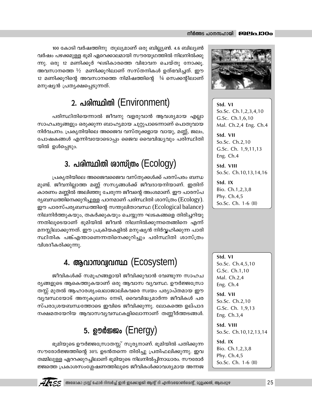

100 കോടി വർഷത്തിനു തുല്യമാണ് ഒരു ബില്ല്യൺ. 4.6 ബില്യൺ വർഷം പഴക്കമുള്ള ഭൂമി ഏറെക്കാലമായി സൗരയൂഥത്തിൽ നിലനിൽക്കു ന്നു. ഒരു 12 മണിക്കുർ ഘടികാരത്തെ വിഭാവന ചെയ്തു നോക്കു. അവസാനത്തെ  $1/2$  മണിക്കൂറിലാണ് സസ്തനികൾ ഉത്ഭവിച്ചത്. ഈ  $12$  മണിക്കുറിന്റെ അവസാനത്തെ നിമിഷത്തിന്റെ  $1/4$  സെക്കന്റിലാണ് മനുഷ്യൻ പ്രത്യക്ഷപ്പെടുന്നത്.

## 2. പരിസ്ഥിതി (Environment)

പരിസ്ഥിതിയെന്നാൽ ജീവനു വളരുവാൻ ആവശ്യമായ എല്ലാ സാഹചര്യങ്ങളും ഒരുക്കുന്ന ബാഹ്യമായ ചുറ്റുപാടെന്നാണ് പൊതുവായ നിർവചനം. പ്രകൃതിയിലെ അജൈവ വസ്തുക്കളായ വായു, മണ്ണ്, ജലം, പോഷകങ്ങൾ എന്നിവയോടൊപ്പം ജൈവ വൈവിദ്ധ്യവും പരിസ്ഥിതി യിൽ ഉൾപ്പെടും.

## 3. പരിസ്ഥിതി ശാസ്ത്രം (Ecology)

പ്രകൃതിയിലെ അജൈവജൈവ വസ്തുക്കൾക്ക് പരസ്പരം ബന്ധ മുണ്ട്. ജീവനില്ലാത്ത മണ്ണ് സസ്യങ്ങൾക്ക് ജീവദായനിയാണ്. ഇതിന് കാരണം മണ്ണിൽ അലിഞ്ഞു ചേരുന്ന ജീവന്റെ അംശമാണ്. ഈ പാരസ്പ ര്യബന്ധത്തിനെക്കുറിച്ചുള്ള പഠനമാണ് പരിസ്ഥിതി ശാസ്ത്രം (Ecology). ഈ പാരസ്പര്യബന്ധത്തിന്റെ സന്തുലിതാവസ്ഥ (Ecological balance) നിലനിർത്തുകയും, തകർക്കുകയും ചെയ്യുന്ന ഘടകങ്ങളെ തിരിച്ചറിയു ന്നതിലൂടെയാണ് ഭൂമിയിൽ ജീവൻ നിലനിൽക്കുന്നതെങ്ങിനെ എന്ന് മനസ്സിലാക്കുന്നത്. ഈ പ്രക്രിയകളിൽ മനുഷ്യൻ നിർവ്വഹിക്കുന്ന പാരി സ്ഥിതിക പങ്ക്എതാണെന്നതിനെക്കുറിച്ചും പരിസ്ഥിതി ശാസ്ത്രം വിശദീകരിക്കുന്നു.

## 4. ആവാസവ്വവസ്ഥ (Ecosystem)

ജീവികൾക്ക് സമുഹങ്ങളായി ജീവിക്കുവാൻ വേണ്ടുന്ന സാഹച ര്യങ്ങളുടെ ആകെത്തുകയാണ് ഒരു ആവാസ വ്യവസ്ഥ. ഊർജ്ജസ്രോ തസ്സ് മുതൽ ആഹാരശൃംഖലാജാലികവരെ സ്വയം പര്യാപ്തമായ ഈ വ്യവസ്ഥയോട് അനുകൂലനം നേടി, വൈവിദ്ധ്യമാർന്ന ജീവികൾ പര സ്പരാശ്രയബന്ധത്തോടെ ഇവിടെ ജീവിക്കുന്നു. ലോകത്തെ ഉല്പാദ നക്ഷമതയേറിയ ആവാസവ്യവസ്ഥകളിലൊന്നാണ് തണ്ണീർത്തടങ്ങൾ.

# 5. ഊർജ്ജം (Energy)

ഭൂമിയുടെ ഊർജ്ജസ്രോതസ്സ് സൂര്യനാണ്. ഭൂമിയിൽ പതിക്കുന്ന സൗരോർജ്ജത്തിന്റെ 30% ഉടൻതന്നെ തിരിച്ചു പ്രതിഫലിക്കുന്നു. ഇവ തമ്മിലുള്ള ഏററക്കുറച്ചിലാണ് ഭൂമിയുടെ നിലനിൽപ്പിനാധാരം. സൗരോർ ജ്ജത്തെ പ്രകാശസംശ്ലേഷണത്തിലൂടെ ജീവികൾക്കാവശ്യമായ അന്നജ Std. VI So.Sc. Ch.1,2,3,4,10 G.Sc. Ch.1,6,10 Mal. Ch.2,4 Eng. Ch.4

Std. VII So.Sc. Ch.2,10 G.Sc. Ch. 1,9,11,13 Eng. Ch.4

Std. VIII So.Sc. Ch.10,13,14,16

Std. IX Bio. Ch.1,2,3,8 Phy. Ch.4,5 So.Sc. Ch. 1-6 (II)

Std. VI So.Sc. Ch.4,5,10 G.Sc. Ch.1.10 Mal. Ch.2,4 Eng. Ch.4

Std. VII So.Sc. Ch.2,10 G.Sc. Ch. 1,9,13 Eng.  $Ch.3,4$ 

Std. VIII So.Sc. Ch.10,12,13,14

Std. IX Bio. Ch.1,2,3,8 Phy. Ch.4,5 So.Sc. Ch. 1-6 (II)

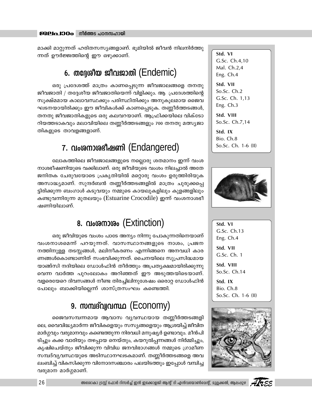മാക്കി മാറ്റുന്നത് ഹരിതസസ്യങ്ങളാണ്. ഭൂമിയിൽ ജീവൻ നിലനിർത്തു ന്നത് ഊർജ്ജത്തിന്റെ ഈ ഒഴുക്കാണ്.

### 6. തദ്ദേശീയ ജീവജാതി (Endemic)

ഒരു പ്രദേശത്ത് മാത്രം കാണപ്പെടുന്ന ജീവജാലങ്ങളെ തനതു ജീവജാതി / തദ്ദേശീയ ജീവജാതിയെന്ന് വിളിക്കും. ആ പ്രദേശത്തിന്റെ സുക്ഷ്മമായ കാലാവസ്ഥക്കും പരിസ്ഥിതിക്കും അനുകൂലമായ ജൈവ ഘടനയായിരിക്കും ഈ ജീവികൾക്ക് കാണപ്പെടുക. തണ്ണീർത്തടങ്ങൾ, തനതു ജീവജാതികളുടെ ഒരു കലവറയാണ്. ആഫ്രിക്കയിലെ വിക്ടോ റിയത്തടാകവും മലാവിയിലെ തണ്ണീർത്തടങ്ങളും 700 തനതു മത്സ്യജാ തികളുടെ താവളങ്ങളാണ്.

### 7. വംശനാശഭീഷണി (Endangered)

ലോകത്തിലെ ജീവജാലങ്ങളുടെ നല്ലൊരു ശതമാനം ഇന്ന് വംശ നാശഭീഷണിയുടെ വക്കിലാണ്. ഒരു ജീവിയുടെ വംശം നിലച്ചാൽ അതേ ജനിതക ചേരുവയോടെ പ്രകൃതിയിൽ മറ്റൊരു വംശം ഉരുത്തിരിയുക അസാദ്ധ്യമാണ്. സുന്ദർബൻ തണ്ണീർത്തടങ്ങളിൽ മാത്രം ചുരുക്കപ്പെ ട്ടിരിക്കുന്ന ബംഗാൾ കടുവയും നമ്മുടെ കായലുകളിലും കുളങ്ങളിലും കണ്ടുവന്നിരുന്ന മുതലയും (Estuarine Crocodile) ഇന്ന് വംശനാശഭീ ഷണിയിലാണ്.

## 8. വംശനാശം (Extinction)

ഒരു ജീവിയുടെ വംശം പാടേ അന്യം നിന്നു പോകുന്നതിനെയാണ് വംശനാശമെന്ന് പറയുന്നത്. വാസസ്ഥാനങ്ങളുടെ നാശം, പ്രജന നത്തിനുള്ള തടസ്സങ്ങൾ, മലിനീകരണം എന്നിങ്ങനെ അനവധി കാര ണങ്ങൾകൊണ്ടാണിത് സംഭവിക്കുന്നത്. ചൈനയിലെ സുപ്രസിദ്ധമായ യാങ്ങ്സി നദിയിലെ ഡോൾഫിൻ തീർത്തും അപ്രത്യക്ഷമായിരിക്കുന്നു വെന്ന വാർത്ത പുറംലോകം അറിഞ്ഞത് ഈ അടുത്തയിടെയാണ്. വളരെയേറെ ദിവസങ്ങൾ നീണ്ട തിരച്ചിലിനുശേഷം ഒരൊറ്റ ഡോൾഫിൻ പോലും ബാക്കിയില്ലെന്ന് ശാസ്ത്രസംഘം കണ്ടെത്തി.

## 9. mmin (Economy)

ജൈവസമ്പന്നമായ ആവാസ വ്യവസ്ഥയായ തണ്ണീർത്തടങ്ങളി ലെ, വൈവിദ്ധ്യമാർന്ന ജീവികളെയും സസ്യങ്ങളെയും ആശ്രയിച്ച് ജീവിത മാർഗ്ഗവും വരുമാനവും കണ്ടെത്തുന്ന നിരവധി മനുഷ്യർ ഉണ്ടാവും. മീൻപി ടിച്ചും കക്ക വാരിയും തഴപ്പായ നെയ്തും, കയറുൽപ്പന്നങ്ങൾ നിർമ്മിച്ചും, കൃഷിചെയ്തും ജീവിക്കുന്ന വിവിധ ജനവിഭാഗങ്ങൾ നമ്മുടെ ഗ്രാമീണ സമ്പദ്വ്യവസ്ഥയുടെ അടിസ്ഥാനഘടകമാണ്. തണ്ണീർത്തടങ്ങളെ അവ ലംബിച്ച് വികസിക്കുന്ന വിനോദസഞ്ചാരം പലയിടത്തും ഇപ്പോൾ വമ്പിച്ച വരുമാന മാർഗ്ഗമാണ്.

Std. VI G.Sc. Ch.4,10 Mal. Ch.2,4 Eng. Ch.4

Std. VII So.Sc. Ch.2 G.Sc. Ch. 1,13 Eng. Ch.3

Std. VIII So.Sc. Ch.7,14

Std. IX Bio. Ch.8 So.Sc. Ch. 1-6 (II)



Std. VI G.Sc. Ch.13 Eng. Ch.4 Std. VII G.Sc. Ch. 1 Std. VIII So.Sc. Ch.14 Std. IX Bio. Ch.8 So.Sc. Ch. 1-6 (II)

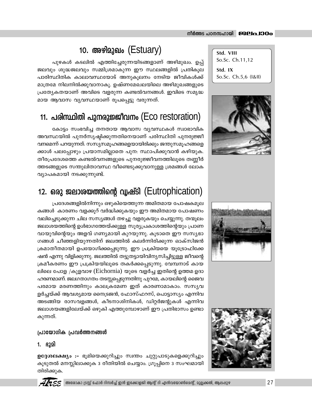Std. VIII So.Sc. Ch.11.12 Std. IX So.Sc. Ch.5,6 (I&II)







## 10. അഴിമുഖം (Estuary)

പുഴകൾ കടലിൽ എത്തിച്ചേരുന്നയിടങ്ങളാണ് അഴിമുഖം. ഉപ്പ് ജലവും ശുദ്ധജലവും സമ്മിശ്രമാകുന്ന ഈ സ്ഥലങ്ങളിൽ പ്രതികൂല പാരിസ്ഥിതിക കാലാവസ്ഥയോട് അനുകൂലനം നേടിയ ജീവികൾക്ക് മാത്രമേ നിലനിൽക്കുവാനാകൂ. ഉഷ്ണമേഖലയിലെ അഴിമുഖങ്ങളുടെ പ്രത്യേകതയാണ് അവിടെ വളരുന്ന കണ്ടൽവനങ്ങൾ. ഇവിടെ സമ്യദ്ധ മായ ആവാസ വ്യവസ്ഥയാണ് രൂപപ്പെട്ടു വരുന്നത്.

## 11. പരിസ്ഥിതി പുനരുജ്ജീവനം (Eco restoration)

കോട്ടം സംഭവിച്ച തനതായ ആവാസ വ്യവസ്ഥകൾ സ്വാഭാവിക അവസ്ഥയിൽ പുനർസൃഷ്ടിക്കുന്നതിനെയാണ് പരിസ്ഥിതി പുനരുജ്ജീ വനമെന്ന് പറയുന്നത്. സസ്യസമൂഹങ്ങളെയായിരിക്കും ജന്തുസമൂഹങ്ങളെ ക്കാൾ പലപ്പോഴും പ്രയാസമില്ലാതെ പുന: സ്ഥാപിക്കുവാൻ കഴിയുക. തീരപ്രദേശത്തെ കണ്ടൽവനങ്ങളുടെ പുനരുജ്ജീവനത്തിലൂടെ തണ്ണീർ ത്തടങ്ങളുടെ സന്തുലിതാവസ്ഥ വീണ്ടെടുക്കുവാനുള്ള ശ്രമങ്ങൾ ലോക വ്യാപകമായി നടക്കുന്നുണ്ട്.

## 12. ഒരു ജലാശയത്തിന്റെ വ്യഷ്ടി (Eutrophication)

പ്രദേശങ്ങളിൽനിന്നും ഒഴുകിയെത്തുന്ന അമിതമായ പോഷകമുല കങ്ങൾ കാരണം വളക്കൂറ് വർദ്ധിക്കുകയും ഈ അമിതമായ പോഷണം വലിച്ചെടുക്കുന്ന ചില സസ്യങ്ങൾ തഴച്ചു വളരുകയും ചെയ്യുന്നു. തന്മൂലം ജലാശയത്തിന്റെ ഉൾഭാഗത്തേയ്ക്കുള്ള സൂര്യപ്രകാശത്തിന്റെയും പ്രാണ വായുവിന്റെയും അളവ് ഗണ്യമായി കുറയുന്നു. കൂടാതെ ഈ സസ്യഭാ ഗങ്ങൾ ചീഞ്ഞളിയുന്നതിന് ജലത്തിൽ കലർന്നിരിക്കുന്ന ഓക്സിജൻ ക്രമാതീതമായി ഉപയോഗിക്കപ്പെടുന്നു. ഈ പ്രക്രിയയെ യൂട്രോഫിക്കേ ഷൻ എന്നു വിളിക്കുന്നു. ജലത്തിൽ തട്ടുതട്ടായിവിന്യസിച്ചിട്ടുള്ള ജീവന്റെ ക്രമീകരണം ഈ പ്രക്രിയയിലുടെ തകർക്കപ്പെടുന്നു. വേമ്പനാട് കായ ലിലെ പോള /കുളവാഴ (Eichornia) യുടെ വളർച്ച ഇതിന്റെ ഉത്തമ ഉദാ ഹരണമാണ്. ജലഗതാഗതം തടസ്സപ്പെടുന്നതിനു പുറമേ, കായലിന്റെ ജൈവ പരമായ മരണത്തിനും കാലക്രമേണ ഇത് കാരണാമാകാം. സസ്യവ ളർച്ചയ്ക്ക് ആവശ്യമായ നൈട്രജൻ, ഫോസ്ഫറസ്, പൊട്ടാസ്യം എന്നിവ അടങ്ങിയ രാസവളങ്ങൾ, കീടനാശിനികൾ, ഡിറ്റർജന്റുകൾ എന്നിവ ജലാശയങ്ങളിലേയ്ക്ക് ഒഴുകി എത്തുമ്പോഴാണ് ഈ പ്രതിഭാസം ഉണ്ടാ കുന്നത്.

### പ്രായോഗിക പ്രവർത്തനങ്ങൾ

### 

ഉദ്ദേശലക്ഷ്യം :- ഭുമിയെക്കുറിച്ചും സ്വന്തം ചുറ്റുപാടുകളെക്കുറിച്ചും കൂടുതൽ മനസ്സിലാക്കുക 3 രീതിയിൽ ചെയ്യാം. ഗ്രൂപ്പിനെ 3 സംഘമായി തിരിക്കുക.

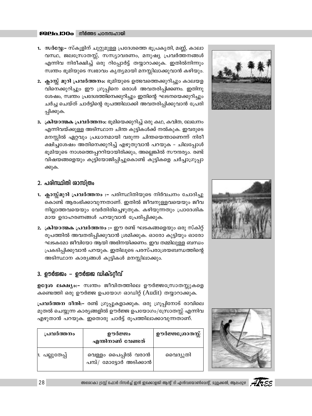### **@@@La\_loOo** midows പഠനസഹായി

- 1. സർവ്വേ:– സ്കൂളിന് ചുറ്റുമുള്ള പ്രദേശത്തെ ഭൂപ്രകൃതി, മണ്ണ്, കാലാ വസ്ഥ, ജലസ്രോതസ്സ്, സസ്യാവരണം, മനുഷ്യ പ്രവർത്തനങ്ങൾ എന്നിവ നിരീക്ഷിച്ച് ഒരു റിപ്പോർട്ട് തയ്യാറാക്കുക. ഇതിൽനിന്നും സ്വന്തം ഭൂമിയുടെ സ്വഭാവം കൃത്യമായി മനസ്സിലാക്കുവാൻ കഴിയും.
- 2. ക്ലാസ്സ് മുറി പ്രവർത്തനം: ഭൂമിയുടെ ഉത്ഭവത്തെക്കുറിച്ചും കാലയള വിനെക്കുറിച്ചും ഈ ഗ്രൂപ്പിനെ ഒരാൾ അവതരിപ്പിക്കണം. ഇതിനു ശേഷം, സ്ഥന്തം പ്രദേശത്തിനെക്കുറിച്ചും ഇതിന്റെ ഘടനയെക്കുറിച്ചും ചർച്ച ചെയ്ത് ചാർട്ടിന്റെ രൂപത്തിലാക്കി അവതരിപ്പിക്കുവാൻ പ്രേരി പ്പിക്കുക.
- 3. ക്രിയാത്മക പ്രവർത്തനം: ഭൂമിയെക്കുറിച്ച് ഒരു കഥ, കവിത, ലേഖനം എന്നിവയ്ക്കുള്ള അടിസ്ഥാന ചിന്ത കുട്ടികൾക്ക് നൽകുക. ഇവരുടെ മനസ്സിൽ ഏറ്റവും പ്രധാനമായി വരുന്ന ചിന്തയെന്താണെന്ന് നിരീ ക്ഷിച്ചശേഷം അതിനെക്കുറിച്ച് എഴുതുവാൻ പറയുക – ചിലപ്പോൾ ഭൂമിയുടെ നാശത്തെപ്പററിയായിരിക്കും, അല്ലെങ്കിൽ സൗന്ദര്യം. രണ്ട് വിഷയങ്ങളെയും കൂട്ടിയോജിപ്പിച്ചുകൊണ്ട് കുട്ടികളെ ചർച്ചാഗ്രൂപ്പാ ക്കുക.

### 2. പരിസ്ഥിതി ശാസ്ത്രം

- 1. ക്ലാസ്സ്മുറി പ്രവർത്തനം :- പരിസ്ഥിതിയുടെ നിർവചനം ചോദിച്ചു കൊണ്ട് ആരംഭിക്കാവുന്നതാണ്. ഇതിൽ ജീവനുള്ളവയെയും ജീവ നില്ലാത്തവയെയും വേർതിരിച്ചെഴുതുക. കഴിയുന്നതും പ്രാദേശിക മായ ഉദാഹരണങ്ങൾ പറയുവാൻ പ്രേരിപ്പിക്കുക.
- 2. ക്രിയാത്മക പ്രവർത്തനം :- ഈ രണ്ട് ഘടകങ്ങളെയും ഒരു സ്കിറ്റ് രൂപത്തിൽ അവതരിപ്പിക്കുവാൻ ശ്രമിക്കുക. ഓരോ കുട്ടിയും ഓരോ ഘടകമോ ജീവിയോ ആയി അഭിനയിക്കണം. ഇവ തമ്മിലുള്ള ബന്ധം പ്രകടിപ്പിക്കുവാൻ പറയുക. ഇതിലൂടെ പരസ്പരാശ്രയബന്ധത്തിന്റെ അടിസ്ഥാന കാര്യങ്ങൾ കുട്ടികൾ മനസ്സിലാക്കും.

### 3. ഊർജ്ജം – ഊർജ്ജ ഡിക്ടറ്റീവ്

ഉദ്ദേശ ലക്ഷ്യം:- സ്വന്തം ജീവിതത്തിലെ ഊർജ്ജസ്രോതസ്സുകളെ കണ്ടെത്തി ഒരു ഊർജ്ജ ഉപയോഗ ഓഡിറ്റ് (Audit) തയ്യാറാക്കുക.

പ്രവർത്തന രീതി:- രണ്ട് ഗ്രൂപ്പുകളാക്കുക. ഒരു ഗ്രൂപ്പിനോട് രാവിലെ മുതൽ ചെയ്യുന്ന കാര്യങ്ങളിൽ ഊർജ്ജ ഉപയോഗം/സ്രോതസ്സ് എന്നിവ എഴുതാൻ പറയുക. ഇതൊരു ചാർട്ട് രൂപത്തിലാക്കാവുന്നതാണ്.

| പ്രവർത്തനം     | ഊർജ്ജം<br>എന്തിനാണ് വേണ്ടത്                    | ഊർജ്ജശ്രോതസ്സ് |
|----------------|------------------------------------------------|----------------|
| 1. പല്ലുതേപ്പ് | വെള്ളം പൈപ്പിൽ വരാൻ<br>പമ്പ്/ മോട്ടോർ അടിക്കാൻ | വൈദ്യുതി       |





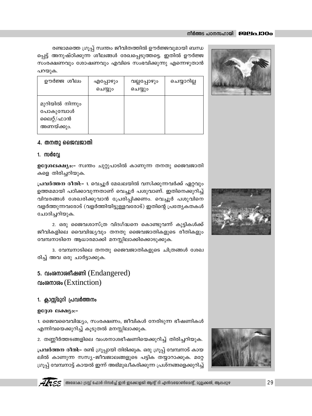രണ്ടാമത്തെ ഗ്രൂപ്പ് സ്വന്തം ജീവിതത്തിൽ ഊർജ്ജവുമായി ബന്ധ പ്പെട്ട് അനുഷ്ഠിക്കുന്ന ശീലങ്ങൾ രേഖപ്പെടുത്തട്ടെ. ഇതിൽ ഊർജ്ജ സംരക്ഷണവും ശോഷണവും എവിടെ സംഭവിക്കുന്നു എന്നെഴുതാൻ പറയുക.

| ഊർജ്ജ ശീലം                                               | എപ്പോഴും<br>ചെയ്യും | വല്ലപ്പോഴും<br>ചെയ്യും | ചെയ്യാറില്ല |
|----------------------------------------------------------|---------------------|------------------------|-------------|
| മുറിയിൽ നിന്നും<br>പോകുമ്പോൾ<br>ലൈറ്റ്/ഫാൻ<br>അണയ്ക്കും. |                     |                        |             |

### 4. തനതു ജൈവജാതി

### 1. സർവേ

ഉദേശലക്ഷ്യം:– സ്വന്തം ചുറ്റുപാടിൽ കാണുന്ന തനതു ജൈവജാതി കളെ തിരിച്ചറിയുക.

പ്രവർത്തന രീതി:- 1. വെച്ചൂർ മേഖലയിൽ വസിക്കുന്നവർക്ക് ഏറ്റവും ഉത്തമമായി പഠിക്കാവുന്നതാണ് വെച്ചൂർ പശുവാണ്. ഇതിനെക്കുറിച്ച് വിവരങ്ങൾ ശേഖരിക്കുവാൻ പ്രേരിപ്പിക്കണം. വെച്ചൂർ പശുവിനെ വളർത്തുന്നവരോട് (വളർത്തിയിട്ടുള്ളവരോട്) ഇതിന്റെ പ്രത്യേകതകൾ ചോദിച്ചറിയുക.

2. ഒരു ജൈവശാസ്ത്ര വിദഗ്ദ്ധനെ കൊണ്ടുവന്ന് കുട്ടികൾക്ക് ജീവികളിലെ വൈവിദ്ധ്യവും തനതു ജൈവജാതികളുടെ രീതികളും വേമ്പനാടിനെ ആധാരമാക്കി മനസ്സിലാക്കിക്കൊടുക്കുക.

3. വേമ്പനാടിലെ തനതു ജൈവജാതികളുടെ ചിത്രങ്ങൾ ശേഖ രിച്ച് അവ ഒരു ചാർട്ടാക്കുക.

### 5. വംശനാശഭീഷണി (Endangered) വംരനാരം (Extinction)

### 1. ക്ലാസ്സ്മുറി പ്രവർത്തനം

### ഉദ്ദേശ ലക്ഷ്യം:-

1. ജൈവവൈവിദ്ധ്യം, സംരക്ഷണം, ജീവികൾ നേരിടുന്ന ഭീഷണികൾ എന്നിവയെക്കുറിച്ച് കൂടുതൽ മനസ്സിലാക്കുക.

2. തണ്ണീർത്തടങ്ങളിലെ വംശനാശഭീഷണിയെക്കുറിച്ച് തിരിച്ചറിയുക.

പ്രവർത്തന രീതി:– രണ്ട് ഗ്രൂപ്പായി തിരിക്കുക. ഒരു ഗ്രൂപ്പ് വേമ്പനാട് കായ ലിൽ കാണുന്ന സസ്യ–ജീവജാലങ്ങളുടെ പട്ടിക തയ്യാറാക്കുക. മറ്റേ ഗ്രൂപ്പ് വേമ്പനാട്ട് കായൽ ഇന്ന് അഭിമുഖീകരിക്കുന്ന പ്രശ്നങ്ങളെക്കുറിച്ച്







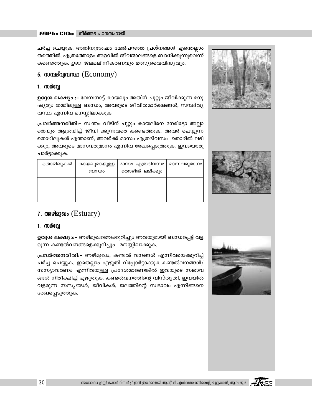ചർച്ച ചെയ്യുക. അതിനുശേഷം മേൽപറഞ്ഞ പ്രശ്നങ്ങൾ എന്തെല്ലാം തരത്തിൽ, എത്രത്തോളം അളവിൽ ജീവജാലങ്ങളെ ബാധിക്കുന്നുവെന്ന് കണ്ടെത്തുക. *ഉദാ:* ജലമലിനീകരണവും മത്സ്യവൈവിദ്ധ്യവും.

### 6.  $m$ മ്പദ്വ്യവസ്ഥ (Economy)

### 1. സർവേ

ഉദേശ ലക്ഷ്യം :- വേമ്പനാട്ട് കായലും അതിന് ചുറ്റും ജീവിക്കുന്ന മനു ഷ്യരും തമ്മിലുള്ള ബന്ധം, അവരുടെ ജീവിതമാർക്ഷങ്ങൾ, സമ്പദ്വ്യ വസ്ഥ എന്നിവ മനസ്സിലാക്കുക.

പ്രവർത്തനരീതി:– സ്വന്തം വീടിന് ചുറ്റും കായലിനെ നേരിട്ടോ അല്ലാ തെയും ആശ്രയിച്ച് ജീവി ക്കുന്നവരെ കണ്ടെത്തുക. അവർ ചെയ്യുന്ന തൊഴിലുകൾ എന്താണ്, അവർക്ക് മാസം എത്രദിവസം തൊഴിൽ ലഭി ക്കും, അവരുടെ മാസവരുമാനം എന്നിവ രേഖപ്പെടുത്തുക. ഇവയൊരു ചാർട്ടാക്കുക.

| തൊഴിലുകൾ | കായലുമായുള്ള<br>ബന്ധം | മാസം എത്രദിവസം<br>തൊഴിൽ ലഭിക്കും | മാസവരുമാനം |
|----------|-----------------------|----------------------------------|------------|
|          |                       |                                  |            |





### 7. അഴിമുഖം (Estuary)

### 1. സർവേ

ഉദ്ദേശ ലക്ഷ്യം:– അഴിമുഖത്തെക്കുറിച്ചും അവയുമായി ബന്ധപ്പെട്ട് വള രുന്ന കണ്ടൽവനങ്ങളെക്കുറിച്ചും മനസ്സിലാക്കുക.

പ്രവർത്തനരീതി:– അഴിമുഖം, കണ്ടൽ വനങ്ങൾ എന്നിവയെക്കുറിച്ച് ചർച്ച ചെയ്യുക. ഇതെല്ലാം എഴുതി റിപ്പോർട്ടാക്കുക.കണ്ടൽവനങ്ങൾ/ സസ്യാവരണം എന്നിവയുള്ള പ്രദേശമാണെങ്കിൽ ഇവയുടെ സ്വഭാവ ങ്ങൾ നിരീക്ഷിച്ച് എഴുതുക. കണ്ടൽവനത്തിന്റെ വിസ്തൃതി, ഇവയിൽ വളരുന്ന സസ്യങ്ങൾ, ജീവികൾ, ജലത്തിന്റെ സ്വഭാവം എന്നിങ്ങനെ രേഖപ്പെടുത്തുക.



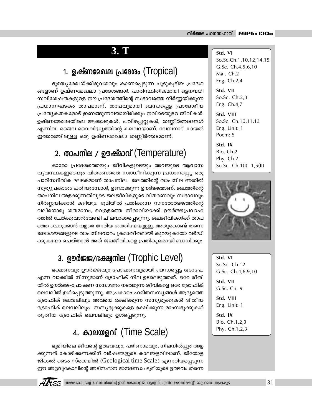### 3. T

### 1. ഉഷ്ണമേഖല പ്രദേശം (Tropical)

ഭൂമദ്ധ്യരേഖയ്ക്കിരുവശവും കാണപ്പെടുന്ന ചൂടുകൂടിയ പ്രദേശ ങ്ങളാണ് ഉഷ്ണമേഖലാ പ്രദേശങ്ങൾ. പാരിസ്ഥിതികമായി ഒട്ടനവധി സവിശേഷതകളുള്ള ഈ പ്രദേശത്തിന്റെ സ്വഭാവത്തെ നിർണ്ണയിക്കുന്ന പ്രധാനഘടകം താപമാണ്. താപവുമായി ബന്ധപ്പെട്ട പ്രാദേശീയ പ്രത്യേകതകളോട് ഇണങ്ങുന്നവയായിരിക്കും ഇവിടെയുള്ള ജീവികൾ. ഉഷ്ണമേഖലയിലെ മഴക്കാടുകൾ, പവിഴപ്പുറ്റുകൾ, തണ്ണീർത്തടങ്ങൾ എന്നിവ ജൈവ വൈവിദ്ധ്യത്തിന്റെ കലവറയാണ്. വേമ്പനാട് കായൽ ഇത്തരത്തിലുള്ള ഒരു ഉഷ്ണമേഖലാ തണ്ണീർത്തടമാണ്.

## 2. താപനില / ഊഷ്മാവ് (Temperature)

ഓരോ പ്രദേശത്തെയും ജീവികളുടെയും അവയുടെ ആവാസ വ്യവസ്ഥകളുടെയും വിതരണത്തെ സ്വാധീനിക്കുന്ന പ്രധാനപ്പെട്ട ഒരു പാരിസ്ഥിതിക ഘടകമാണ് താപനില. ജലത്തിന്റെ താപനില അതിൽ സുര്യപ്രകാശം പതിയുമ്പോൾ, ഉണ്ടാക്കുന്ന ഊർജ്ജമാണ്. ജലത്തിന്റെ താപനില അളക്കുന്നതിലുടെ ജലജീവികളുടെ വിതരണവും സ്വഭാവവും നിർണ്ണയിക്കാൻ കഴിയും. ഭൂമിയിൽ പതിക്കുന്ന സൗരോർജ്ജത്തിന്റെ വലിയൊരു ശതമാനം, വെള്ളത്തെ നീരാവിയാക്കി ഊർജ്ജപ്രവാഹ ത്തിൽ ചേർക്കുവാൻവേണ്ടി ചിലവാക്കപ്പെടുന്നു. ജലജീവികൾക്ക് താപ ത്തെ ചെറുക്കാൻ വളരെ നേരിയ ശക്തിയേയുള്ളു. അതുകൊണ്ട് തന്നെ ജലാശയങ്ങളുടെ താപനിലവാരം ക്രമാതീതമായി കുറയുകയോ വർദ്ധി ക്കുകയോ ചെയ്താൽ അത് ജലജീവികളെ പ്രതികൂലമായി ബാധിക്കും.

## 3. ഊർജജ/ഭക്ഷ്യനില (Trophic Level)

ഭക്ഷണവും ഊർജ്ജവും പോഷണവുമായി ബന്ധപ്പെട്ട ട്രോഫേ എന്ന വാക്കിൽ നിന്നുമാണ് ട്രോഫിക് നില ഉടലെടുത്തത്. ഒരേ രീതി യിൽ ഊർജ്ജ-പോഷണ സമ്പാദനം നടത്തുന്ന ജീവികളെ ഒരേ ട്രോഫിക് ലെവലിൽ ഉൾപ്പെടുത്തുന്നു. അപ്രകാരം ഹരിതസസ്യങ്ങൾ ആദ്യത്തെ ട്രോഫിക് ലെവലിലും അവയെ ഭക്ഷിക്കുന്ന സസ്യഭുക്കുകൾ ദ്വിതീയ ട്രോഫിക് ലെവലിലും സസ്യഭുക്കുകളെ ഭക്ഷിക്കുന്ന മാംസഭുക്കുകൾ തൃതീയ ട്രോഫിക് ലെവലിലും ഉൾപ്പെടുന്നു.

## 4. കാലയളവ് (Time Scale)

ഭുമിയിലെ ജീവന്റെ ഉത്ഭവവും, പരിണാമവും, നിലനിൽപ്പും അള ക്കുന്നത് കോടിക്കണക്കിന് വർഷങ്ങളുടെ കാലയളവിലാണ്. ജിയോള ജിക്കൽ ടൈം സ്കെയിൽ (Geological time Scale) എന്നറിയപ്പെടുന്ന ഈ അളവുകോലിന്റെ അടിസ്ഥാന മാനദണ്ഡം ഭൂമിയുടെ ഉത്ഭവം തന്നെ Std. VI So.Sc.Ch.1,10,12,14,15 G.Sc. Ch.4,5,6,10 Mal. Ch.2 Eng.  $Ch.2,4$ 

Std. VII So.Sc. Ch.2,3 Eng. Ch.4,7

Std. VIII So.Sc. Ch.10,11,13 Eng. Unit: 1 Poem: 5

Std. IX Bio. Ch.2 Phy. Ch.2 So.Sc. Ch.1(I), 1,5(II)



Std. VI So.Sc. Ch.12 G.Sc. Ch.4,6,9,10 Std. VII G.Sc. Ch. 9 Std. VIII Eng. Unit: 1 Std. IX Bio. Ch.1,2,3 Phy. Ch.1,2,3

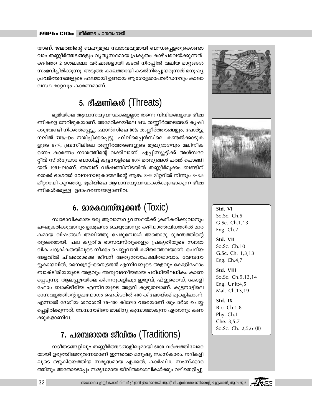

Std. VI So.Sc. Ch.5 G.Sc. Ch.1.13 Eng. Ch.2

Std. VII So.Sc. Ch.10 G.Sc. Ch. 1,3,13 Eng. Ch.4,7

Std. VIII So.Sc. Ch.9,13,14 Eng.  $Unit:4.5$ Mal. Ch.13,19

Std. IX Bio. Ch.1,8 Phy. Ch.1 Che. 3,5,7 So.Sc. Ch. 2.5.6 (II)

യാണ്. ജലത്തിന്റെ ബഹുമുഖ സ്വഭാവവുമായി ബന്ധപ്പെട്ടതുകൊണ്ടാ വാം തണ്ണീർത്തടങ്ങളും വൃതൃസ്ഥമായ പ്രകൃതം കാഴ്ചവെയ്ക്കുന്നത്. കഴിഞ്ഞ 2 ദശലക്ഷം വർഷങ്ങളായി കടൽ നിരപ്പിൽ വലിയ മാറ്റങ്ങൾ സംഭവിച്ചിരിക്കുന്നു. അടുത്ത കാലത്തായി കടൽനിരപ്പുയരുന്നത് മനുഷ്യ പ്രവർത്തനങ്ങളുടെ ഫലമായി ഉണ്ടായ ആഗോളതാപവർദ്ധനവും കാലാ വസ്ഥ മാറ്റവും കാരണമാണ്.

## 5. ദീഷണികൾ (Threats)

ഭൂമിയിലെ ആവാസവ്യവസ്ഥകളെല്ലാം തന്നെ വിവിധങ്ങളായ ഭീഷ ണികളെ നേരിടുകയാണ്. അമേരിക്കയിലെ 54% തണ്ണീർത്തടങ്ങൾ കൃഷി ക്കുവേണ്ടി നികത്തപ്പെട്ടു. ഫ്രാൻസിലെ 80% തണ്ണീർത്തടങ്ങളും, പോർട്ടു ഗലിൽ 70%-ഉം നശിപ്പിക്കപ്പെട്ടു. ഫിലിപ്പൈൻസിലെ കണ്ടൽക്കാടുക ളുടെ 67%, ബ്രസീലിലെ തണ്ണീർത്തടങ്ങളുടെ മുഖ്യഭാഗവും മലിനീക രണം കാരണം നാശത്തിന്റെ വക്കിലാണ്. എപ്പിസ്യൂട്ടിക്ക് അൾസറേ റ്റീവ് സിൻഡ്രോം ബാധിച്ച് കുട്ടനാട്ടിലെ 90% മത്സ്യങ്ങൾ ചത്ത് പൊങ്ങി യത് 1991-ലാണ്. അമ്പത് വർഷത്തിനിടയിൽ തണ്ണീർമുക്കം ബണ്ടിന് തെക്ക് ഭാഗത്ത് വേമ്പനാടുകായലിന്റെ ആഴം 8–9 മീറ്ററിൽ നിന്നും 3–3.5 മീറ്ററായി കുറഞ്ഞു. ഭൂമിയിലെ ആവാസവ്യവസ്ഥകൾക്കുണ്ടാകുന്ന ഭീഷ ണികൾക്കുള്ള ഉദാഹരണങ്ങളാണിവ..

### 6. മാരകവസ്തുക്കൾ (Toxic)

സ്വാഭാവികമായ ഒരു ആവാസവ്യവസ്ഥയ്ക്ക് ക്രമീകരിക്കുവാനും ലഘൂകരിക്കുവാനും ഉന്മൂലനം ചെയ്യുവാനും കഴിയാത്തവിധത്തിൽ മാര കമായ വിഷങ്ങൾ അലിഞ്ഞു ചേരുമ്പോൾ അതൊരു ദുരന്തത്തിന്റെ തുടക്കമായി. പല കൃത്രിമ രാസവസ്തുക്കളും പ്രകൃതിയുടെ സ്വാഭാ വിക ചാക്രികതയിലൂടെ നീക്കം ചെയ്യുവാൻ കഴിയാത്തവയാണ്. ചെറിയ അളവിൽ ചിലതൊക്കെ ജീവന് അത്യന്താപേക്ഷിതമാവാം. വേമ്പനാ ട്ടുകായലിൽ, നൈട്രേറ്റ്–നൈട്രജൻ എന്നിവയുടെ അളവും കോളിഫോം ബാക്ടീരിയയുടെ അളവും അനുവദനീയമായ പരിധിയിലധികം കാണ പ്പെടുന്നു. ആലപ്പുഴയിലെ കിണറുകളിലും ഇരുമ്പ്, ഫ്ളൂറൈഡ്, കോളി ഫോം ബാക്ടീരിയ എന്നിവയുടെ അളവ് കുടുതലാണ്. കുട്ടനാട്ടിലെ രാസവളത്തിന്റെ ഉപയോഗം ഹെക്ടറിൽ 400 കിലോയ്ക്ക് മുകളിലാണ്. എന്നാൽ ദേശീയ ശരാശരി 75–100 കിലോ വരെയാണ് ശുപാർശ ചെയ്യ പ്പെട്ടിരിക്കുന്നത്. വേമ്പനാടിനെ മാലിന്യ കൂമ്പാരമാകുന്ന ഏതാനും കണ ക്കുകളാണിവ.

### 7. പരമ്പരാഗത ജീവിതം (Traditions)

നദീതടങ്ങളിലും തണ്ണീർത്തടങ്ങളിലുമായി 6000 വർഷത്തിലേറെ യായി ഉരുത്തിഞ്ഞുവന്നതാണ് ഇന്നത്തെ മനുഷ്യ സംസ്കാരം. നദികളി ലൂടെ ഒഴുകിയെത്തിയ സമൃദ്ധമായ എക്കൽ, കാർഷിക സംസ്ക്കാര ത്തിനും അതോടൊപ്പം സമൃദ്ധമായ ജീവിതശൈലികൾക്കും വഴിതെളിച്ചു.

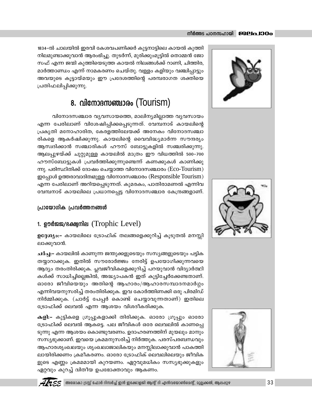

1834-ൽ ചാലയിൽ ഇരവി കേശവപണിക്കർ കുട്ടനാട്ടിലെ കായൽ കുത്തി നിലമുണ്ടാക്കുവാൻ ആരംഭിച്ചു. തുടർന്ന്, മുരിക്കുംമൂട്ടിൽ തൊമ്മൻ ജോ സഫ് എന്ന ജന്മി കുത്തിയെടുത്ത കായൽ നിലങ്ങൾക്ക് റാണി, ചിത്തിര, മാർത്താണ്ഡം എന്ന് നാമകരണം ചെയ്തു. വള്ളം കളിയും വഞ്ചിപ്പാട്ടും അവയുടെ കൂട്ടായ്മയും ഈ പ്രദേശത്തിന്റെ പരമ്പരാഗത ശക്തിയെ പ്രതിഫലിപ്പിക്കുന്നു.

## 8. വിനോദസഞ്ചാരം (Tourism)

വിനോദസഞ്ചാര വ്യവസായത്തെ, മാലിന്യമില്ലാത്ത വ്യവസായം എന്ന പേരിലാണ് വിശേഷിപ്പിക്കപ്പെടുന്നത്. വേമ്പനാട് കായലിന്റെ പ്രകൃതി മനോഹാരിത, കേരളത്തിലേയക്ക് അനേകം വിനോദസഞ്ചാ രികളെ ആകർഷിക്കുന്നു. കായലിന്റെ വൈവിദ്ധ്യമാർന്ന സൗന്ദര്യം ആസ്വദിക്കാൻ സഞ്ചാരികൾ ഹൗസ് ബോട്ടുകളിൽ സഞ്ചരിക്കുന്നു. ആലപ്പുഴയ്ക്ക് ചുറ്റുമുള്ള കായലിൽ മാത്രം ഈ വിധത്തിൽ 500–700 ഹൗസ്ബോട്ടുകൾ പ്രവർത്തിക്കുന്നുണ്ടെന്ന് കണക്കുകൾ കാണിക്കു ന്നു. പരിസ്ഥിതിക്ക് ദോഷം ചെയ്യാത്ത വിനോദസഞ്ചാരം (Eco-Tourism) ഇപ്പോൾ ഉത്തരാവാദിത്വമുള്ള വിനോദസഞ്ചാരം (Responsible Tourism) എന്ന പേരിലാണ് അറിയപ്പെടുന്നത്. കുമരകം, പാതിരാമണൽ എന്നിവ വേമ്പനാട് കായലിലെ പ്രധാനപ്പെട്ട വിനോദസഞ്ചാര കേന്ദ്രങ്ങളാണ്.

### പ്രായോഗിക പ്രവർത്തനങ്ങൾ

### 1. อุขดุละมารอยุตกิต (Trophic Level)

ഉദ്ദേശ്യം:– കായലിലെ ട്രോഫിക് തലങ്ങളെക്കുറിച്ച് കൂടുതൽ മനസ്സി ലാക്കുവാൻ.

ചർച്ച:– കായലിൽ കാണുന്ന ജന്തുക്കളുടെയും സസ്യങ്ങളുടെയും പട്ടിക തയ്യാറാക്കുക. ഇതിൽ സൗരോർജ്ജം നേരിട്ട് ഉപയോഗിക്കുന്നവയെ ആദ്യം തരംതിരിക്കുക. പ്ലവജീവികളെക്കുറിച്ച് പറയുവാൻ വിദ്യാർത്ഥി കൾക്ക് സാധിച്ചില്ലെങ്കിൽ, അദ്ധ്യാപകൻ ഇത് കൂട്ടിച്ചേർക്കേണ്ടതാണ്. ഓരോ ജീവിയെയും അതിന്റെ ആഹാരം/ആഹാരസമ്പാദനമാർഗ്ഗം എന്നിവയനുസരിച്ച് തരംതിരിക്കുക. ഇവ കോർത്തിണക്കി ഒരു പിരമിഡ് നിർമ്മിക്കുക. (ചാർട്ട് പേപ്പർ കൊണ്ട് ചെയ്യാവുന്നതാണ്) ഇതിലെ ട്രോഫിക്ക് ലെവൽ എന്ന ആശയം വിശദീകരിക്കുക.

കളി:– കുട്ടികളെ ഗ്രൂപ്പുകളാക്കി തിരിക്കുക. ഓരോ ഗ്രൂപ്പും ഓരോ ്രോഫിക്ക് ലെവൽ ആകട്ടെ. പല ജീവികൾ ഒരേ ലെവലിൽ കാണപ്പെ ടുന്നു എന്ന ആശയം കൊണ്ടുവരണം. ഉദാഹരണത്തിന് മുയലും മാനും സസ്യഭുക്കാണ്. ഇവയെ ക്രമമനുസരിച്ച് നിർത്തുക. പരസ്പരബന്ധവും ആഹാരശൃംഖലയും ശൃംഖലാജാലികയും മനസ്സിലാക്കുവാൻ പാകത്തി ലായിരിക്കണം ക്രമീകരണം. ഓരോ ട്രോഫിക് ലെവലിലെയും ജീവിക ളുടെ എണ്ണം ക്രമമമായി കുറയണം. ഏറ്റവുമധികം സസ്യഭുക്കുകളും ഏറ്റവും കുറച്ച് ദ്വിതീയ ഉപഭോക്താവും ആകണം.





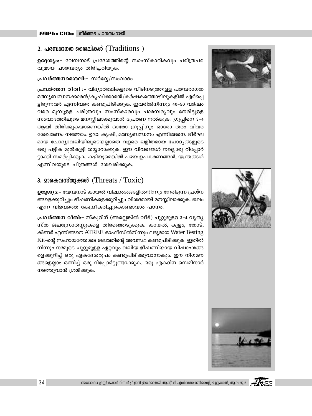### 2. പരമ്പരാഗത ശൈലികൾ (Traditions)

ഉദ്ദേശ്യം:– വേമ്പനാട് പ്രദേശത്തിന്റെ സാംസ്കാരികവും ചരിത്രപര വുമായ പാരമ്പര്യം തിരിച്ചറിയുക.

### പ്രവർത്തനശൈലി:– സർവ്വേ/സംവാദം

പ്രവർത്തന രീതി :- വിദ്യാർത്ഥികളുടെ വീടിനടുത്തുള്ള പരമ്പരാഗത മത്സ്യബന്ധനക്കാരൻ/കൃഷിക്കാരൻ/കർഷകത്തൊഴിലുകളിൽ ഏർപ്പെ ട്ടിരുന്നവർ എന്നിവരെ കണ്ടുപിടിക്കുക. ഇവരിൽനിന്നും 40–50 വർഷം വരെ മുമ്പുള്ള ചരിത്രവും സംസ്കാരവും പാരമ്പര്യവും നേരിട്ടുള്ള സംവാദത്തിലൂടെ മനസ്സിലാക്കുവാൻ പ്രേരണ നൽകുക. ഗ്രൂപ്പിനെ 3–4 ആയി തിരിക്കുകയാണെങ്കിൽ ഓരോ ഗ്രൂപ്പിനും ഓരോ തരം വിവര ശേഖരണം നടത്താം. ഉദാ: കൃഷി, മത്സ്യബന്ധനം എന്നിങ്ങനെ. ദീർഘ മായ ചോദ്യാവലിയിലൂടെയല്ലാതെ വളരെ ലളിതമായ ചോദ്യങ്ങളുടെ ഒരു പട്ടിക മുൻകൂട്ടി തയ്യാറാക്കുക. ഈ വിവരങ്ങൾ നല്ലൊരു റിപ്പോർ ട്ടാക്കി സമർപ്പിക്കുക. കഴിയുമെങ്കിൽ പഴയ ഉപകരണങ്ങൾ, യന്ത്രങ്ങൾ എന്നിവയുടെ ചിത്രങ്ങൾ ശേഖരിക്കുക.

### 3. മാരകവസ്തുക്കൾ (Threats /  $Toxic$ )

ഉദേശ്യം:– വേമ്പനാട് കായൽ വിഷാംശങ്ങളിൽനിന്നും നേരിടുന്ന പ്രശ്ന ങ്ങളെക്കുറിച്ചും ഭീഷണികളെക്കുറിച്ചും വിശദമായി മനസ്സിലാക്കുക. ജലം എന്ന വിഭവത്തെ കേന്ദ്രീകരിച്ചുകൊണ്ടാവാം പഠനം.

പ്രവർത്തന രീതി:– സ്കുളിന് (അല്ലെങ്കിൽ വീട്) ചുറ്റുമുള്ള 3-4 വൃത്യ സ്ത ജലസ്രോതസ്സുകളെ തിരഞ്ഞെടുക്കുക. കായൽ, കുളം, തോട്, കിണർ എന്നിങ്ങനെ ATREE ഓഫീസിൽനിന്നും ലഭ്യമായ Water Testing Kit-ന്റെ സഹായത്തോടെ ജലത്തിന്റെ അവസ്ഥ കണ്ടുപിടിക്കുക. ഇതിൽ നിന്നും നമ്മുടെ ചുറ്റുമുള്ള ഏറ്റവും വലിയ ഭീഷണിയായ വിഷാംശങ്ങ ളെക്കുറിച്ച് ഒരു ഏകദേശരൂപം കണ്ടുപിടിക്കുവാനാകും. ഈ നിഗമന ങ്ങളെല്ലാം ഒന്നിച്ച് ഒരു റിപ്പോർട്ടുണ്ടാക്കുക. ഒരു ഏകദിന സെമിനാർ നടത്തുവാൻ ശ്രമിക്കുക.





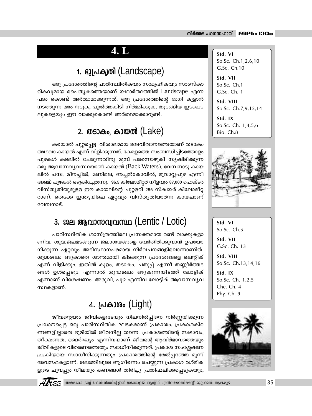### 4. L

## 1. <sub>B</sub> (പക്വതി (Landscape)

ഒരു പ്രദേശത്തിന്റെ പാരിസ്ഥിതികവും സാമൂഹികവും സാംസ്കാ രികവുമായ പൈതൃകത്തെയാണ് യഥാർത്ഥത്തിൽ Landscape എന്ന പദം കൊണ്ട് അർത്ഥമാക്കുന്നത്. ഒരു പ്രദേശത്തിന്റെ ഭംഗി കുട്ടാൻ നടത്തുന്ന മരം നടുക, പുൽത്തകിടി നിർമ്മിക്കുക, തുടങ്ങിയ ഇടപെട ലൂകളെയും ഈ വാക്കുകൊണ്ട് അർത്ഥമാക്കാറുണ്ട്.

### 2. തടാകം, കായൽ (Lake)

കരയാൽ ചുറ്റപ്പെട്ട വിശാലമായ ജലവിതാനത്തെയാണ് തടാകം അഥവാ കായൽ എന്ന് വിളിക്കുന്നത്. കേരളത്തെ സംബന്ധിച്ചിടത്തോളം പുഴകൾ കടലിൽ ചേരുന്നതിനു മുമ്പ് പരന്നൊഴുകി സൃഷിടിക്കുന്ന ഒരു ആവാസവ്യവസ്ഥയാണ് കായൽ (Back Waters). വേമ്പനാടു കായ ലിൽ പമ്പ, മീനച്ചിൽ, മണിമല, അച്ചൻകോവിൽ, മുവാറ്റുപുഴ എന്നീ അഞ്ച് പുഴകൾ ഒഴുകിച്ചേരുന്നു. 96.5 കിലോമീറ്റർ നീളവും 87,000 ഹെക്ടർ വിസ്തൃതിയുമുള്ള ഈ കായലിന്റെ ചുറ്റളവ് 256 സ്ക്വയർ കിലോമീറ്റ റാണ്. തെക്കേ ഇന്ത്യയിലെ ഏറ്റവും വിസ്തൃതിയാർന്ന കായലാണ് വേമ്പനാട്.

## 3. ജല ആവാസവ്വവസ്ഥ (Lentic / Lotic)

പാരിസ്ഥിതിക ശാസ്ത്രത്തിലെ പ്രസക്തമായ രണ്ട് വാക്കുകളാ ണിവ. ശുദ്ധജലമടങ്ങുന്ന ജലാശയങ്ങളെ വേർതിരിക്കുവാൻ ഉപയോ ഗിക്കുന്ന ഏറ്റവും അടിസ്ഥാനപരമായ നിർവചനങ്ങളിലൊന്നാണിത്. ശുദ്ധജലം ഒഴുകാതെ ശാന്തമായി കിടക്കുന്ന പ്രദേശങ്ങളെ ലെന്റിക് എന്ന് വിളിക്കും. ഇതിൽ കുളം, തടാകം, ചതുപ്പ് എന്നീ തണ്ണീർത്തട ങ്ങൾ ഉൾപ്പെടും. എന്നാൽ ശുദ്ധജലം ഒഴുകുന്നയിടത്ത് ലോട്ടിക് എന്നാണ് വിശേഷണം. അരുവി, പുഴ എന്നിവ ലോട്ടിക് ആവാസവൃവ സ്ഥകളാണ്.

## 4. പ്രകാരം (Light)

ജീവന്റെയും ജീവികളുടേയും നിലനിൽപ്പിനെ നിർണ്ണയിക്കുന്ന പ്രധാനപ്പെട്ട ഒരു പാരിസ്ഥിതിക ഘടകമാണ് പ്രകാശം. പ്രകാശകിര ണങ്ങളില്ലാതെ ഭുമിയിൽ ജീവനില്ല തന്നെ. പ്രകാശത്തിന്റെ സ്വഭാവം, തീക്ഷണത, ദൈർഘ്യം എന്നിവയാണ് ജീവന്റെ ആവിർഭാവത്തെയും ജീവികളുടെ വിതരണത്തെയും സ്വാധീനീക്കുന്നത്. പ്രകാശ സംശ്ലേഷണ പ്രക്രിയയെ സ്വാധീനിക്കുന്നതും പ്രകാശത്തിന്റെ മേൽപ്പറഞ്ഞ മൂന്ന് അവസ്ഥകളാണ്. ജലത്തിലൂടെ ആഗീരണം ചെയ്യുന്ന പ്രകാശ രശ്മിക ളുടെ ചുവപ്പും നീലയും കണങ്ങൾ തിരിച്ചു പ്രതിഫലിക്കപ്പെടുകയും, Std. VI So.Sc. Ch.1,2,6,10 G.Sc. Ch.10

Std. VII So.Sc. Ch.1 G.Sc. Ch. 1

Std. VIII So.Sc. Ch.7,9,12,14

Std. IX So.Sc. Ch. 1,4,5,6 Bio. Ch.8



Std VI So.Sc. Ch.5 Std. VII G.Sc. Ch. 13 Std. VIII So.Sc. Ch.13.14.16

Std. IX So.Sc. Ch. 1,2,5 Che. Ch. 4 Phy. Ch. 9



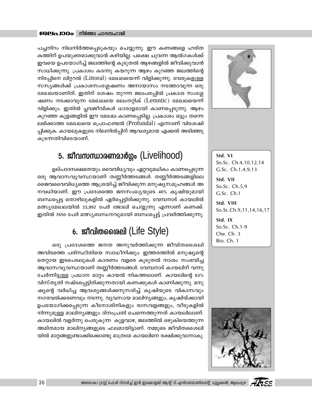

Std. VI So.Sc. Ch.4,10,12,14 G.Sc. Ch.1,4,9,13

Std. VII So.Sc. Ch.5,9 G.Sc. Ch.1

Std. VIII So.Sc.Ch.9,11,14,16,17

Std. IX So.Sc. Ch.1-9 Che. Ch. 3 Bio. Ch. 1



പച്ചനിറം നിലനിർത്തപ്പെടുകയും ചെയ്യുന്നു. ഈ കണങ്ങളെ ഹരിത കത്തിന് ഉപയുക്തമാക്കുവാൻ കഴിയില്ല. പക്ഷെ ചുവന്ന ആൽഗകൾക്ക് ഇവയെ ഉപയോഗിച്ച് ജലത്തിന്റെ കൂടുതൽ ആഴങ്ങളിൽ ജീവിക്കുവാൻ സാധിക്കുന്നു. പ്രകാശം കടന്നു കയറുന്ന ആഴം കുറഞ്ഞ ജലത്തിന്റെ നിരപ്പിനെ ലിറ്ററൽ (Littoral) മേഖലയെന്ന് വിളിക്കുന്നു. വേരുകളുള്ള സസ്യങ്ങൾക്ക് പ്രകാശസംശ്ലേഷണം അനായാസം നടത്താവുന്ന ഒരു മേഖലയാണിത്. ഇതിന് ശേഷം തുറന്ന ജലപരപ്പിൽ പ്രകാശ സംശ്ലേ ഷണം നടക്കാവുന്ന മേഖലയെ ലെംനറ്റിക് (Lemntic) മേഖലയെന്ന് വിളിക്കും. ഇതിൽ പ്ലവജീവികൾ ധാരാളമായി കാണപ്പെടുന്നു. ആഴം കുറഞ്ഞ കുളങ്ങളിൽ ഈ മേഖല കാണപ്പെടില്ല. പ്രകാശം ഒട്ടും തന്നെ ലഭിക്കാത്ത മേഖലയെ പ്രൊഫണ്ടൽ (Profundal) എന്നാണ് വിശേഷി പ്പിക്കുക. കായലുകളുടെ നിലനിൽപ്പിന് ആവശ്യമായ എക്കൽ അടിഞ്ഞു കുടന്നതിവിടെയാണ്.

## 5. ജീവസന്ധാരണമാർഗ്ഗം (Livelihood)

ഉല്പാദനക്ഷമതയും വൈവിധ്യവും ഏറ്റവുമധികം കാണപ്പെടുന്ന ഒരു ആവാസവ്യവസ്ഥയാണ് തണ്ണീർത്തടങ്ങൾ. തണ്ണീർത്തടങ്ങളിലെ ജൈവവൈവിധ്യത്തെ ആശ്രയിച്ച് ജീവിക്കുന്ന മനുഷ്യസമൂഹങ്ങൾ അ നവധിയാണ്. ഈ പ്രദേശത്തെ ജനസംഖ്യയുടെ 40% കൃഷിയുമായി ബന്ധപ്പെട്ട തൊഴിലുകളിൽ ഏർപ്പെട്ടിരിക്കുന്നു. വേമ്പനാട് കായലിൽ മത്സ്യമേഖലയിൽ 23,992 പേർ ജോലി ചെയ്യുന്നു എന്നാണ് കണക്ക്. ഇതിൽ 7650 പേർ മത്സ്യബന്ധനവുമായി ബന്ധപ്പെട്ട് പ്രവർത്തിക്കുന്നു.

### 6. ஜிவிலை சி (Life Style)

ഒരു പ്രദേശത്തെ ജനത അനുവർത്തിക്കുന്ന ജീവിതശൈലി അവിടത്തെ പരിസ്ഥിതിയെ സ്വാധീനിക്കും. ഇത്തരത്തിൽ മനുഷ്യന്റെ തെറ്റായ ഇടപെടലുകൾ കാരണം വളരെ കൂടുതൽ നാശം സംഭവിച്ച ആവാസവ്യവസ്ഥയാണ് തണ്ണീർത്തടങ്ങൾ. വേമ്പനാട് കായലിന് വന്നു ചേർന്നിട്ടുള്ള പ്രധാന മാറ്റം കായൽ നികത്തലാണ്. കായലിന്റെ 63% വിസ്തൃതി നഷ്ടപ്പെട്ടിരിക്കുന്നതായി കണക്കുകൾ കാണിക്കുന്നു. മനു ഷ്യന്റെ വർധിച്ച ആവശ്യങ്ങൾക്കനുസരിച്ച് കൃഷിയുടെ വികാസവും നഗരവൽക്കരണവും നടന്നു. വ്യവസായ മാലിന്യങ്ങളും, കൃഷിയ്ക്കായി ഉപയോഗിക്കപ്പെടുന്ന കീടനാശിനികളും രാസവളങ്ങളും, വീടുകളിൽ നിന്നുമുള്ള മാലിന്യങ്ങളും ദിനംപ്രതി ചെന്നെത്തുന്നത് കായലിലാണ്. കായലിൽ വളർന്നു പെരുകുന്ന കുളവാഴ, ജലത്തിൽ ഒഴുകിയെത്തുന്ന അമിതമായ മാലിനൃങ്ങളുടെ ഫലമായിട്ടാണ്. നമ്മുടെ ജീവിതശൈലി യിൽ മാറ്റങ്ങളുണ്ടാക്കിക്കൊണ്ടു മാത്രമേ കായലിനെ രക്ഷിക്കുവാനാകു.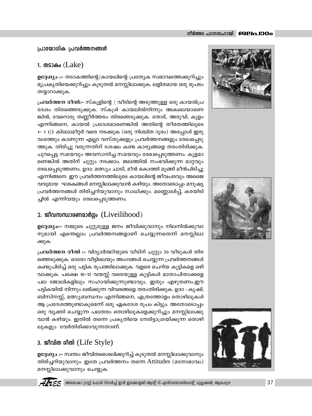### പ്രായോഗിക പ്രവർത്തനങ്ങൾ

### 1. @S $3a_0$  (Lake)

ഉദ്ദേശ്യം :– തടാകത്തിന്റെ/കായലിന്റെ പ്രത്യേക സ്വഭാവത്തെക്കുറിച്ചും ഭൂപ്രകൃതിയെക്കുറിച്ചും കൂടുതൽ മനസ്സിലാക്കുക. ലളിതമായ ഒരു ഭൂപടം തയ്യാറാക്കുക.

പ്രവർത്തന രീതി:– സ്കൂളിന്റെ / വീടിന്റെ അടുത്തുള്ള ഒരു കായൽപ്ര ദേശം തിരഞ്ഞെടുക്കുക. സ്കൂൾ കായലിൽനിന്നും അകലെയാണെ ങ്കിൽ, വേറൊരു തണ്ണീർത്തടം തിരഞെടുക്കുക. തോട്, അരുവി, കുളം എന്നിങ്ങനെ, കായൽ പ്രദേശമാണെങ്കിൽ അതിന്റെ തീരതത്തിലൂടെ 1- 1 1/2 കിലോമീറ്റർ വരെ നടക്കുക (ഒരു നിശ്ചിത ദൂരം) അപ്പോൾ ഇരു വശത്തും കാണുന്ന എല്ലാ വസ്തുക്കളും പ്രവർത്തനങ്ങളും രേഖപ്പെടു ത്തുക. തിരിച്ചു വരുന്നതിന് ശേഷം കണ്ട കാര്യങ്ങളെ തരംതിരിക്കുക. പുറപ്പെട്ട സമയവും അവസാനിച്ച സമയവും രേഖപ്പെടുത്തണം. കുളമാ ണെങ്കിൽ അതിന് ചുറ്റും നടക്കാം. ജലത്തിൽ സംഭവിക്കുന്ന മാറ്റവും രേഖപ്പെടുത്തണം. ഉദാ: മത്സ്യം ചാടി, മീൻ കൊത്തി മുങ്ങി മീൻപിടിച്ചു എന്നിങ്ങനെ. ഈ പ്രവർത്തനത്തിലൂടെ കായലിന്റെ ജീവപരവും അജൈ വവുമായ ഘടകങ്ങൾ മനസ്സിലാക്കുവാൻ കഴിയും. അതോടൊപ്പം മനുഷ്യ പ്രവർത്തനങ്ങൾ തിരിച്ചറിയുവാനും സാധിക്കും. മണ്ണൊലിപ്പ്, കരയിടി ച്ചിൽ എന്നിവയും രേഖപ്പെടുത്തണം.

### 2. ജീവസന്ധാരണമാർഗ്ഗം (Liveilihood)

ഉദ്ദേശ്യം:– നമ്മുടെ ചുറ്റുമുള്ള ജനം ജീവിക്കുവാനും നിലനിൽക്കുവാ നുമായി എന്തെല്ലാം പ്രവർത്തനങ്ങളാണ് ചെയ്യുന്നതെന്ന് മനസ്സിലാ ക്കുക.

പ്രവർത്തന രീതി :- വിദ്യാർത്ഥിയുടെ വീടിന് ചുറ്റും 20 വീടുകൾ തിര ഞ്ഞെടുക്കുക. ഓരോ വീട്ടിലെയും അംഗങ്ങൾ ചെയ്യുന്ന പ്രവർത്തനങ്ങൾ കണ്ടുപിടിച്ച് ഒരു പട്ടിക രൂപത്തിലാക്കുക. വളരെ ചെറിയ കുട്ടികളെ ഒഴി വാക്കുക. പക്ഷെ 10–12 വയസ്സ് വരെയുള്ള കുട്ടികൾ മാതാപിതാക്കളെ പല ജോലികളിലും സഹായിക്കുന്നുണ്ടാവും. ഇതും എഴുതണം.ഈ പട്ടികയിൽ നിന്നും ലഭിക്കുന്ന വിവരങ്ങളെ തരംതിരിക്കുക. ഉദാ : കൃഷി, ബിസിനസ്സ്, മത്സ്യബന്ധനം എന്നിങ്ങനെ, എത്രത്തോളം തൊഴിലുകൾ ആ പ്രദേശത്തുണ്ടാകുമെന്ന് ഒരു ഏകദേശ രൂപം കിട്ടും. അതോടൊപ്പം ഒരു വ്യക്തി ചെയ്യുന്ന പലതരം തൊഴിലുകളെക്കുറിച്ചും മനസ്സിലാക്കു വാൻ കഴിയും. ഇതിൽ തന്നെ പ്രകൃതിയെ നേരിട്ടാശ്രയിക്കുന്ന തൊഴി ലുകളും വേർതിരിക്കാവുന്നതാണ്.

### 3. ജീവിത രീതി (Life Style)

ഉദ്ദേശ്യം :– സ്വന്തം ജീവിതശൈലിക്കുറിച്ച് കുടുതൽ മനസ്സിലാക്കുവാനും തിരിച്ചറിയുവാനും. ഇതേ പ്രവർത്തനം തന്നെ Attitudes (മനോഭാവം) മനസ്സിലാക്കുവാനും ചെയ്യുക.







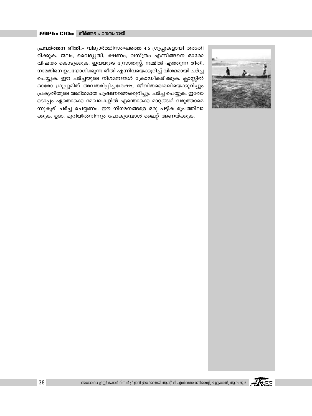#### 



പ്രവർത്തന രീതി:– വിദ്യാർത്ഥിസംഘത്തെ 4.5 ഗ്രൂപ്പുകളായി തരംതി രിക്കുക. ജലം, വൈദ്യുതി, ക്ഷണം, വസ്ത്രം എന്നിങ്ങനെ ഓരോ വിഷയം കൊടുക്കുക. ഇവയുടെ സ്രോതസ്സ്, നമ്മിൽ എത്തുന്ന രീതി, നാമതിനെ ഉപയോഗിക്കുന്ന രീതി എന്നിവയെക്കുറിച്ച് വിശദമായി ചർച്ച ചെയ്യുക. ഈ ചർച്ചയുടെ നിഗമനങ്ങൾ ക്രോഡീകരിക്കുക. ക്ലാസ്സിൽ ഓരോ ഗ്രൂപ്പുമിത് അവതരിപ്പിച്ചശേഷം, ജീവിതശൈലിയെക്കുറിച്ചും പ്രകൃതിയുടെ അമിതമായ ചൂഷണത്തെക്കുറിച്ചും ചർച്ച ചെയ്യുക. ഇതോ ടൊപ്പം ഏതൊക്കെ മേഖലകളിൽ എന്തൊക്കെ മാറ്റങ്ങൾ വരുത്താമെ ന്നുകൂടി ചർച്ച ചെയ്യണം. ഈ നിഗമനങ്ങളെ ഒരു പട്ടിക രൂപത്തിലാ ക്കുക. ഉദാ: മുറിയിൽനിന്നും പോകുമ്പോൾ ലൈറ്റ് അണയ്ക്കുക.

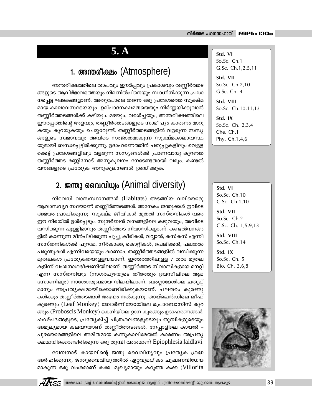### 5. A

### 1. അന്തരീക്ഷം (Atmosphere)

അന്തരീക്ഷത്തിലെ താപവും ഈർപ്പവും പ്രകാശവും തണ്ണീർത്തട ങ്ങളുടെ ആവിർഭാവത്തെയും നിലനിൽപിനെയും സ്വാധീനിക്കുന്ന പ്രധാ നപ്പെട്ട ഘടകങ്ങളാണ്. അതുപോലെ തന്നെ ഒരു പ്രദേശത്തെ സൂക്ഷ്മ മായ കാലാവസ്ഥയെയും ഉല്പാദനക്ഷമതയെയും നിർണ്ണയിക്കുവാൻ തണ്ണീർത്തടങ്ങൾക്ക് കഴിയും. മഴയും, വരൾച്ചയും, അന്തരീക്ഷത്തിലെ ഈർപ്പത്തിന്റെ അളവും, തണ്ണീർത്തടങ്ങളുടെ സാമീപ്യം കാരണം മാറു കയും കുറയുകയും ചെയ്യാറുണ്ട്. തണ്ണീർത്തടങ്ങളിൽ വളരുന്ന സസ്യ ങ്ങളുടെ സ്വഭാവവും അവിടെ സംജാതമാകുന്ന സൂക്ഷ്മകാലാവസ്ഥ യുമായി ബന്ധപ്പെട്ടിരിക്കുന്നു. ഉദാഹരണത്തിന് ചതുപ്പുകളിലും വെള്ള ക്കെട്ട് പ്രദേശങ്ങളിലും വളരുന്ന സസ്യങ്ങൾക്ക് പ്രാണവായു കുറഞ്ഞ തണ്ണീർത്തട മണ്ണിനോട് അനുകൂലനം നേടേണ്ടതായി വരും. കണ്ടൽ വനങ്ങളുടെ പ്രത്യേക അനുകൂലനങ്ങൾ ശ്രദ്ധിക്കുക.

## 2. ജന്തു വൈവിധ്വം (Animal diversity)

നിരവധി വാസസ്ഥാനങ്ങൾ ( $Habitats$ ) അടങ്ങിയ വലിയൊരു ആവാസവ്യവസ്ഥയാണ് തണ്ണീർത്തടങ്ങൾ. അനേകം ജന്തുക്കൾ ഇവിടെ അഭയം പ്രാപിക്കുന്നു. സൂക്ഷ്മ ജീവികൾ മുതൽ സസ്തനികൾ വരെ ഈ നിരയിൽ ഉൾപ്പെടും. സുന്ദർബൻ വനങ്ങളിലെ കടുവയും, അവിടെ വസിക്കുന്ന പുള്ളിമാനും തണ്ണീർത്തട നിവാസികളാണ്. കണ്ടൽവനങ്ങ ളിൽ കാണുന്ന മീൻപിടിക്കുന്ന പൂച്ച, കീരികൾ, വവ്വാൽ, കസ്കസ് എന്നീ സസ്തനികൾക്ക് പുറമേ, നീർകാക്ക, കൊറ്റികൾ, പെലിക്കൻ, പലതരം പരുന്തുകൾ എന്നിവയെയും കാണാം. തണ്ണീർത്തടങ്ങളിൽ വസിക്കുന്ന മുതലകൾ പ്രത്യേകതയുള്ളവയാണ്. ഇത്തരത്തിലുള്ള 7 തരം മുതല കളിന്ന് വംശനാശഭീഷണിയിലാണ്. തണ്ണീർത്തട നിവാസികളായ മനറ്റി എന്ന സസ്തനിയും (നാഗർപുഴയുടെ തീരത്തും ബ്രസീലിലെ ആമ സോണിലും) നാശോന്മുഖമായ നിലയിലാണ്. ബംഗ്ലാദേശിലെ ചതുപ്പ് മാനും അപ്രതൃക്ഷമായിക്കൊണ്ടിരിക്കുകയാണ്. പലതരം കുരങ്ങു കൾക്കും തണ്ണീർത്തടങ്ങൾ അഭയം നൽകുന്നു. തായ്ലെൻഡിലെ ലീഫ് കുരങ്ങും (Leaf Monkey) ബോർണിയോയിലെ പ്രൊബോസിസ് കുര ങ്ങും (Proboscis Monkey) കെനിയിലെ റ്റാന കുരങ്ങും ഉദാഹരണങ്ങൾ. ഷഢ്പദങ്ങളുടെ, പ്രത്യേകിച്ച് ചിത്രശലങ്ങളുടെയും തുമ്പികളുടെയും അമൂല്യമായ കലവറയാണ് തണ്ണീർത്തടങ്ങൾ. നേപ്പാളിലെ കായൽ -പുഴയോരങ്ങളിലെ അമിതമായ കന്നുകാലിമേയൽ കാരണം അപ്രത്യ ക്ഷമായിക്കൊണ്ടിരിക്കുന്ന ഒരു തുമ്പി വംശമാണ് Epiophlesia laidlavi.

വേമ്പനാട് കായലിന്റെ ജന്തു വൈവിധ്യവും പ്രത്യേക ശ്രദ്ധ അർഹിക്കുന്നു. ജന്തുവൈവിധ്യത്തിൽ ഏറ്റവുമധികം ചുഷണവിധേയ മാകുന്ന ഒരു വംശമാണ് കക്ക. മുഖ്യമായും കറുത്ത കക്ക (Villorita Std. VI So.Sc. Ch.1

G.Sc. Ch.1,2,5,11 Std. VII So.Sc. Ch.2,10 G.Sc. Ch. 4

Std. VIII So.Sc. Ch.10.11.13

Std. IX So.Sc. Ch. 2,3,4 Che. Ch.1 Phy. Ch.1,4,6

Std. VI So.Sc. Ch.10 G.Sc. Ch.1,10 Std. VII So.Sc. Ch.2 G.Sc. Ch. 1,5,9,13

Std. VIII So.Sc. Ch.14

Std. IX So.Sc. Ch. 5 Bio. Ch. 3,6,8

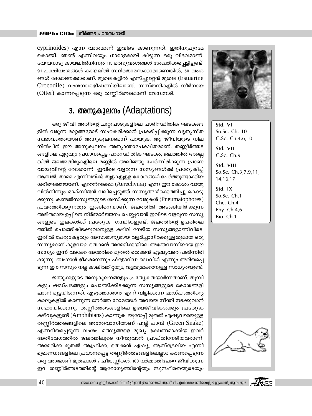cyprinoides) എന്ന വംശമാണ് ഇവിടെ കാണുന്നത്. ഇതിനുപുറമേ കൊഞ്ച്, ഞണ്ട് എന്നിവയും ധാരാളമായി കിട്ടുന്ന ഒരു വിഭവമാണ്. വേമ്പനാടു കായലിൽനിന്നും 115 മത്സ്യവംശങ്ങൾ ശേഖരിക്കപ്പെട്ടിട്ടുണ്ട്. 91 പക്ഷിവംശങ്ങൾ കായലിൽ സ്ഥിരതാമസക്കാരാണെങ്കിൽ, 50 വംശ ങ്ങൾ ദേശാടനക്കാരാണ്. മുതലകളിൽ എസ്ച്ചുറ്റെൻ മുതല (Estuarine Crocodile) വംശനാശഭീഷണിയിലാണ്. സസ്തനികളിൽ നീർനായ (Otter) കാണപ്പെടുന്ന ഒരു തണ്ണീർത്തടമാണ് വേമ്പനാട്.

### 3. അനുകൂലനം (Adaptations)

ഒരു ജീവി അതിന്റെ ചുറ്റുപാടുകളിലെ പാരിസ്ഥിതിക ഘടകങ്ങ ളിൽ വരുന്ന മാറ്റങ്ങളോട് സഹകരിക്കാൻ പ്രകടിപ്പിക്കുന്ന വ്യത്യസ്ത സ്വഭാവത്തെയാണ് അനുകൂലനമെന്ന് പറയുക. ആ ജീവിയുടെ നില നിൽപിന് ഈ അനുകൂലനം അത്യാന്താപേക്ഷിതമാണ്. തണ്ണീർത്തട ങ്ങളിലെ ഏറ്റവും പ്രധാനപ്പെട്ട പാരസ്ഥിതിക ഘടകം, ജലത്തിൽ അല്ലെ ങ്കിൽ ജലഅതിരുകളിലെ മണ്ണിൽ അലിഞ്ഞു ചേർന്നിരിക്കുന്ന പ്രാണ വായുവിന്റെ തോതാണ്. ഇവിടെ വളരുന്ന സസ്യങ്ങൾക്ക് പ്രത്യേകിച്ച് ആമ്പൽ, താമര എന്നിവയ്ക്ക് തുളകളുള്ള കോശങ്ങൾ ചേർത്തുണ്ടാക്കിയ ശരീരഘടനയാണ്. ഏറെൻക്കൈമ (Aerechyma) എന്ന ഈ കോശം വായു വിൽനിന്നും ഓക്സിജൻ വലിച്ചെടുത്ത് സസ്യങ്ങൾക്കെത്തിച്ചു കൊടു ക്കുന്നു. കണ്ടൽസസ്യങ്ങളുടെ ശ്വസിക്കുന്ന വേരുകൾ (Pneumatophores) പ്രവർത്തിക്കുന്നതും ഇങ്ങിനെയാണ്. ജലത്തിൽ അടങ്ങിയിരിക്കുന്ന അമിതമായ ഉപ്പിനെ നിർമ്മാർജ്ജനം ചെയ്യുവാൻ ഇവിടെ വളരുന്ന സസ്യ ങ്ങളുടെ ഇലകൾക്ക് പ്രത്യേക ഗ്രന്ഥികളുണ്ട്. ജലത്തിന്റെ ഉപരിതല ത്തിൽ പൊങ്ങികിടക്കുവാനുള്ള കഴിവ് നേടിയ സസ്യങ്ങളാണിവിടെ. ഇതിൽ പേരുകേട്ടതും അസാമാന്യമായ വളർച്ചാനിരക്കുള്ളതുമായ ഒരു സസ്യമാണ് കുളവാഴ. തെക്കൻ അമേരിക്കയിലെ അന്തേവാസിയായ ഈ സസ്യം ഇന്ന് വടക്കേ അമേരിക്ക മുതൽ തെക്കൻ ഏഷ്യവരെ പടർന്നിരി ക്കുന്നു. ബംഗാൾ ഭീകരനെന്നും ഫ്ളോറിഡ ഡെവിൾ എന്നും അറിയപ്പെ ടുന്ന ഈ സസ്യം നല്ല കാലിത്തീറ്റയും, വളവുമാക്കാനുള്ള സാധ്യതയുണ്ട്.

ജന്തുക്കളുടെ അനുകൂലനങ്ങളും പ്രത്യേകതയാർന്നതാണ്. തുമ്പി

കളും ഷഡ്പദങ്ങളും പൊങ്ങിക്കിടക്കുന്ന സസ്യങ്ങളുടെ കോശങ്ങളി ലാണ് മുട്ടയിടുന്നത്. എഴുത്താശാൻ എന്ന് വിളിക്കുന്ന ഷഡ്പദത്തിന്റെ കാലുകളിൽ കാണുന്ന നേർത്ത രോമങ്ങൾ അവയെ നീന്തി നടക്കുവാൻ സഹായിക്കുന്നു. തണ്ണീർത്തടങ്ങളിലെ ഉഭയജീവികൾക്കും പ്രത്യേക 'കഴിവുകളുണ്ട് (Amphibians) കാണുക. യൂറോപ്പ് മുതൽ ഏഷ്യവരെയുള്ള തണ്ണീർത്തടങ്ങളിലെ അന്തേവാസിയാണ് പുല്ല് പാമ്പ് (Green Snake) എന്നറിയപ്പെടുന്ന വംശം. മത്സ്യങ്ങളെ മുഖ്യ ഭക്ഷണമാക്കിയ ഇവർ അതിവേഗത്തിൽ ജലത്തിലൂടെ നീന്തുവാൻ പ്രാപ്തിനേടിയവരാണ്. അമേരിക്ക മുതൽ ആഫ്രിക്ക, തെക്കൻ ഏഷ്യ, ആസ്ട്രേലിയ എന്നീ ഭൂഖണ്ഡങ്ങളിലെ പ്രധാനപ്പെട്ട തണ്ണീർത്തടങ്ങളിലെല്ലാം കാണപ്പെടുന്ന ഒരു വംശമാണ് മുതലകൾ / ചീങ്കണ്ണികൾ. 100 വർഷത്തിലേറെ ജീവിക്കുന്ന ഇവ തണ്ണീർത്തടത്തിന്റെ ആരോഗ്യത്തിന്റെയും സുസ്ഥിരതയുടെയും



Std. VI So.Sc. Ch. 10 G.Sc. Ch.4,6,10 Std. VII G.Sc. Ch.9

Std. VIII So.Sc. Ch.3,7,9,11, 14, 16, 17

Std. IX So.Sc.  $Ch.1$ Che. Ch.4 Phy. Ch.4,6 Bio. Ch.1

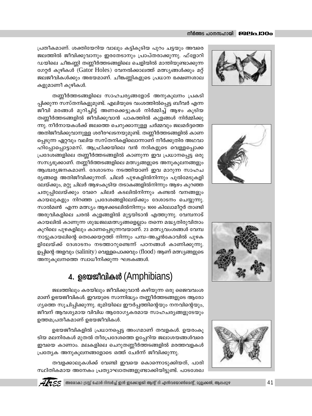

പ്രതീകമാണ്. ശക്തിയേറിയ വാലും കട്ടികൂടിയ പുറം ചട്ടയും അവരെ ജലത്തിൽ ജീവിക്കുവാനും ഇരതേടാനും പ്രാപ്തരാക്കുന്നു. ഫ്ളോറി ഡയിലെ ചീങ്കണ്ണി തണ്ണീർത്തടങ്ങളിലെ ചെളിയിൽ മാന്തിയുണ്ടാക്കുന്ന ഗേറ്റർ കുഴികൾ (Gator Holes) വേനൽക്കാലത്ത് മത്സ്യങ്ങൾക്കും മറ്റ് ജലജീവികൾക്കും അഭയമാണ്. ചീങ്കണ്ണികളുടെ പ്രധാന ഭക്ഷണശാല കളുമാണീ കുഴികൾ.

തണ്ണീർത്തടങ്ങളിലെ സാഹചര്യങ്ങളോട് അനുകൂലനം പ്രകടി പ്പിക്കുന്ന സസ്തനികളുമുണ്ട്. എലിയുടെ വംശത്തിൽപ്പെട്ട ബീവർ എന്ന ജീവി മരങ്ങൾ മുറിച്ചിട്ട് അണക്കെട്ടുകൾ നിർമ്മിച്ച് ആഴം കൂടിയ തണ്ണീർത്തടങ്ങളിൽ ജീവിക്കുവാൻ പാകത്തിൽ കുളങ്ങൾ നിർമ്മിക്കു ന്നു. നീർനായകൾക്ക് ജലത്തെ ചെറുക്കാനുള്ള ചർമ്മവും ജലമർദ്ദത്തെ അതിജീവിക്കുവാനുള്ള ശരീരഘടനയുമുണ്ട്. തണ്ണീർത്തടങ്ങളിൽ കാണ പ്പെടുന്ന ഏറ്റവും വലിയ സസ്തനികളിലൊന്നാണ് നീർക്കുതിര അഥവാ ഹിപ്പോപ്പൊട്ടാമസ്. ആഫ്രിക്കയിലെ വൻ നദികളുടെ വെള്ളപ്പൊക്ക പ്രദേശങ്ങളിലെ തണ്ണീർത്തടങ്ങളിൽ കാണുന്ന ഇവ പ്രധാനപ്പെട്ട ഒരു സസ്യഭൂക്കാണ്. തണ്ണീർത്തടങ്ങളിലെ മത്സ്യങ്ങളുടെ അനുകൂലനങ്ങളും ആശ്ചര്യജനകമാണ്. ദേശാടനം നടത്തിയാണ് ഇവ മാറുന്ന സാഹച ര്യങ്ങളെ അതിജീവിക്കുന്നത്. ചിലർ പുഴകളിൽനിന്നും പുൽമേടുകളി ലേയ്ക്കും, മറ്റു ചിലർ ആഴംകൂടിയ തടാകങ്ങളിൽനിന്നും ആഴം കുറഞ്ഞ ചതുപ്പിലേയ്ക്കും വേറെ ചിലർ കടലിൽനിന്നും കണ്ടൽ വനങ്ങളും കായലുകളും നിറഞ്ഞ പ്രദേശങ്ങളിലേയ്ക്കും ദേശാടനം ചെയ്യുന്നു. സാൽമൺ എന്ന മത്സ്യം ആഴക്കടലിൽനിന്നും 1000 കിലോമീറ്റർ താണ്ടി അരുവികളിലെ ചരൽ കുളങ്ങളിൽ മുട്ടയിടാൻ എത്തുന്നു. വേമ്പനാട് കായലിൽ കാണുന്ന ശുദ്ധജലമത്സ്യങ്ങളെല്ലാം തന്നെ മദ്ധ്യതിരുവിതാം കൂറിലെ പുഴകളിലും കാണപ്പെടുന്നവയാണ്. 23 മത്സ്യവംശങ്ങൾ വേമ്പ നാട്ടുകായലിന്റെ തെക്കേയറ്റത്ത് നിന്നും പമ്പ–അച്ചൻകോവിൽ പുഴക ളിലേയ്ക്ക് ദേശാടനം നടത്താറുണ്ടെന്ന് പഠനങ്ങൾ കാണിക്കുന്നു. ഉപ്പിന്റെ അളവും (salinity) വെള്ളപൊക്കവും (flood) ആണ് മത്സ്യങ്ങളുടെ അനുകൂലനത്തെ സ്വാധീനിക്കുന്ന ഘടകങ്ങൾ.

## 4. ഉഭയജീവികൾ (Amphibians)

ജലത്തിലും കരയിലും ജീവിക്കുവാൻ കഴിയുന്ന ഒരു ജൈവവംശ മാണ് ഉഭയജീവികൾ. ഇവയുടെ സാന്നിദ്ധ്യം തണ്ണീർത്തടങ്ങളുടെ ആരോ ഗ്യത്തെ സൂചിപ്പിക്കുന്നു. ഭൂമിയിലെ ഈർപ്പത്തിന്റെയും നനവിന്റെയും, ജീവന് ആവശ്യമായ വിവിധ ആരോഗ്യകരമായ സാഹചര്യങ്ങളുടേയും ഉത്തമപ്രതീകമാണ് ഉഭയജീവികൾ.

ഉഭയജീവികളിൽ പ്രധാനപ്പെട്ട അംഗമാണ് തവളകൾ. ഉയരംകൂ ടിയ മലനിരകൾ മുതൽ തീരപ്രദേശത്തെ ഉപ്പേറിയ ജലാശയങ്ങൾവരെ ഇവയെ കാണാം. മലകളിലെ ചെറുതണ്ണീർത്തടങ്ങളിൽ മരത്തവളകൾ പ്രത്യേക അനുകൂലനങ്ങളോടെ ഒത്ത് ചേർന്ന് ജീവിക്കുന്നു.

തവളക്കാലുകൾക്ക് വേണ്ടി ഇവയെ കൊന്നൊടുക്കിയത്, പാരി സ്ഥിതികമായ അനേകം പ്രത്യാഘാതങ്ങളുണ്ടാക്കിയിട്ടുണ്ട്. പാടശേഖ







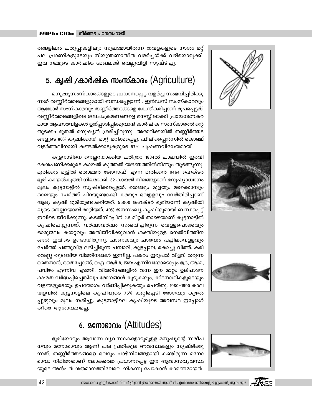





രങ്ങളിലും ചതുപ്പുകളിലും സുലഭമായിരുന്ന തവളകളുടെ നാശം മറ്റ് പല പ്രാണികളുടേയും നിയന്ത്രണാതീത വളർച്ചയ്ക്ക് വഴിയൊരുക്കി. ഇവ നമ്മുടെ കാർഷിക മേഖലക്ക് വെല്ലുവിളി സൃഷ്ടിച്ചു.

## 5. കൃഷി /കാർഷിക സംസ്കാരം (Agriculture)

മനുഷ്യസംസ്കാരങ്ങളുടെ പ്രധാനപ്പെട്ട വളർച്ച സംഭവിച്ചിരിക്കു ്നത് തണ്ണീർത്തടങ്ങളുമായി ബന്ധപ്പെട്ടാണ് . ഇൻഡസ് സംസ്കാരവും ആങ്കോർ സംസ്കാരവും തണ്ണീർത്തടങ്ങളെ കേന്ദ്രീകരിച്ചാണ് രൂപപ്പെട്ടത്. തണ്ണീർത്തടങ്ങളിലെ ജലചംക്രമണങ്ങളെ മനസ്സിലാക്കി പ്രയോജനകര മായ ആഹാരവിളകൾ ഉത്പ്പാദിപ്പിക്കുവാൻ കാർഷിക സംസ്കാരത്തിന്റെ തുടക്കം മുതൽ മനുഷ്യൻ ശ്രമിച്ചിരുന്നു. അമേരിക്കയിൽ തണ്ണീർത്തട ങ്ങളുടെ 80% കൃഷിക്കായി മാറ്റി മറിക്കപ്പെട്ടു. ഫിലിപ്പൈൻസിൽ കൊഞ്ച് വളർത്തലിനായി കണ്ടൽക്കാടുകളുടെ 67% ചൂഷണവിധേയമായി.

കുട്ടനാടിനെ നെല്ലറയാക്കിയ ചരിത്രം 1834ൽ ചാലയിൽ ഇരവി കേശപണിക്കരുടെ കായൽ കുത്തൽ യജ്ഞത്തിൽനിന്നും തുടങ്ങുന്നു. ്മുരിക്കും മൂട്ടിൽ തൊമ്മൻ ജോസഫ് എന്ന മുരിക്കൻ 9464 ഹെക്ടർ ഭുമി കായൽകുത്തി നിലമാക്കി. 32 കായൽ നിലങ്ങളാണ് മനുഷ്യാധ്വാനം മൂലം കുട്ടനാട്ടിൽ സൃഷ്ടിക്കപ്പെട്ടത്. തെങ്ങും മുളയും മരക്കൊമ്പും ഓലയും ചേർത്ത് ചിറയുണ്ടാക്കി കരയും വെള്ളവും വേർതിരിച്ചാണ് ആദ്യ കൃഷി ഭൂമിയുണ്ടാക്കിയത്. 55000 ഹെക്ടർ ഭൂമിയാണ് കൃഷിയി ലൂടെ നെല്ലറയായി മാറ്റിയത്. 40% ജനസംഖ്യ കൃഷിയുമായി ബന്ധപ്പെട്ട് ഇവിടെ ജീവിക്കുന്നു. കടൽനിരപ്പിന് 2.5 മീറ്റർ താഴെയാണ് കുട്ടനാട്ടിൽ കൃഷിചെയ്യുന്നത്. വർഷാവർഷം സംഭവിച്ചിരുന്ന വെള്ളപൊക്കവും ഓരുജലം കയറ്റവും അതിജീവിക്കുവാൻ ശക്തിയുള്ള നെൽവിത്തിന ങ്ങൾ ഇവിടെ ഉണ്ടായിരുന്നു. ചാണകവും ചാരവും പച്ചിലവെള്ളവും ചേർത്ത് പത്തുവിള ലഭിച്ചിരുന്ന ചമ്പാവ്, കുളപ്പാല, കൊച്ചു വിത്ത്, കരി വെണ്ണ തുടങ്ങിയ വിത്തിനങ്ങൾ ഇന്നില്ല. പകരം ഇരുപത് വിളവ് തരുന്ന തൈനാൻ, തൈച്ചോങ്ങ്, ഐ–ആർ 8, ജയ എന്നിവയോടൊപ്പം ഭദ്ര, ആശ, ്പവിഴം എന്നിവ എത്തി. വിത്തിനങ്ങളിൽ വന്ന ഈ മാറ്റം ഉല്പാദന ക്ഷമത വർദ്ധപ്പിച്ചെങ്കിലും രോഗങ്ങൾ കുടുകയും, കീടനാശികളുടെയും വളങ്ങളുടെയും ഉപയോഗം വർദ്ധിപ്പിക്കുകയും ചെയ്തു. 1980–1990 കാല യളവിൽ കുട്ടനാട്ടിലെ കൃഷിയുടെ 75% കുറ്റിച്ചെടി രോഗവും കുഴൽ പ്പുഴുവും മൂലം നശിച്ചു. കുട്ടനാട്ടിലെ കൃഷിയുടെ അവസ്ഥ ഇപ്പോൾ തീരെ ആശാവഹമല്ല

## 6. 26m 363010 (Attitudes)

ഭൂമിയോടും ആവാസ വ്യവസ്ഥകളോടുമുള്ള മനുഷ്യന്റെ സമീപ നവും മനോഭാവും ആണ് പല പ്രതികൂല അവസ്ഥകളും സൃഷ്ടിക്കു ന്നത്. തണ്ണീർത്തടങ്ങളെ വെറും പാഴ്നിലങ്ങളായി കണ്ടിരുന്ന മനോ ഭാവം നിമിത്തമാണ് ലോകത്തെ പ്രധാനപ്പെട്ട ഈ ആവാസവ്യവസ്ഥ യുടെ അൻപത് ശതമാനത്തിലേറെ നികന്നു പോകാൻ കാരണമായത്.

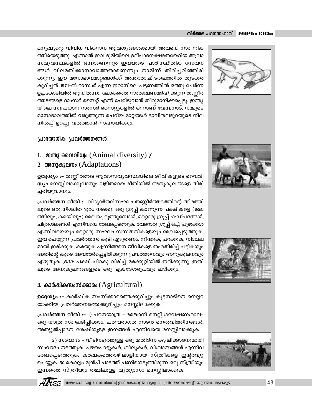മനുഷ്യന്റെ വിവിധ വികസന ആവശ്യങ്ങൾക്കായി അവയെ നാം നിക ത്തിയെടുത്തു. എന്നാൽ ഇവ ഭൂമിയിലെ ഉല്പാദനക്ഷമതയേറിയ ആവാ സവ്യവസ്ഥകളിൽ ഒന്നാണെന്നും ഇവയുടെ പാരിസ്ഥിതിക സേവന ങ്ങൾ വിലമതിക്കാനാവാത്തതാണെന്നും നാമിന്ന് തിരിച്ചറിഞ്ഞിരി ക്കുന്നു. ഈ മനോഭാവമാറ്റങ്ങൾക്ക് അന്താരാഷ്ട്രതലത്തിൽ തുടക്കം കുറിച്ചത് 1971-ൽ റാസംർ എന്ന ഇറാനിലെ പട്ടണത്തിൽ ഒത്തു ചേർന്ന ഉച്ചകോടിയിൽ ആയിരുന്നു. ലോകത്തെ സംരക്ഷണമർഹിക്കുന്ന തണ്ണീർ ത്തടങ്ങളെ റാംസർ സൈറ്റ് എന്ന് പേരിടുവാൻ തീരുമാനിക്കപ്പെട്ടു. ഇന്ത്യ യിലെ സുപ്രധാന റാംസർ സൈറ്റുകളിൽ ഒന്നാണ് വേമ്പനാട്. നമ്മുടെ മനോഭാവത്തിൽ വരുത്തുന്ന ചെറിയ മാറ്റങ്ങൾ ഭാവിതലമുറയുടെ നില നിൽപ്പ് ഉറപ്പു വരുത്താൻ സഹായിക്കും.

### പ്രായോഗിക പ്രവർത്തനങ്ങൾ

1. ஜாலு வைவியு (Animal diversity) /

### 2. Com<sub>3</sub> again (Adaptations)

ഉദ്ദേശ്യം :– തണ്ണീർത്തട ആവാസവ്യവസ്ഥയിലെ ജീവികളുടെ വൈവി ദ്ധ്യം മനസ്സിലാക്കുവാനും ലളിതമായ രീതിയിൽ അനുകൂലങ്ങളെ തിരി ച്ചരിയുവാനും.

പ്രവർത്തന രീതി :- വിദ്യാർത്ഥിസംഘം തണ്ണീർത്തടത്തിന്റെ തീരത്തി ലൂടെ ഒരു നിശ്ചിത ദൂരം നടക്കു. ഒരു ഗ്രൂപ്പ് കാണുന്ന പക്ഷികളെ (ജല ത്തിലും, കരയിലും) രേഖപ്പെടുത്തുമ്പോൾ, മറ്റൊരു ഗ്രൂപ്പ് ഷഡ്പദങ്ങൾ, ചിത്രശലങ്ങൾ എന്നിവയെ രേഖപ്പെടത്തുക. വേറൊരു ഗ്രൂപ്പ് ഒച്ച്, പുഴുക്കൾ എന്നിവയെയും മറ്റൊരു സംഘം സസ്തനികളെയും രേഖപ്പെടുത്തുക. ഇവ ചെയ്യുന്ന പ്രവർത്തനം കുടി എഴുതണം. നീന്തുക, പറക്കുക, നിശ്ചല മായി ഇരിക്കുക, കരയുക എന്നിങ്ങനെ ജീവികളെ തംരതിരിച്ച് പട്ടികയും അതിന്റെ കൂടെ അവരേർപ്പെട്ടിരിക്കുന്ന പ്രവർത്തനവും അനുകൂലനവും എഴുതുക. *ഉദാ:* പക്ഷി ചിറകു വിരിച്ച് മരക്കുറ്റിയിൽ ഇരിക്കുന്നു. ഇതി ലൂടെ അനുകൂലനങ്ങളുടെ ഒരു ഏകദേശരൂപവും ലഭിക്കും.

### 3. കാർഷികസംസ്ക്കാരം  $(Agricultural)$

ഉദ്ദേശ്യം :– കാർഷിക സംസ്ക്കാരത്തെക്കുറിച്ചും കുട്ടനാടിനെ നെല്ലറ യാക്കിയ പ്രവർത്തനത്തെക്കുറിച്ചും മനസ്സിലാക്കുക.

പ്രവർത്തന രീതി :- 1) പഠനയാത്ര - മങ്കൊമ്പ് നെല്ല് ഗവേഷണശാല-ഒരു യാത്ര സംഘടിപ്പിക്കാം. പരമ്പരാഗത നാടൻ നെൽവിത്തിനങ്ങൾ, അത്യൂൽപ്പാദന ശേഷിയുള്ള ഇനങ്ങൾ എന്നിവയെ മനസ്സിലാക്കുക.

2) സംവാദം – വീടിനടുത്തുള്ള ഒരു മുതിർന്ന കൃഷിക്കാരനുമായി സംവാദം നടത്തുക. പഴയപാട്ടുകൾ, ശീലുകൾ, വിശ്വാസങ്ങൾ എന്നിവ രേഖപ്പെടുത്തുക. കർഷകത്തൊഴിലാളിയായ സ്ത്രീകളെ ഇന്റർവ്യു ചെയ്യുക. 50 കൊല്ലം മുൻപ് പാടത്ത് പണിയെടുത്തിരുന്ന ഒരു സ്ത്രീയും ഇന്നത്തെ സ്ത്രീയും തമ്മിലുള്ള വ്യത്യാസം മനസ്സിലാക്കുക.









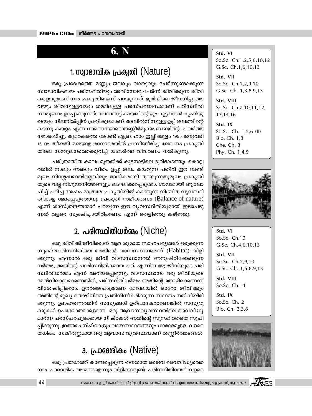### 6. N

## 1. സ്വാഭാവിക പ്രകൃതി (Nature)

ഒരു പ്രദേശത്തെ മണ്ണും ജലവും വായുവും ചേർന്നുണ്ടാക്കുന്ന സ്വാഭാവികമായ പരിസ്ഥിതിയും അതിനോടു ചേർന്ന് ജീവിക്കുന്ന ജീവി കളെയുമാണ് നാം പ്രകൃതിയെന്ന് പറയുന്നത്. ഭൂമിയിലെ ജീവനില്ലാത്ത വയും ജീവനുള്ളവയും തമ്മിലുള്ള പരസ്പരബന്ധമാണ് പരിസ്ഥിതി സന്തുലനം ഉറപ്പാക്കുന്നത്. വേമ്പനാട്ട് കായലിന്റെയും കുട്ടനാടൻ കൃഷിയു ടെയും നിലനിൽപ്പിന് പ്രതികുലമാണ് കടലിൽനിന്നുള്ള ഉപ്പ് ജലത്തിന്റെ കടന്നു കയറ്റം എന്ന ധാരണയോടെ തണ്ണീർമുക്കം ബണ്ടിന്റെ പ്രവർത്ത നമാരംഭിച്ചു. കുമരകത്തെ ജോൺ എബ്രഹാം ഇല്ലിക്കുളം 1955 ജനുവരി 15-ാം തീയതി മലയാള മനോരമയിൽ പ്രസിദ്ധീരിച്ച ലേഖനം പ്രകൃതി യിലെ സന്തുലനത്തെക്കുറിച്ച് യഥാർത്ഥ വിവരണം നൽകുന്നു.

ചരിത്രാതീത കാലം മുതൽക്ക് കുട്ടനാട്ടിലെ ഭൂരിഭാഗത്തും കൊല്ല ത്തിൽ നാലും അഞ്ചും വീതം ഉപ്പു ജലം കയറുന്ന പതിവ് ഈ ബണ്ട് മൂലം നിശ്ശേഷമായില്ലെങ്കിലും ഭാഗികമായി തടയുന്നതുമൂലം പ്രകൃതി യുടെ വല്ല നിഗൂഢനിയമങ്ങളും ലംഘിക്കപ്പെടുമോ. ഗാഢമായി ആലോ ചിച്ച് പഠിച്ച ശേഷം മാത്രമേ പ്രകൃതിയിൽ കാണുന്ന നിശ്ചിത വ്യവസ്ഥി തികളെ ഭേദപ്പെടുത്താവൂ. പ്രകൃതി സമീകരണം (Balance of nature) .എന്ന് ശാസ്ത്രജ്ഞന്മാർ പറയുന്ന ഈ വ്യവസ്ഥിതിയുമായി ഇടപെടു ന്നത് വളരെ സൂക്ഷിച്ചായിരിക്കണം എന്ന് തെളിഞ്ഞു കഴിഞ്ഞു.

### 2. പരിസ്ഥിതിധർമ്മം (Niche)

ഒരു ജീവിക്ക് ജീവിക്കാൻ ആവശ്യമായ സാഹചര്യങ്ങൾ ഒരുക്കുന്ന സൂക്ഷ്മപരിസ്ഥിതിയെ അതിന്റെ വാസസ്ഥാനമെന്ന് (Habitat) വിളി ക്കുന്നു. എന്നാൽ ഒരു ജീവി വാസസ്ഥാനത്ത് അനുഷ്ഠിക്കേണ്ടുന്ന ധർമ്മം, അതിന്റെ പാരിസ്ഥിതികമായ പങ്ക് എന്നിവ ആ ജീവിയുടെ പരി സ്ഥിതിധർമ്മം എന്ന് അറിയപ്പെടുന്നു. വാസസ്ഥാനം ഒരു ജീവിയുടെ മേൽവിലാസമാണെങ്കിൽ, പരിസ്ഥിതിധർമ്മം അതിന്റെ തൊഴിലാണെന്ന് വിശേഷിപ്പിക്കാം. ഊർജ്ജചംക്രമണ മേഖലയിൽ ഓരോ ജീവിക്കും അതിന്റെ മുഖ്യ തൊഴിലിനെ പ്രതിനിധീകരിക്കുന്ന സ്ഥാനം നൽകിയിരി ക്കുന്നു. ഉദാഹരണത്തിന് സസ്യങ്ങൾ ഉത്പാദകരാണെങ്കിൽ സസ്യഭു ക്കുകൾ ഉപഭോക്താക്കളാണ്. ഒരു ആവാസവ്യവസ്ഥയിലെ വൈവിദ്ധ്യ മാർന്ന പരസ്പരപൂരകമായ നിഷ്ഠകൾ അതിന്റെ സുസ്ഥിരതയെ സൂചി പ്പിക്കുന്നു. ഇത്തരം നിഷ്ഠകളും വാസസ്ഥാനങ്ങളും ധാരാളമുള്ള, വളരെ യധികം സങ്കീർണ്ണമായ ഒരു ആവാസ വ്യവസ്ഥയാണ് തണ്ണീർത്തടങ്ങൾ.

## 3. പ്രാദേശികം (Native)

ഒരു പ്രദേശത്ത് കാണപ്പെടുന്ന തനതായ ജൈവ വൈവിദ്ധ്യത്തെ നാം പ്രാദേശിക വംശങ്ങളെന്നും വിളിക്കാറുണ്ട്. പരിസ്ഥിതിയോട് വളരെ Std. VI

So.Sc. Ch.1,2,5,6,10,12 G.Sc. Ch.1,6,10,13

Std. VII So.Sc. Ch.1,2,9,10 G.Sc. Ch. 1,3,8,9,13

Std. VIII So.Sc. Ch.7.10.11.12. 13,14,16

Std. IX So.Sc. Ch. 1,5,6 (II) Bio. Ch. 1,8 Che. Ch. 3 Phy. Ch. 1,4,9



Std. VI So.Sc. Ch.10 G.Sc. Ch.4,6,10,13

Std. VII So.Sc. Ch.2,9,10 G.Sc. Ch. 1,5,8,9,13

Std. VIII So.Sc. Ch.14

Std. IX So.Sc. Ch. 2 Bio. Ch. 2,3,8

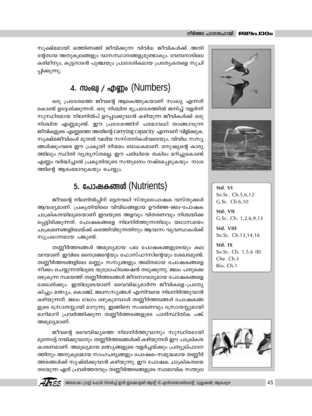

Std VI So.Sc. Ch.5,6,12 G.Sc. Ch.6,10

Std. VII G.Sc. Ch. 1,2,6,9,13

Std. VIII So.Sc. Ch.13,14,16

Std. IX So.Sc. Ch. 1,5,6 (II) Che. Ch.3 Bio. Ch.1



സൂക്ഷ്മമായി ഒത്തിണങ്ങി ജീവിക്കുന്ന വിവിധ ജീവികൾക്ക് അതി ന്റേതായ അനുകൂലങ്ങളും വാസസ്ഥാനങ്ങളുമുണ്ടാകും. വേമ്പനാടിലെ കരിമീനും, കുട്ടനാടൻ പുഞ്ചയും പ്രാദേശികമായ പ്രത്യേകതളെ സുചി പ്പിക്കുന്നു.

## 4. ஸ்வு / എണ്ണം (Numbers)

ഒരു പ്രദേശത്തെ ജീവന്റെ ആകെത്തുകയാണ് സംഖ്യ എന്നത് കൊണ്ട് ഉദ്ദേശിക്കുന്നത്. ഒരു നിശ്ചിത ഭൂപ്രദേശത്തിൽ ജനിച്ച് വളർന്ന് സുസ്ഥിരമായ നിലനിൽപ് ഉറപ്പാക്കുവാൻ കഴിയുന്ന ജീവികൾക്ക് ഒരു നിശ്ചിത എണ്ണമുണ്ട്. ഈ പ്രദേശത്തിന് പരമാവധി താങ്ങാവുന്ന ജീവികളുടെ എണ്ണത്തെ അതിന്റെ carrying capacity എന്നാണ് വിളിക്കുക. സുക്ഷ്മജീവികൾ മുതൽ വലിയ സസ്തനികൾവരെയും, വിവിധ സസ്യ ങ്ങൾക്കുംവരെ ഈ പ്രകൃതി നിയമം ബാധകമാണ്. മനുഷ്യന്റെ കാര്യ ത്തിലും സ്ഥിതി വ്യത്യസ്തമല്ല. ഈ പരിധിയെ തകിടം മറിച്ചുകൊണ്ട് എണ്ണം വർദ്ധിച്ചാൽ പ്രകൃതിയുടെ സന്തുലനം നഷ്ടപ്പെടുകയും നാശ ത്തിന്റെ ആരംഭമാവുകയും ചെയ്യും.

### 5. പോഷകങ്ങൾ (Nutrients)

ജീവന്റെ നിലനിൽപ്പിന് ഒട്ടനവധി സ്തൂലപോഷക വസ്തുക്കൾ ആവശ്യമാണ്. പ്രകൃതിയിലെ വിവിധങ്ങളായ ഊർജ്ജ-ജല-പോഷക ചാക്രികതയിലൂടെയാണ് ഇവയുടെ അളവും വിതരണവും നിശ്ചയിക്ക പ്പെട്ടിരിക്കുന്നത്. പോഷകങ്ങളെ നിലനിർത്തുന്നതിലും യഥാസമയം ചംക്രമണങ്ങളിലേയ്ക്ക് കടത്തിവിടുന്നതിനും ആവാസ വ്യവസ്ഥകൾക്ക് സുപ്രധാനമായ പങ്കുണ്ട്.

തണ്ണീർത്തടങ്ങൾ അമൂല്യമായ പല പോഷകങ്ങളുടെയും കല വറയാണ്. ഇവിടെ നൈട്രജന്റെയും ഫോസ്ഫറസിന്റെയും ശേഖരമുണ്ട്. തണ്ണീർത്തടങ്ങളിലെ മണ്ണും സസ്യങ്ങളും അമിതമായ പോഷകങ്ങളെ നീക്കം ചെയ്യുന്നതിലുടെ യുട്രോഫിക്കേഷൻ തടുക്കുന്നു. ജലം പതുക്കെ ഒഴുകുന്ന സമയത്ത് തണ്ണീർത്തടങ്ങൾ ജീവനാവശ്യമായ പോഷകങ്ങളെ ശേഖരിക്കും. ഇതിലുടെയാണ് വൈവിദ്ധ്യമാർന്ന ജീവികളെ–പ്രത്യേ കിച്ചും മത്സ്യം, കൊഞ്ച്, ജലസസ്യങ്ങൾ എന്നിവയെ നിലനിർത്തുവാൻ കഴിയുന്നത്. ജലം വേഗം ഒഴുകുമ്പോൾ തണ്ണീർത്തടങ്ങൾ പോഷകങ്ങ ളുടെ സ്രോതസ്സായി മാറുന്നു. ഇങ്ങിനെ സംഭരണവും സ്രോതസ്സുമായി മാറിമാറി പ്രവർത്തിക്കുന്ന തണ്ണീർത്തടങ്ങളുടെ പാരിസ്ഥിതിക പങ്ക് അമൂല്യമാണ്.

ജീവന്റെ വൈവിദ്ധ്യത്തെ നിലനിർത്തുവാനും സുസ്ഥിരമായി മുന്നോട്ട് നയിക്കുവാനും തണ്ണീർത്തടങ്ങൾക്ക് കഴിയുന്നത് ഈ ചാക്രികത കാരണമാണ്. അമൂല്യമായ മത്സ്യങ്ങളുടെ വളർച്ചയ്ക്കും പ്രത്യുല്പാദന ത്തിനും അനുകുലമായ സാഹചര്യങ്ങളും പോഷക–സമൃദ്ധമായ തണ്ണീർ ത്തടങ്ങൾക്ക് സൃഷ്ടിക്കുവാൻ കഴിയുന്നു. ഈ പോഷക ചാക്രികതയെ തടയുന്ന ഏത് പ്രവർത്തനവും തണ്ണീർത്തടങ്ങളുടെ സ്വാഭാവിക സന്തുല

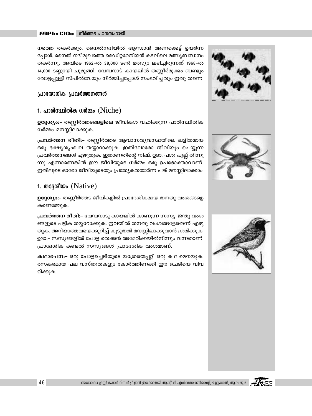### **@@@La\_loOo** midows പഠനസഹായി

നത്തെ തകർക്കും. നൈൽനദിയിൽ ആസ്വാൻ അണക്കെട്ട് ഉയർന്ന പ്പോൾ, നൈൽ നദീമുഖത്തെ മെഡിറ്ററേനിയൻ കടലിലെ മത്സ്യബന്ധനം തകർന്നു. അവിടെ 1962–ൽ 38,000 ടൺ മത്സ്യം ലഭിച്ചിരുന്നത് 1968–ൽ 14,000 ടണ്ണായി ചുരുങ്ങി. വേമ്പനാട് കായലിൽ തണ്ണീർമുക്കം ബണ്ടും തോട്ടപ്പള്ളി സ്പിൽവേയും നിർമ്മിച്ചപ്പോൾ സംഭവിച്ചതും ഇതു തന്നെ.

### പ്രായോഗിക പ്രവർത്തനങ്ങൾ

### 1. പാരിസ്ഥിതിക ധർമ്മം  $(Niche)$

ഉദ്ദേശ്യം:– തണ്ണീർത്തടങ്ങളിലെ ജീവികൾ വഹിക്കുന്ന പാരിസ്ഥിതിക ധർമ്മം മനസ്സിലാക്കുക.

പ്രവർത്തന രീതി:- തണ്ണീർത്തട ആവാസവ്യവസ്ഥയിലെ ലളിതമായ ഒരു ഭക്ഷ്യശൃംഖല തയ്യാറാക്കുക. ഇതിലോരോ ജീവിയും ചെയ്യുന്ന പ്രവർത്തനങ്ങൾ എഴുതുക. ഇതാണതിന്റെ നിഷ്. ഉദാ: പശു പുല്ല് തിന്നു ന്നു എന്നാണെങ്കിൽ ഈ ജീവിയുടെ ധർമ്മം ഒരു ഉപഭോക്താവാണ്. ഇതിലൂടെ ഓരോ ജീവിയുടെയും പ്രത്യേകതയാർന്ന പങ്ക് മനസ്സിലാക്കാം.

### 1. @gg@l@o (Native)

ഉദ്ദേശ്യം:– തണ്ണീർത്തട ജീവികളിൽ പ്രാദേശികമായ തനതു വംശങ്ങളെ കണ്ടെത്തുക.

പ്രവർത്തന രീതി:– വേമ്പനാടു കായലിൽ കാണുന്ന സസ്യ–ജന്തു വംശ ങ്ങളുടെ പട്ടിക തയ്യാറാക്കുക. ഇവയിൽ തനതു വംശങ്ങളേതെന്ന് എഴു തുക. അറിയാത്തവയെക്കുറിച്ച് കുടുതൽ മനസ്സിലാക്കുവാൻ ശ്രമിക്കുക. ഉദാ:– സസ്യങ്ങളിൽ പോള തെക്കൻ അമേരിക്കയിൽനിന്നും വന്നതാണ്. പ്രാദേശിക കണ്ടൽ സസ്യങ്ങൾ പ്രാദേശിക വംശമാണ്.

കഥാരചന:- ഒരു പോളച്ചെടിയുടെ യാത്രയെപ്പറ്റി ഒരു കഥ മെനയുക. രസകരമായ പല വസ്തുതകളും കോർത്തിണക്കി ഈ ചെടിയെ വിവ രിക്കുക.





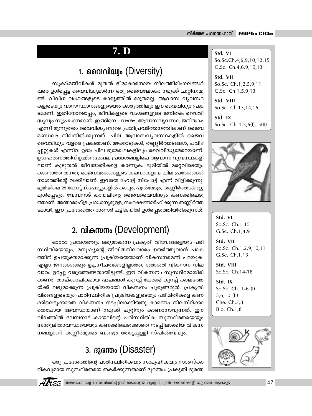Std. VI So.Sc.Ch.4,6,9,10,12,15 G.Sc. Ch.4,6,9,10,13

Std. VII So.Sc. Ch.1,2,5,9,11 G.Sc. Ch.1,5,9,13

Std. VIII So.Sc. Ch.13,14,16

Std. IX So.Sc. Ch 1.5.6(I), 5(II)



Std. VI So.Sc. Ch.1-15 G.Sc. Ch.1,4,9

Std. VII So.Sc. Ch.1,2,9,10,11 G.Sc. Ch.1,13

Std. VIII So.Sc. Ch.14-18

Std. IX So.Sc. Ch. 1-6 (I)  $5,6,10$  (II) Che. Ch.3.8 Bio. Ch.1,8



### **7. D**

## 1. ออณณ์ใญ<sub>่</sub> (Diversity)

സുക്ഷ്മജീവികൾ മുതൽ ഭീമാകാരനായ നീലത്തിമിംഗലങ്ങൾ വരെ ഉൾപ്പെട്ട വൈവിദ്ധ്യമാർന്ന ഒരു ജൈവലോകം നമുക്ക് ചുറ്റിനുമു ണ്ട്. വിവിധ വംശങ്ങളുടെ കാര്യത്തിൽ മാത്രമല്ല, ആവാസ വ്യവസ്ഥ കളുടെയും വാസസ്ഥാനങ്ങളുടെയും കാര്യത്തിലും ഈ വൈവിധ്യം പ്രക ടമാണ്. ഇതിനോടൊപ്പം, ജീവികളുടെ വംശങ്ങളുടെ ജനിതക വൈവി ദ്ധ്യവും സുപ്രധാനമാണ്. ഇങ്ങിനെ - വംശം, ആവാസവ്യവസ്ഥ, ജനിതകം എന്നീ മുന്നുതരം വൈവിദ്ധ്യങ്ങുടെ പ്രതിപ്രവർത്തനത്തിലാണ് ജൈവ മണ്ഡലം നിലനിൽക്കുന്നത്. ചില ആവാസവ്യവസ്ഥകളിൽ ജൈവ വൈവിധ്യം വളരെ പ്രകടമാണ്. മഴക്കാടുകൾ, തണ്ണീർത്തടങ്ങൾ, പവിഴ പ്പുറ്റുകൾ എന്നിവ ഉദാ: ചില ഭൂമേഖലകളിലും വൈവിദ്ധ്യമേറെയാണ്. ഉദാഹരണത്തിന് ഉഷ്ണമേഖല പ്രദേശങ്ങളിലെ ആവാസ വ്യവസ്ഥകളി ലാണ് കൂടുതൽ ജീവജാതികളെ കാണുക. ഭൂമിയിൽ മറ്റെവിടെയും കാണാത്ത തനതു ജൈവവംശങ്ങളുടെ കലവറകളായ ചില പ്രദേശങ്ങൾ നാശത്തിന്റെ വക്കിലാണ്. ഇവയെ ഹോട്ട് സ്പോട്ട് എന്ന് വിളിക്കുന്നു. ഭൂമിയിലെ 25 ഹോട്ട്സ്പോട്ടുകളിൽ കാടും, പുൽമേടും, തണ്ണീർത്തടങ്ങളു മുൾപ്പെടും. വേമ്പനാട് കായലിന്റെ ജൈവവൈവിദ്ധ്യം കണക്കിലെടു ത്താണ്, അന്താരാഷ്ട്ര പ്രാധാന്യമുള്ള, സംരക്ഷണമർഹിക്കുന്ന തണ്ണീർത്ത ടമായി, ഈ പ്രദേശത്തെ റാംസർ പട്ടികയിൽ ഉൾപ്പെടുത്തിയിരിക്കുന്നത്.

## 2. വികസനം (Development)

ഓരോ പ്രദേശത്തും ലഭ്യമാകുന്ന പ്രകൃതി വിഭവങ്ങളെയും പരി സ്ഥിതിയെയും, മനുഷ്യന്റെ ജീവിതനിലവാരം ഉയർത്തുവാൻ പാക ത്തിന് ഉപയുക്തമാക്കുന്ന പ്രക്രിയയെയാണ് വികസനമെന്ന് പറയുക. എല്ലാ ജനങ്ങൾക്കും ഉച്ചനീചത്വങ്ങളില്ലാത്ത, ശരാശരി വികസന നില വാരം ഉറപ്പു വരുത്തേണ്ടതായിട്ടുണ്ട്. ഈ വികസനം സുസ്ഥിരമായിരി ക്കണം. താല്ക്കാലികമായ ഫലങ്ങൾ കുറച്ച് പേർക്ക് കുറച്ച് കാലത്തേ യ്ക്ക് ലഭ്യമാക്കുന്ന പ്രക്രിയയായി വികസനം ചുരുങ്ങരുത്. പ്രകൃതി വിഭങ്ങളുടെയും പാരിസ്ഥിതിക പ്രക്രിയകളുടെയും പരിമിതികളെ കണ ക്കിലെടുക്കാതെ വികസനം നടപ്പിലാക്കിയതു കാരണം നിലനില്ക്കാ തെപോയ അവസ്ഥയാണ് നമുക്ക് ചുറ്റിനും കാണാനാവുന്നത്. ഈ വിധത്തിൽ വേമ്പനാട് കായലിന്റെ പരിസ്ഥിതിക സുസ്ഥിരതയെയും സന്തുലിതാവസ്ഥയെയും കണക്കിലെടുക്കാതെ നടപ്പിലാക്കിയ വികസ നങ്ങളാണ് തണ്ണീർമുക്കം ബണ്ടും തോട്ടപ്പള്ളി സ്പിൽവേയും.

## 3. Bloro (Disaster)

ഒരു പ്രദേശത്തിന്റെ പാരിസ്ഥിതികവും സാമൂഹികവും സാംസ്കാ രികവുമായ സുസ്ഥിരതയെ തകർക്കുന്നതാണ് ദുരന്തം. പ്രകൃതി ദുരന്ത

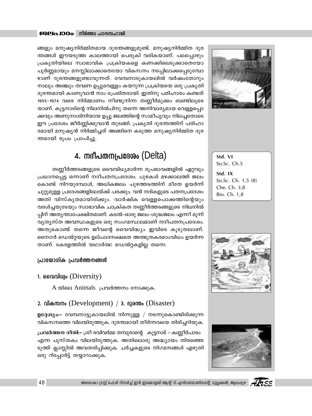### **@@@Lo\_IOOo** midows alommaniwa



ങ്ങളും മനുഷ്യനിർമ്മിതമായ ദുരന്തങ്ങളുമുണ്ട്. മനുഷ്യനിർമ്മിത ദുര ന്തങ്ങൾ ഈയടുത്ത കാലത്തായി പെരുകി വരികയാണ്. പലപ്പോഴും പ്രകൃതിയിലെ സ്വാഭാവിക പ്രക്രിയകളെ കണക്കിലെടുക്കാതെയോ പൂർണ്ണമായും മനസ്സിലാക്കാതെയോ വികസനം നടപ്പിലാക്കപ്പെടുമ്പോ ഴാണ് ദുരന്തങ്ങളുണ്ടാവുന്നത്. വേമ്പനാടുകായലിൽ വർഷംതോറും നാലും അഞ്ചും തവണ ഉപ്പുവെള്ളം കയറുന്ന പ്രക്രിയയെ ഒരു പ്രകൃതി ദുരന്തമായി കാണുവാൻ നാം പ്രേരിതരായി. ഇതിനു പരിഹാരം കണ്ടത് 1955–1974 വരെ നിർമ്മാണം നീണ്ടുനിന്ന തണ്ണീർമുക്കം ബണ്ടിലുടെ യാണ്. കുട്ടനാടിന്റെ നിലനിൽപിനു തന്നെ അനിവാര്യമായ വെള്ളപ്പൊ ക്കവും അണുനാശിനിയായ ഉപ്പു ജലത്തിന്റെ സാമീപ്യവും നിലച്ചതോടെ ഈ പ്രദേശം ജീർണ്ണിക്കുവാൻ തുടങ്ങി. പ്രകൃതി ദുരന്തത്തിന് പരിഹാ രമായി മനുഷ്യൻ നിർമ്മിച്ചത് അങ്ങിനെ കടുത്ത മനുഷ്യനിർമ്മിത ദുര ന്തമായി രൂപം പ്രാപിച്ചു.

### 4. നദീപതനപ്രദേശം (Delta)

തണ്ണീർത്തടങ്ങളുടെ വൈവിധ്യമാർന്ന രൂപഭാവങ്ങളിൽ ഏറ്റവും പ്രധാനപ്പെട്ട ഒന്നാണ് നദീപതനപ്രദേശം. പുഴകൾ മഴക്കാലത്ത് ജലം കൊണ്ട് നിറയുമ്പോൾ, അധികജലം പുഴത്തടത്തിന് മീതേ ഉയർന്ന് ചുറ്റുമുള്ള പ്രദേശങ്ങളിലേയ്ക്ക് പരക്കും. വൻ നദികളുടെ പതനപ്രദേശം അതി വിസ്കൃതമായിരിക്കും. വാർഷിക വെള്ളപൊക്കത്തിന്റെയും വരൾച്ചയുടേയും സ്വാഭാവിക ചാക്രികത തണ്ണീർത്തടങ്ങളുടെ നിലനിൽ പ്പിന് അത്യന്താപേക്ഷിതമാണ്. കടൽ–ഓരു ജലം–ശുദ്ധജലം എന്നീ മൂന്ന് വ്യത്യസ്ത അവസ്ഥകളുടെ ഒരു സംഗമസ്ഥലമാണ് നദീപതനപ്രദേശം. അതുകൊണ്ട് തന്നെ ജീവന്റെ വൈവിദ്ധ്യം ഇവിടെ കൂടുതലാണ്. നൈഗർ ഡെൽറ്റയുടെ ഉല്പാദനക്ഷമത അത്ഭുതകരമാംവിധം ഉയർന്ന താണ്. കേരളത്തിൽ യഥാർത്ഥ ഡെൽറ്റകളില്ല തന്നെ.

### പ്രായോഗിക പ്രവർത്തനങ്ങൾ

### 1.  $\omega$ andl $\omega$ <sub>l</sub> (Diversity)

 $A$  യിലെ Animals പ്രവർത്തനം നോക്കുക.

### 2. alsembo (Development) / 3. Blogo (Disaster)

ഉദ്ദേശ്യം:– വേമ്പനാട്ടുകായലിൽ നിന്നുള്ള / നടന്നുകൊണ്ടിരിക്കുന്ന വികസനത്തെ വിലയിരുത്തുക. ദുരന്തമായി തീർന്നവയെ തിരിച്ചറിയുക.

പ്രവർത്തന രീതി:– ശ്രീ രവിവർമ്മ തമ്പുരാന്റെ കുട്ടനാട് – കണ്ണീർപാടം എന്ന പുസ്തകം വിലയിരുത്തുക. അതിലൊരു അദ്ധ്യായം തിരഞ്ഞെ ടുത്ത് ക്ലാസ്സിൽ അവതരിപ്പിക്കുക. ചർച്ചകളുടെ നിഗമനങ്ങൾ എഴുതി ഒരു റിപ്പോർട്ട് തയ്യാറാക്കുക.

Std. VI So.Sc.  $Ch.5$ Std. IX So.Sc. Ch. 1,5 (II) Che. Ch. 3,8 Bio. Ch. 1.8



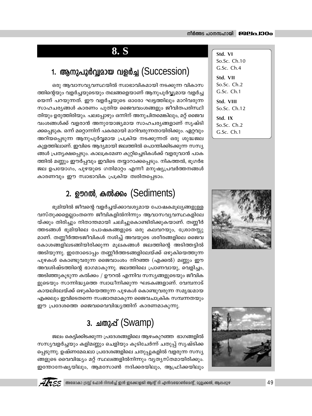## **8. S**

## 1. ആനുപൂർവ്വമായ വളർച്ച (Succession)

ഒരു ആവാസവ്യവസ്ഥയിൽ സ്വാഭാവികമായി നടക്കുന്ന വികാസ ത്തിന്റെയും വളർച്ചയുടെയും തലങ്ങളെയാണ് ആനുപൂർവ്വ്യമായ വളർച്ച യെന്ന് പറയുന്നത്. ഈ വളർച്ചയുടെ ഓരോ ഘട്ടത്തിലും മാറിവരുന്ന സാഹചര്യങ്ങൾ കാരണം പുതിയ ജൈവവംശങ്ങളും ജീവിതപരിസ്ഥി തിയും ഉരുത്തിരിയും. പലപ്പോഴും ഒന്നിന് അനുചിതമെങ്കിലും, മറ്റ് ജൈവ വംശങ്ങൾക്ക് വളരാൻ അനുയോജ്യമായ സാഹചര്യങ്ങളാണ് സൃഷ്ടി ക്കപ്പെടുക. ഒന്ന് മറ്റൊന്നിന് പകരമായി മാറിവരുന്നതായിരിക്കും. ഏറ്റവും അറിയപ്പെടുന്ന ആനുപൂർവ്വമായ പ്രക്രിയ നടക്കുന്നത് ഒരു ശുദ്ധജല കുളത്തിലാണ്. ഇവിടെ ആദ്യമായി ജലത്തിൽ പൊന്തിക്കിടക്കുന്ന സസ്യ ങ്ങൾ പ്രത്യക്ഷപ്പെടും. കാലക്രമേണ കുറ്റിച്ചെടികൾക്ക് വളരുവാൻ പാക ത്തിൽ മണ്ണും ഈർപ്പവും ഇവിടെ തയ്യാറാക്കപ്പെടും. നികത്തൽ, ഭൂഗർഭ ജല ഉപയോഗം, പുഴയുടെ ഗതിമാറ്റം എന്നീ മനുഷ്യപ്രവർത്തനങ്ങൾ കാരണവും ഈ സ്വാഭാവിക പ്രക്രിയ ത്വരിതപ്പെടാം.

## 2. ഊറൽ, കൽക്കം (Sediments)

ഭുമിയിൽ ജീവന്റെ വളർച്ചയ്ക്കാവശ്യമായ പോഷകമുല്യങ്ങളുള്ള വസ്തുക്കളെല്ലാംതന്നെ ജീവികളിൽനിന്നും ആവാസവ്യവസ്ഥകളിലേ യ്ക്കും തിരിച്ചും നിതാന്തമായി ചലിച്ചുകൊണ്ടിരിക്കുകയാണ്. തണ്ണീർ ത്തടങ്ങൾ ഭൂമിയിലെ പോഷകങ്ങളുടെ ഒരു കലവറയും, ശ്രോതസ്സു മാണ്. തണ്ണീർത്തടജീവികൾ നശിച്ച് അവയുടെ ശരീരങ്ങളിലെ ജൈവ കോശങ്ങളിലടങ്ങിയിരിക്കുന്ന മുലകങ്ങൾ ജലത്തിന്റെ അടിത്തട്ടിൽ അടിയുന്നു. ഇതോടൊപ്പം തണ്ണീർത്തടങ്ങളിലേയ്ക്ക് ഒഴുകിയെത്തുന്ന പൂഴകൾ കൊണ്ടുവരുന്ന ജൈവാംശം നിറഞ്ഞ (എക്കൽ) മണും ഈ അവശിഷ്ടത്തിന്റെ ഭാഗമാകുന്നു. ജലത്തിലെ പ്രാണവായു, വെളിച്ചം, അടിഞ്ഞുകൂടുന്ന കൽക്കം / ഊറൽ എന്നിവ സസ്യങ്ങളുടെയും ജീവിക ളുടെയും സാന്നിദ്ധ്യത്തെ സ്വാധീനിക്കുന്ന ഘടകങ്ങളാണ്. വേമ്പനാട് കായലിലേയ്ക്ക് ഒഴുകിയെത്തുന്ന പുഴകൾ കൊണ്ടുവരുന്ന സമൃദ്ധമായ എക്കലും ഇവിടെതന്നെ സംജാതമാകുന്ന ജൈവചാക്രിക സമ്പന്നതയും ഈ പ്രദേശത്തെ ജൈവവൈവിദ്ധ്യത്തിന് കാരണമാകുന്നു.

## 3. ചതുപ്പ് (Swamp)

ജലം കെട്ടിക്കിടക്കുന്ന പ്രദേശങ്ങളിലെ ആഴംകുറഞ്ഞ ഭാഗങ്ങളിൽ ്സസ്യവളർച്ചയും കളിമണ്ണും ചെളിയും കൂടിചേർന്ന് ചതുപ്പ് സൃഷ്ടിക്ക പ്പെടുന്നു. ഉഷ്ണമേഖലാ പ്രദേശങ്ങളിലെ ചതുപ്പുകളിൽ വളരുന്ന സസ്യ ങ്ങളുടെ വൈവിദ്ധ്യം മറ്റ് സ്ഥലങ്ങളിൽനിന്നും വ്യത്യസ്തമായിരിക്കും. ഇന്തോനേഷ്യയിലും, ആമസോൺ നദിക്കരയിലും, ആഫ്രിക്കയിലും Std. VI So.Sc. Ch.10 G.Sc. Ch.4

Std. VII So.Sc.  $Ch.2$ G.Sc. Ch.1 Std. VIII

So.Sc. Ch.12

Std. IX So.Sc.  $Ch.2$ G.Sc. Ch.1





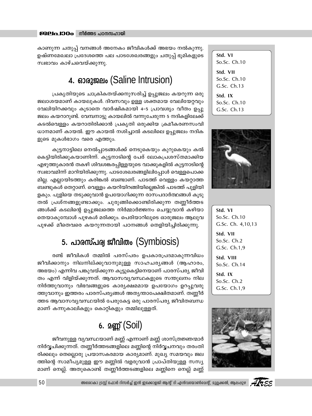കാണുന്ന ചതുപ്പ് വനങ്ങൾ അനേകം ജീവികൾക്ക് അഭയം നൽകുന്നു. ഉഷ്ണമേഖലാ പ്രദേശത്തെ പല പാടശേഖരങ്ങളും ചതുപ്പ് ഭൂമികളുടെ സ്വഭാവം കാഴ്ചവെയ്ക്കുന്നു.

## 4. லைஜ்தம் (Saline Intrusion)

പ്രകൃതിയുടെ ചാക്രികതയ്ക്കനുസരിച്ച് ഉപ്പുജലം കയറുന്ന ഒരു ജലാശയമാണ് കായലുകൾ. ദിവസവും ഉള്ള ശക്തമായ വേലിയേറ്റവും വേലിയിറക്കവും കൂടാതെ വാർഷികമായി 4-5 പ്രാവശ്യം വീതം ഉപ്പു ജലം കയറാറുണ്ട്. വേമ്പനാട്ടു കായലിൽ വന്നുചേരുന്ന 5 നദികളിലേക്ക് കടൽവെള്ളം കയറാതിരിക്കാൻ പ്രകൃതി ഒരുക്കിയ ക്രമീകരണസംവി ധാനമാണ് കായൽ. ഈ കായൽ നശിച്ചാൽ കടലിലെ ഉപ്പുജലം നദിക ളുടെ മുകൾഭാഗം വരെ എത്തും.

കുട്ടനാട്ടിലെ നെൽപ്പാടങ്ങൾക്ക് നെടുകെയും കുറുകെയും കൽ കെട്ടിയിരിക്കുകയാണിന്ന്. കുട്ടനാടിന്റെ പേര് ലോകപ്രശസ്തമാക്കിയ എഴുത്തുകാരൻ തകഴി ശിവശങ്കരപ്പിള്ളയുടെ വാക്കുകളിൽ കുട്ടനാടിന്റെ സ്വഭാവമിന്ന് മാറിയിരിക്കുന്നു. പാടശേഖരങ്ങളിലിപ്പോൾ വെള്ളപൊക്ക മില്ല. എല്ലായിടത്തും കരിങ്കൽ ബണ്ടാണ്. പാടത്ത് വെള്ളം കയറ്റാത്ത ബണ്ടുകൾ തെറ്റാണ്. വെള്ളം കയറിയിറങ്ങിയില്ലെങ്കിൽ പാടത്ത് പുളിയി ളകും. പുളിയെ തടുക്കുവാൻ ഉപയോഗിക്കുന്ന രാസപദാർത്ഥങ്ങൾ കൂടു തൽ പ്രശ്നങ്ങളുണ്ടാക്കും. ചുരുങ്ങിക്കൊണ്ടിരിക്കുന്ന തണ്ണീർത്തട ങ്ങൾക്ക് കടലിന്റെ ഉപ്പുജലത്തെ നിർമ്മാർജ്ജനം ചെയ്യുവാൻ കഴിയാ തെയാകുമ്പോൾ പുഴകൾ മരിക്കും. പെരിയാറിലൂടെ ഓരുജലം ആലുവ പുഴക്ക് മീതെവരെ കയറുന്നതായി പഠനങ്ങൾ തെളിയിച്ചിരിക്കുന്നു.

## 5. പാരസ്പര്വ ജീവിതം (Symbiosis)

രണ്ട് ജീവികൾ തമ്മിൽ പരസ്പരം ഉപകാരപ്രദമാകുന്നവിധം ജീവിക്കാനും നിലനില്ക്കുവാനുമുള്ള സാഹചര്യങ്ങൾ (ആഹാരം, അഭയം) എന്നിവ പങ്കുവയ്ക്കുന്ന കൂട്ടുകെട്ടിനെയാണ് പാരസ്പര്യ ജീവി തം എന്ന് വിളിയ്ക്കുന്നത്. ആവാസവ്യവസ്ഥകളുടെ സന്തുലനം നില നിർത്തുവാനും വിഭവങ്ങളുടെ കാര്യക്ഷമമായ ഉപയോഗം ഉറപ്പുവരു ത്തുവാനും ഇത്തരം പാരസ്പര്യങ്ങൾ അത്യന്താപേക്ഷിതമാണ്. തണ്ണീർ ത്തട ആവാസവ്യവസ്ഥയിൽ പേരുകേട്ട ഒരു പാരസ്പര്യ ജീവിതബന്ധ മാണ് കന്നുകാലികളും കൊറ്റികളും തമ്മിലുള്ളത്.

## 6. 200 (Soil)

ജീവനുള്ള വ്യവസ്ഥയാണ് മണ്ണ് എന്നാണ് മണ്ണ് ശാസ്ത്രജ്ഞന്മാർ നിർവ്വചിക്കുന്നത്. തണ്ണീർത്തടങ്ങളിലെ മണ്ണിന്റെ നിർവ്വചനവും തരംതി രിക്കലും തെല്ലൊരു പ്രയാസകരമായ കാര്യമാണ്. മുഖ്യ സമയവും ജല ത്തിന്റെ സാമീപ്യമുള്ള ഈ മണ്ണിൽ വളരുവാൻ പ്രാപ്തിയുള്ള സസ്യ മാണ് നെല്ല്. അതുകൊണ്ട് തണ്ണീർത്തടങ്ങളിലെ മണ്ണിനെ നെല്ല് മണ്ണ്

| Std. VI<br>So.Sc. Ch.10                 |
|-----------------------------------------|
| Std. VII<br>So.Sc. Ch.10<br>G.Sc. Ch.13 |
| Std. IX<br>So.Sc. Ch.10<br>G.Sc. Ch.13  |



Std. VI So.Sc. Ch.10 G.Sc. Ch. 4,10,13

Std. VII So.Sc. Ch.2 G.Sc. Ch.1,9

Std. VIII So.Sc. Ch.14

Std. IX So.Sc. Ch.2 G.Sc. Ch.1,9

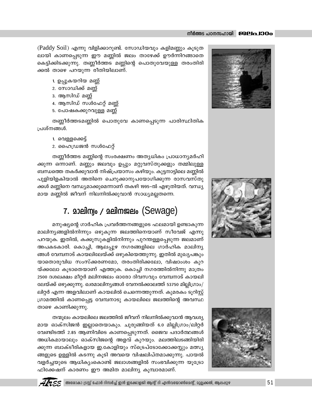$51$ 

നീർത്തട പഠനസഹായി **28 ലപാഠം** 

(Paddy Soil) എന്നു വിളിക്കാറുണ്ട്. സോഡിയവും കളിമണ്ണും കൂടുത ലായി കാണപ്പെടുന്ന ഈ മണ്ണിൽ ജലം താഴേക്ക് ഊർന്നിറങ്ങാതെ കെട്ടിക്കിടക്കുന്നു. തണ്ണീർത്തട മണ്ണിന്റെ പൊതുവേയുള്ള തരംതിരി ക്കൽ താഴെ പറയുന്ന രീതിയിലാണ്.

- 1. ഉപ്പുകയറിയ മണ്ണ്
- 2. സോഡിക്ക് മണ്ണ്
- 3. ആസിഡ് മണ്ണ്
- 4. ആസിഡ് സൾഫേറ്റ് മണ്ണ്
- 5. പോഷകക്കുറവുള്ള മണ്ണ്

തണ്ണീർത്തടമണ്ണിൽ പൊതുവേ കാണപ്പെടുന്ന പാരിസ്ഥിതിക പ്രശ്നങ്ങൾ.

- 1. വെള്ളക്കെട്ട്
- 2. ഹൈഡ്രജൻ സൾഫേറ്റ്

തണ്ണീർത്തട മണ്ണിന്റെ സംരക്ഷണം അത്യധികം പ്രാധാന്യമർഹി ക്കുന്ന ഒന്നാണ്. മണ്ണും ജലവും ഉപ്പും മറ്റുവസ്തുക്കളും തമ്മിലുള്ള ബന്ധത്തെ തകർക്കുവാൻ നിഷ്പ്രയാസം കഴിയും. കൂട്ടനാട്ടിലെ മണ്ണിൽ പുളിയിളകിയാൽ അതിനെ ചെറുക്കാനുപയോഗിക്കുന്ന രാസവസ്തു ക്കൾ മണ്ണിനെ വന്ധ്യമാക്കുമെന്നാണ് തകഴി 1995–ൽ എഴുതിയത്. വന്ധ്യ മായ മണ്ണിൽ ജീവന് നിലനിൽക്കുവാൻ സാധ്യമല്ലതന്നെ.

## 7. 20eilmjo / 2eilmaaelo (Sewage)

മനുഷ്യന്റെ ഗാർഹിക പ്രവർത്തനങ്ങളുടെ ഫലമായി ഉണ്ടാകുന്ന മാലിന്യങ്ങളിൽനിന്നും ഒഴുകുന്ന ജലത്തിനെയാണ് സീവേജ് എന്നു പറയുക. ഇതിൽ, കക്കുസുകളിൽനിന്നും പുറന്തള്ളപ്പെടുന്ന ജലമാണ് അപകടകാരി. കൊച്ചി, ആലപ്പുഴ നഗരങ്ങളിലെ ഗാർഹിക മാലിന്യ ങ്ങൾ വേമ്പനാട് കായലിലേയ്ക്ക് ഒഴുകിയെത്തുന്നു. ഇതിൽ മുഖ്യപങ്കും യാതൊരുവിധ സംസ്ക്കരണമോ, തരംതിരിക്കലോ, വിഷാംശം കുറ യ്ക്കലോ കൂടാതെയാണ് എത്തുക. കൊച്ചി നഗരത്തിൽനിന്നു മാത്രം 2500 ദശലക്ഷം മീറ്റർ മലിനജലം ഓരോ ദിവസവും വേമ്പനാട് കായലി ലേയ്ക്ക് ഒഴുക്കുന്നു. ഖരമാലിനൃങ്ങൾ വേനൽക്കാലത്ത് 53750 മില്ലിഗ്രാം/ ലിറ്റർ എന്ന അളവിലാണ് കായലിൽ ചെന്നെത്തുന്നത്. കുമരകം ടൂറിസ്റ്റ് ഗ്രാമത്തിൽ കാണപ്പെട്ട വേമ്പനാടു കായലിലെ ജലത്തിന്റെ അവസ്ഥ താഴെ കാണിക്കുന്നു.

തന്മൂലം കായലിലെ ജലത്തിൽ ജീവന് നിലനിൽക്കുവാൻ ആവശ്യ മായ ഓക്സിജൻ ഇല്ലാതെയാകും. ചുരുങ്ങിയത് 6.0 മില്ലിഗ്രാം/ലിറ്റർ വേണ്ടിടത്ത് 2.85 ആണിവിടെ കാണപ്പെടുന്നത്. ജൈവ പദാർത്ഥങ്ങൾ അധികമായാലും ഓക്സിജന്റെ അളവ് കുറയും. മലത്തിലടങ്ങിയിരി ക്കുന്ന ബാക്ടീരികളായ ഇ.കോളിയും സ്ട്രെപ്ടോക്കോക്കസ്സും മത്സ്യ ങ്ങളുടെ ഉള്ളിൽ കടന്നു കൂടി അവയെ വിഷലിപ്തമാക്കുന്നു. പായൽ വളർച്ചയുടെ ആധികൃംകൊണ്ട് ജലാശങ്ങളിൽ സംഭവിക്കുന്ന യൂട്രോ ഫിക്കേഷന് കാരണം ഈ അമിത മാലിന്യ കുമ്പാരമാണ്.







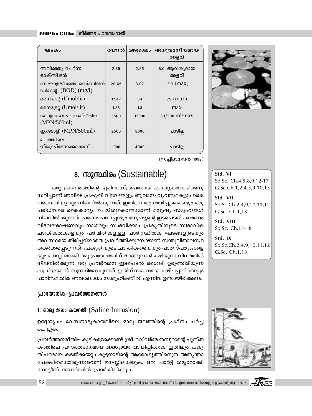### അശോകാ ട്രസ്റ്റ് ഫോർ റിസർച്ച് ഇൻ ഇക്കോളജി ആന്റ് ദി എൻവയോൺമെന്റ്, മുല്ലക്കൽ, ആലപ്പുഴ

### **@@@La\_loOo** midows പഠനസഹായി

| ഘടകം                                            | വേനൽ  | മഴക്കാലം | അനുവദനീയമായ<br>അളവ്  |
|-------------------------------------------------|-------|----------|----------------------|
| അലിഞ്ഞു ചേർന്ന<br>ഓക്സിജൻ                       | 2.85  | 2.85     | 6.0 ആവശ്യമായ<br>അളവ് |
| ബയോളജിക്കൽ ഓക്സിജൻ<br>ഡിമാന്റ് $(BOD)$ $(mg/l)$ | 20.65 | 3.07     | $2.0$ (max)          |
| നൈട്രേറ്റ് (Umol/lit)                           | 17.47 | 34       | $75 \text{ (max)}$   |
| നൈട്രേറ്റ് (Umol/lit)                           | 1.85  | 1.8      | max                  |
| കോളിഫോം ബാക്ടീരിയ<br>(MPN/500ml)                | 5500  | 12000    | 50/500 ml/max        |
| ഇ.കോളി (MPN/500ml)                              | 2500  | 5000     | പാടില്ല              |
| മലത്തിലെ<br>സ്ട്രെപ്ടോക്കോക്കസ്                 | 1000  | 4000     | പാടില്ല              |

(സച്ചിദാനന്ദൻ 1999)

## 8. manualoo (Sustainable)

ഒരു പ്രദേശത്തിന്റെ ഭുമിശാസ്ത്രപരമായ പ്രത്യേകതകൾക്കനു സരിച്ചാണ് അവിടെ പ്രകൃതി വിഭവങ്ങളും ആവാസ വ്യവസ്ഥകളും ജൈ വവൈവിദ്ധ്യവും നിലനിൽക്കുന്നത്. ഇതിനെ ആശ്രയിച്ചുകൊണ്ടും ഒരു പരിധിവരെ കൈകാര്യം ചെയ്തുകൊണ്ടുമാണ് മനുഷ്യ സമുഹങ്ങൾ നിലനിൽക്കുന്നത്. പക്ഷെ പലപ്പോഴും മനുഷ്യന്റെ ഇടപെടൽ കാരണം വിഭവശോഷണവും നാശവും സംഭവിക്കാം. പ്രകൃതിയുടെ സ്വഭാവിക ചാക്രികതകളെയും പരിമിതികളുള്ള പാരിസ്ഥിതക ഘടങ്ങളുടെയും അവസ്ഥയെ തിരിച്ചറിയാതെ പ്രവർത്തിക്കുമ്പോഴാണ് സന്തുലിതാവസ്ഥ തകർക്കപ്പെടുന്നത്. പ്രകൃതിയുടെ ചാക്രികതയെയും പാരസ്പര്യങ്ങളെ യും മനസ്സിലാക്കി ഒരു പ്രദേശത്തിന് താങ്ങുവാൻ കഴിയുന്ന വിധത്തിൽ നിലനിൽക്കുന്ന ഒരു പ്രവർത്തന ഇടപെടൽ ശൈലി ഉരുത്തിരിയുന്ന പ്രക്രിയയാണ് സുസ്ഥിരമാകുന്നത്. ഇതിന് സമഗ്രമായ കാഴ്ചപ്പാടിനൊപ്പം പാരിസ്ഥിതിക അവബോധം സാമുഹികനീതി എന്നിവ ഉണ്ടായിരിക്കണം.

### പ്രായോഗിക പ്രവർത്തനങ്ങൾ

### 1. லேலு ஜ்மூ கூலூஸ் (Saline Intrusion)

ഉദ്ദേശ്യം:- വേമ്പനാട്ടുകായലിലെ ഓരു ജലത്തിന്റെ പ്രശ്നം ചർച്ച ചെയ്യുക.

പ്രവർത്തനരീതി:– കുട്ടികളെക്കൊണ്ട് ശ്രീ. രവിവർമ്മ തമ്പുരാന്റെ പുസ്ത കത്തിലെ പ്രസക്തഭാഗമായ അദ്ധ്യായം വായിപ്പിക്കുക. ഇതിലും പ്രകൃ തിപരമായ കടൽക്കയറ്റം കൂട്ടനാടിന്റെ ആരോഗ്യത്തിനെത്ര അത്യന്താ പേക്ഷിതമായിരുന്നുവെന്ന് മനസ്സിലാക്കുക. ഒരു ചാർട്ട് തയ്യാറാക്കി നോട്ടീസ് ബോർഡിൽ പ്രദർശിപ്പിക്കുക.



Std. VI So.Sc. Ch.4,5,8,9,12-17 G.Sc.Ch.1,2,4,5,9,10,13

Std. VII So.Sc.Ch.2,4,9,10,11,12 G.Sc. Ch.1,13

Std. VIII So.Sc. Ch.13-18

Std. IX So.Sc.Ch.2,4,9,10,11,12 G.Sc. Ch.1,13

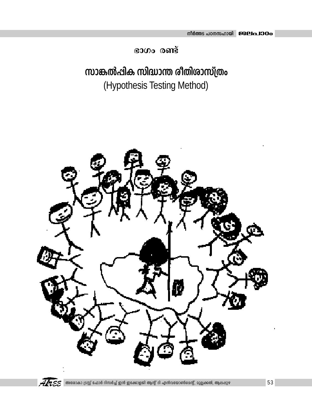## ഭാഗം രണ്ട്

# സാങ്കൽപ്പിക സിദ്ധാന്ത രീതിശാസ്ത്രം (Hypothesis Testing Method)

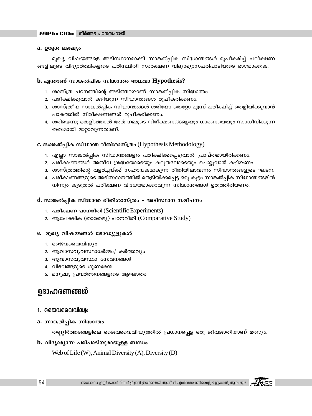### **@@@Lo\_IOOo** midows alommaniwa

### а. ഉദ്ദേശ ലക്ഷ്യം

മുഖ്യ വിഷയങ്ങളെ അടിസ്ഥാനമാക്കി സാങ്കൽപ്പിക സിദ്ധാന്തങ്ങൾ രൂപീകരിച്ച് പരീക്ഷണ ങ്ങളിലൂടെ വിദ്യാർത്ഥികളുടെ പരിസ്ഥിതി സംരക്ഷണ വിദ്യാഭ്യാസപരിപാടിയുടെ ഭാഗമാക്കുക.

### b. എന്താണ് സാങ്കൽപിക സിദ്ധാന്തം അഥവാ Hypothesis?

- 1. ശാസ്ത്ര പഠനത്തിന്റെ അടിത്തറയാണ് സാങ്കൽപ്പിക സിദ്ധാന്തം
- 2. പരീക്ഷിക്കുവാൻ കഴിയുന്ന സിദ്ധാന്തങ്ങൾ രൂപീകരിക്കണം.
- 3. ശാസ്ത്രീയ സാങ്കൽപ്പിക സിദ്ധാന്തങ്ങൾ ശരിയോ തെറ്റോ എന്ന് പരീക്ഷിച്ച് തെളിയിക്കുവാൻ പാകത്തിൽ നിരീക്ഷണങ്ങൾ രൂപീകരിക്കണം.
- 4. ശരിയെന്നു തെളിഞ്ഞാൽ അത് നമ്മുടെ നിരീക്ഷണങ്ങളെയും ധാരണയെയും സ്വാധീനിക്കുന്ന തത്വമായി മാറ്റാവുന്നതാണ്.

### c. സാങ്കൽപ്പിക സിദ്ധാന്ത രീതിശാസ്ത്രം (Hypothesis Methodology)

- 1. എല്ലാ സാങ്കൽപ്പിക സിദ്ധാന്തങ്ങളും പരീക്ഷിക്കപ്പെടുവാൻ പ്രാപ്തമായിരിക്കണം.
- 2. പരീക്ഷണങ്ങൾ അതീവ ശ്രദ്ധയോടെയും കരുതലോടെയും ചെയ്യുവാൻ കഴിയണം.
- 3. ശാസ്ത്രത്തിന്റെ വളർച്ചയ്ക്ക് സഹായകമാകുന്ന രീതിയിലാവണം സിദ്ധാന്തങ്ങളുടെ ഘടന.
- 4. പരീക്ഷണങ്ങളുടെ അടിസ്ഥാനത്തിൽ തെളിയിക്കപ്പെട്ട ഒരു കൂട്ടം സാങ്കൽപ്പിക സിദ്ധാന്തങ്ങളിൽ നിന്നും കൂടുതൽ പരീക്ഷണ വിധേയമാക്കാവുന്ന സിദ്ധാന്തങ്ങൾ ഉരുത്തിരിയണം.

### d. സാങ്കൽപ്പിക സിദ്ധാന്ത രീതിശാസ്ത്രം – അടിസ്ഥാന സമീപനം

- 1. പരീക്ഷണ പഠനരീതി (Scientific Experiments)
- 2. ആപേക്ഷിക (താരതമ്യ) പഠനരീതി (Comparative Study)

### e. മുഖ്യ വിഷയങ്ങൾ മോഡ്യൂളുകൾ

- 1. ജൈവവൈവിദ്ധ്യം
- 2. ആവാസവ്യവസ്ഥാധർമ്മം/ കർത്തവ്യം
- 3. ആവാസവ്യവസ്ഥാ സേവനങ്ങൾ
- 4. വിഭവങ്ങളുടെ ഗുണമേന്മ
- 5. മനുഷ്യ പ്രവർത്തനങ്ങളുടെ ആഘാതം

### ഉദാഹരണങ്ങൾ

- 1. ജൈവവൈവിദ്ധ്വം
- a. സാങ്കൽപ്പിക സിദ്ധാന്തം

തണ്ണീർത്തടങ്ങളിലെ ജൈവവൈവിദ്ധ്യത്തിൽ പ്രധാനപ്പെട്ട ഒരു ജീവജാതിയാണ് മത്സ്യം.

### b. വിദ്യാഭ്യാസ പരിപാടിയുമായുള്ള ബന്ധം

Web of Life (W), Animal Diversity  $(A)$ , Diversity  $(D)$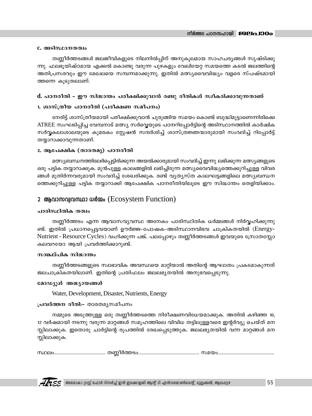### c. അടിസ്ഥാനതത്വം

തണ്ണീർത്തടങ്ങൾ ജലജീവികളുടെ നിലനിൽപ്പിന് അനുകൂലമായ സാഹചര്യങ്ങൾ സൃഷ്ടിക്കു ന്നു. ഫലഭൂയിഷ്ഠമായ എക്കൽ കൊണ്ടു വരുന്ന പുഴകളും വേലിയേറ്റ സമയത്തെ കടൽ ജലത്തിന്റെ അതിപ്രസരവും ഈ മേഖലയെ സമ്പന്നമാക്കുന്നു. ഇതിൽ മത്സ്യവൈവിദ്ധ്യം വളരെ സ്പഷ്ടമായി ത്തന്നെ കുടുതലാണ്.

### d. പഠനരീതി - ഈ സിദ്ധാന്തം പരീക്ഷിക്കുവാൻ രണ്ടു രീതികൾ സ്ഥീകരിക്കാവുന്നതാണ്

### 1. ശാസ്ത്രീയ പഠനരീതി (പരീക്ഷണ സമീപനം)

നേരിട്ട് ശാസ്ത്രീയമായി പരീക്ഷിക്കുവാൻ ചുരുങ്ങിയ സമയം കൊണ്ട് ബുദ്ധിമുട്ടാണെന്നിരിക്കെ ATREE സംഘടിപ്പിച്ച വേമ്പനാട് മത്സ്യ സർവ്വെയുടെ പഠനറിപ്പോർട്ടിന്റെ അടിസ്ഥാനത്തിൽ കാർഷിക സർവ്വകലാശാലയുടെ കുമരകം സ്റ്റേഷൻ സന്ദർശിച്ച് ശാസ്ത്രജ്ഞന്മാരുമായി സംവദിച്ച് റിപ്പോർട്ട് തയ്യാറാക്കാവുന്നതാണ്.

### 2. ആപേക്ഷിക (താരതമൃ) പഠനരീതി

മത്സ്യബന്ധനത്തിലേർപ്പെട്ടിരിക്കുന്ന അയൽക്കാരുമായി സംവദിച്ച് ഇന്നു ലഭിക്കുന്ന മത്സ്യങ്ങളുടെ ഒരു പട്ടിക തയ്യാറാക്കുക. മുൻപുള്ള കാലങ്ങളിൽ ലഭിച്ചിരുന്ന മത്സ്യവൈവിദ്ധ്യത്തെക്കുറിച്ചുള്ള വിവര ങ്ങൾ മുതിർന്നവരുമായി സംവദിച്ച് ശേഖരിക്കുക. രണ്ട് വ്യത്യസ്ത കാലഘട്ടങ്ങളിലെ മത്സ്യബന്ധന ത്തെക്കുറിച്ചുള്ള പട്ടിക തയ്യാറാക്കി ആപേക്ഷിക പഠനരീതിയിലൂടെ ഈ സിദ്ധാന്തം തെളിയിക്കാം.

### 2 ആവാസവ്വവസ്ഥാ ധർമ്മം (Ecosystem Function)

### പാരിസ്ഥിതിക തത്വം

തണ്ണീർത്തടം എന്ന ആവാസവ്യവസ്ഥ അനേകം പാരിസ്ഥിതിക ധർമ്മങ്ങൾ നിർവ്വഹിക്കുന്നു ണ്ട്. ഇതിൽ പ്രധാനപ്പെട്ടവയാണ് ഊർജ്ജ-പോഷക-അടിസ്ഥാനവിഭവ ചാക്രികതയിൽ (Energy-Nutrient - Resource Cycles) വഹിക്കുന്ന പങ്ക്. പലപ്പോഴും തണ്ണീർത്തടങ്ങൾ ഇവയുടെ സ്രോതസ്സോ കലവറയോ ആയി പ്രവർത്തിക്കാറുണ്ട്.

### സാങ്കല്പിക സിദ്ധാന്തം

തണ്ണീർത്തടങ്ങളുടെ സ്വാഭാവിക അവസ്ഥയെ മാറ്റിയാൽ അതിന്റെ ആഘാതം പ്രകടമാകുന്നത് ജലചാക്രികതയിലാണ്. ഇതിന്റെ പ്രതിഫലം ജലലഭ്യതയിൽ അനുഭവപ്പെടുന്നു.

### മോഡ്യൂൾ അദ്ധ്യായങ്ങൾ

Water, Development, Disaster, Nutrients, Energy

### പ്രവർത്തന രീതി:- താരതമൃസമീപനം

നമ്മുടെ അടുത്തുള്ള ഒരു തണ്ണീർത്തടത്തെ നിരീക്ഷണവിധേയമാക്കുക. അതിൽ കഴിഞ്ഞ 10, 12 വർഷമായി നടന്നു വരുന്ന മാറ്റങ്ങൾ സമുഹത്തിലെ വിവിധ തട്ടിലുള്ളവരെ ഇന്റർവ്യു ചെയ്ത് മന സ്സിലാക്കുക. ഇതൊരു ചാർട്ടിന്റെ രൂപത്തിൽ രേഖപ്പെടുത്തുക. ജലലഭ്യതയിൽ വന്ന മാറ്റങ്ങൾ മന സ്സിലാക്കുക.

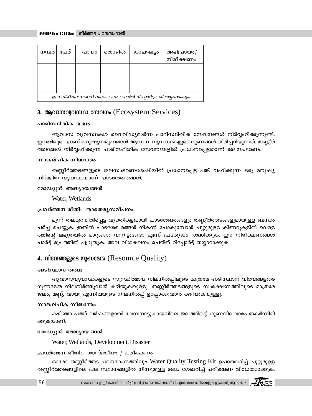#### **@@@La\_loOo** midows പഠനസഹായി

| നമ്പർ | പേര് | പ്രായം | തൊഴിൽ | കാലഘട്ടം                                                    | അഭിപ്രായം/<br>നിരീക്ഷണം |
|-------|------|--------|-------|-------------------------------------------------------------|-------------------------|
|       |      |        |       |                                                             |                         |
|       |      |        |       | ഈ നിരീക്ഷണങ്ങൾ വിശകലനം ചെയ്ത് റിപ്പോർട്ടാക്കി തയ്യാറാക്കുക. |                         |

### 3. ആവാസവ്വവസ്ഥാ സേവനം (Ecosystem Services)

#### പാരിസ്ഥിതിക തത്വം

ആവാസ വ്യവസ്ഥകൾ വൈവിദ്ധ്യമാർന്ന പാരിസ്ഥിതിക സേവനങ്ങൾ നിർവ്വഹിക്കുന്നുണ്ട്. ഇവയിലൂടെയാണ് മനുഷ്യസമൂഹങ്ങൾ ആവാസ വ്യവസ്ഥകളുടെ ഗുണങ്ങൾ തിരിച്ചറിയുന്നത്. തണ്ണീർ ത്തടങ്ങൾ നിർവ്വഹിക്കുന്ന പാരിസ്ഥിതിക സേവനങ്ങളിൽ പ്രധാനപ്പെട്ടതാണ് ജലസംഭരണം.

### സാങ്കല്പിക സിദ്ധാന്തം

തണ്ണീർത്തടങ്ങളുടെ ജലസംഭരണശേഷിയിൽ പ്രധാനപ്പെട്ട പങ്ക് വഹിക്കുന്ന ഒരു മനുഷ്യ നിർമ്മിത വ്യവസ്ഥയാണ് പാടശേഖരങ്ങൾ.

### മോഡ്യൂൾ അദ്ധ്യായങ്ങൾ

Water, Wetlands

### പ്രവർത്തന രീതി: താരതമൃസമീപനം

മൂന്ന് തലമുറയിൽപ്പെട്ട വ്യക്തികളുമായി പാടശേഖരങ്ങളും തണ്ണീർത്തടങ്ങളുമായുള്ള ബന്ധം ചർച്ച ചെയ്യുക. ഇതിൽ പാടശേഖരങ്ങൾ നികന്ന് പോകുമ്പോൾ ചുറ്റുമുള്ള കിണറുകളിൽ വെള്ള ത്തിന്റെ ലഭ്യതയിൽ മാറ്റങ്ങൾ വന്നിട്ടുണ്ടോ എന്ന് പ്രത്യേകം ശ്രദ്ധിക്കുക. ഈ നിരീക്ഷണങ്ങൾ ചാർട്ട് രൂപത്തിൽ എഴുതുക. അവ വിശകലനം ചെയ്ത് റിപ്പോർട്ട് തയ്യാറാക്കുക.

### 4. വിഭവങ്ങളുടെ ഗുണമേന്മ (Resource Quality)

### അടിസ്ഥാന തത്വം

ആവാസവ്യവസ്ഥകളുടെ സുസ്ഥിരമായ നിലനിൽപ്പിലൂടെ മാത്രമേ അടിസ്ഥാന വിഭവങ്ങളുടെ ഗുണമേന്മ നിലനിർത്തുവാൻ കഴിയുകയുള്ളു. തണ്ണീർത്തടങ്ങളുടെ സംരക്ഷണത്തിലൂടെ മാത്രമേ ജലം, മണ്ണ്, വായു എന്നിവയുടെ നിലനിൽപ്പ് ഉറപ്പാക്കുവാൻ കഴിയുകയുള്ളൂ.

### സാങ്കല്പിക സിദ്ധാന്തം

കഴിഞ്ഞ പത്ത് വർഷങ്ങളായി വേമ്പനാട്ടുകായലിലെ ജലത്തിന്റെ ഗുണനിലവാരം തകർന്നിരി ക്കുകയാണ്.

### മോഡ്യൂൾ അദ്ധ്യായങ്ങൾ

Water, Wetlands, Development, Disaster

### പ്രവർത്തന രീതി:- ശാസ്ത്രീയം / പരീക്ഷണം

ഓരോ തണ്ണീർത്തട പഠനകേന്ദ്രത്തിലും Water Quality Testing Kit ഉപയോഗിച്ച് ചുറ്റുമുള്ള തണ്ണീർത്തടങ്ങളിലെ പല സ്ഥാനങ്ങളിൽ നിന്നുമുള്ള ജലം ശേഖരിച്ച് പരീക്ഷണ വിധേയമാക്കുക.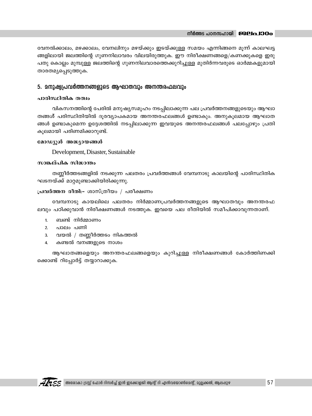#### നീർത്തട പഠനസഹായി **28 ലപ്രാഠം**

വേനൽക്കാലം, മഴക്കാലം, വേനലിനും മഴയ്ക്കും ഇടയ്ക്കുള്ള സമയം എന്നിങ്ങനെ മൂന്ന് കാലഘട്ട ങ്ങളിലായി ജലത്തിന്റെ ഗുണനിലാവരം വിലയിരുത്തുക. ഈ നിരീക്ഷണങ്ങളെ/കണക്കുകളെ ഇരു പതു കൊല്ലം മുമ്പുള്ള ജലത്തിന്റെ ഗുണനിലവാരത്തെക്കുറിച്ചുള്ള മുതിർന്നവരുടെ ഓർമ്മകളുമായി താരതമൃപ്പെടുത്തുക.

### 5. മനുഷ്വപ്രവർത്തനങ്ങളുടെ ആഘാതവും അനന്തരഫലവും

#### പാരിസ്ഥിതിക തത്വം

വികസനത്തിന്റെ പേരിൽ മനുഷ്യസമൂഹം നടപ്പിലാക്കുന്ന പല പ്രവർത്തനങ്ങളുടെയും ആഘാ തങ്ങൾ് പരിസ്ഥിതിയിൽ ദുരവ്യാപകമായ അനന്തരഫലങ്ങൾ ഉണ്ടാകും. അനുകൂലമായ ആഘാത ങ്ങൾ ഉണ്ടാകുമെന്ന ഉദ്ദേശത്തിൽ നടപ്പിലാക്കുന്ന ഇവയുടെ അനന്തരഫലങ്ങൾ പലപ്പോഴും പ്രതി കൂലമായി പരിണമിക്കാറുണ്ട്.

#### മോഡ്യൂൾ അദ്ധ്യായങ്ങൾ

Development, Disaster, Sustainable

#### സാങ്കല്പിക സിദ്ധാന്തം

തണ്ണീർത്തടങ്ങളിൽ നടക്കുന്ന പലതരം പ്രവർത്തങ്ങൾ വേമ്പനാടു കാലയിന്റെ പാരിസ്ഥിതിക ഘടനയ്ക്ക് മാറ്റമുണ്ടാക്കിയിരിക്കുന്നു.

#### പ്രവർത്തന രീതി:- ശാസ്ത്രീയം / പരീക്ഷണം

വേമ്പനാടു കായലിലെ പലതരം നിർമ്മാണപ്രവർത്തനങ്ങളുടെ ആഘാതവും അനന്തരഫ ലവും പഠിക്കുവാൻ നിരീക്ഷണങ്ങൾ നടത്തുക. ഇവയെ പല രീതിയിൽ സമീപിക്കാവുന്നതാണ്.

- ബണ്ട് നിർമ്മാണം  $\mathbf{1}$
- 2. പാലം പണി
- 3. വയൽ / തണ്ണീർത്തടം നികത്തൽ
- കണ്ടൽ വനങ്ങളുടെ നാശം 4.

ആഘാതങ്ങളെയും അനന്തരഫലങ്ങളെയും കുറിച്ചുള്ള നിരീക്ഷണങ്ങൾ കോർത്തിണക്കി ക്കൊണ്ട് റിപ്പോർട്ട് തയ്യാറാക്കുക.

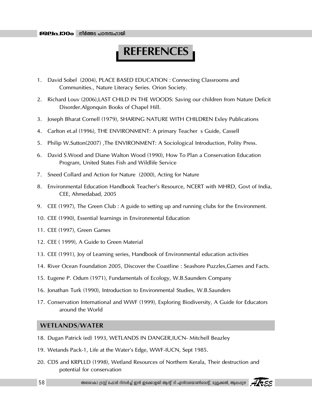# **REFERENCES**

- 1. David Sobel (2004), PLACE BASED EDUCATION : Connecting Classrooms and Communities., Nature Literacy Series. Orion Society.
- 2. Richard Louv (2006),LAST CHILD IN THE WOODS: Saving our children from Nature Deficit Disorder.Algonquin Books of Chapel Hill.
- 3. Joseph Bharat Cornell (1979), SHARING NATURE WITH CHILDREN Exley Publications
- 4. Carlton et.al (1996), THE ENVIRONMENT: A primary Teacher s Guide, Cassell
- 5. Philip W.Sutton(2007) ,The ENVIRONMENT: A Sociological Introduction, Polity Press.
- 6. David S.Wood and Diane Walton Wood (1990), How To Plan a Conservation Education Program, United States Fish and Wildlife Service
- 7. Sneed Collard and Action for Nature (2000), Acting for Nature
- 8. Environmental Education Handbook Teacher's Resource, NCERT with MHRD, Govt of India, CEE, Ahmedabad, 2005
- 9. CEE (1997), The Green Club : A guide to setting up and running clubs for the Environment.
- 10. CEE (1990), Essential learnings in Environmental Education
- 11. CEE (1997), Green Games
- 12. CEE ( 1999), A Guide to Green Material
- 13. CEE (1991), Joy of Learning series, Handbook of Environmental education activities
- 14. River Ocean Foundation 2005, Discover the Coastline : Seashore Puzzles,Games and Facts.
- 15. Eugene P. Odum (1971), Fundamentals of Ecology, W.B.Saunders Company
- 16. Jonathan Turk (1990), Introduction to Environmental Studies, W.B.Saunders
- 17. Conservation International and WWF (1999), Exploring Biodiversity, A Guide for Educators around the World

### **WETLANDS/WATER**

- 18. Dugan Patrick (ed) 1993, WETLANDS IN DANGER,IUCN- Mitchell Beazley
- 19. Wetands Pack-1, Life at the Water's Edge, WWF-IUCN, Sept 1985.
- 20. CDS and KRPLLD (1998), Wetland Resources of Northern Kerala, Their destruction and potential for conservation